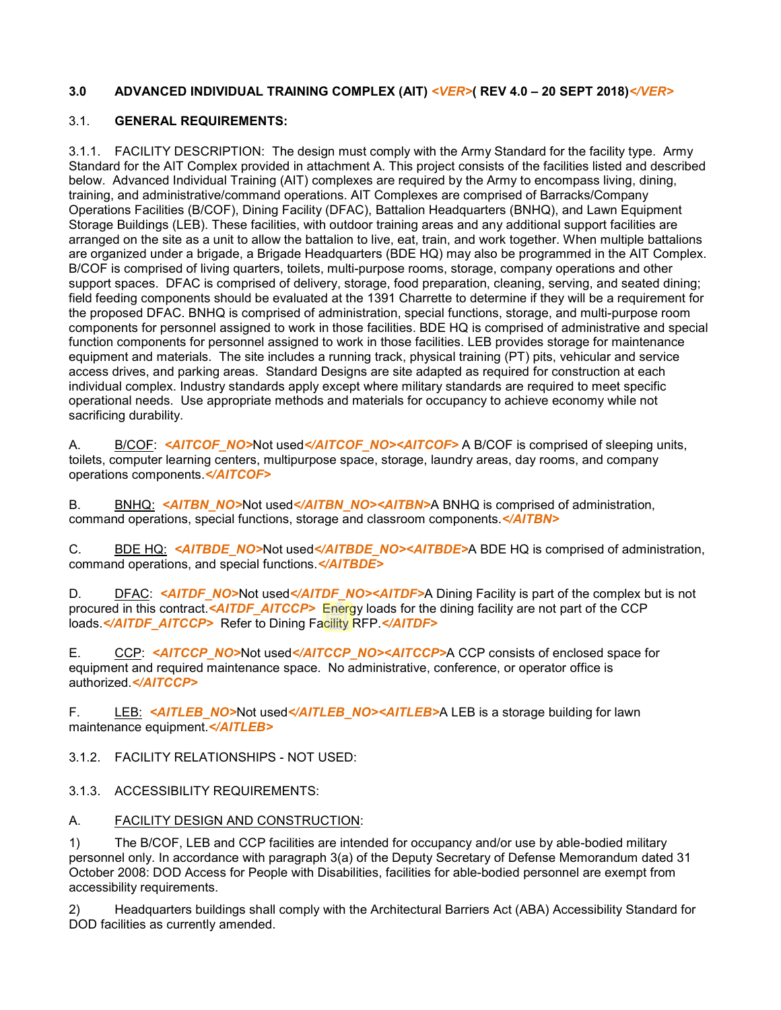### **3.0 ADVANCED INDIVIDUAL TRAINING COMPLEX (AIT)** *<VER>***( REV 4.0 – 20 SEPT 2018)***</VER>*

#### 3.1. **GENERAL REQUIREMENTS:**

3.1.1. FACILITY DESCRIPTION: The design must comply with the Army Standard for the facility type. Army Standard for the AIT Complex provided in attachment A. This project consists of the facilities listed and described below. Advanced Individual Training (AIT) complexes are required by the Army to encompass living, dining, training, and administrative/command operations. AIT Complexes are comprised of Barracks/Company Operations Facilities (B/COF), Dining Facility (DFAC), Battalion Headquarters (BNHQ), and Lawn Equipment Storage Buildings (LEB). These facilities, with outdoor training areas and any additional support facilities are arranged on the site as a unit to allow the battalion to live, eat, train, and work together. When multiple battalions are organized under a brigade, a Brigade Headquarters (BDE HQ) may also be programmed in the AIT Complex. B/COF is comprised of living quarters, toilets, multi-purpose rooms, storage, company operations and other support spaces. DFAC is comprised of delivery, storage, food preparation, cleaning, serving, and seated dining; field feeding components should be evaluated at the 1391 Charrette to determine if they will be a requirement for the proposed DFAC. BNHQ is comprised of administration, special functions, storage, and multi-purpose room components for personnel assigned to work in those facilities. BDE HQ is comprised of administrative and special function components for personnel assigned to work in those facilities. LEB provides storage for maintenance equipment and materials. The site includes a running track, physical training (PT) pits, vehicular and service access drives, and parking areas. Standard Designs are site adapted as required for construction at each individual complex. Industry standards apply except where military standards are required to meet specific operational needs. Use appropriate methods and materials for occupancy to achieve economy while not sacrificing durability.

A. B/COF: <AITCOF\_NO>Not used</AITCOF\_NO><AITCOF> A B/COF is comprised of sleeping units, toilets, computer learning centers, multipurpose space, storage, laundry areas, day rooms, and company operations components.*</AITCOF>*

B. BNHQ: <**AITBN\_NO>Not used</AITBN\_NO><AITBN>A BNHQ is comprised of administration,** command operations, special functions, storage and classroom components.*</AITBN>*

C. BDE HQ: *<AITBDE\_NO>*Not used*</AITBDE\_NO><AITBDE>*A BDE HQ is comprised of administration, command operations, and special functions.*</AITBDE>*

D. DFAC: <AITDF\_NO>Not used</AITDF\_NO><AITDF>A Dining Facility is part of the complex but is not procured in this contract.*<AITDF\_AITCCP>* Energy loads for the dining facility are not part of the CCP loads.*</AITDF\_AITCCP>* Refer to Dining Facility RFP.*</AITDF>*

E. CCP: <AITCCP\_NO>Not used</AITCCP\_NO><AITCCP>A CCP consists of enclosed space for equipment and required maintenance space. No administrative, conference, or operator office is authorized.*</AITCCP>*

F. LEB: *<AITLEB\_NO>*Not used*</AITLEB\_NO><AITLEB>*A LEB is a storage building for lawn maintenance equipment.*</AITLEB>*

3.1.2. FACILITY RELATIONSHIPS - NOT USED:

3.1.3. ACCESSIBILITY REQUIREMENTS:

### A. FACILITY DESIGN AND CONSTRUCTION:

1) The B/COF, LEB and CCP facilities are intended for occupancy and/or use by able-bodied military personnel only. In accordance with paragraph 3(a) of the Deputy Secretary of Defense Memorandum dated 31 October 2008: DOD Access for People with Disabilities, facilities for able-bodied personnel are exempt from accessibility requirements.

2) Headquarters buildings shall comply with the Architectural Barriers Act (ABA) Accessibility Standard for DOD facilities as currently amended.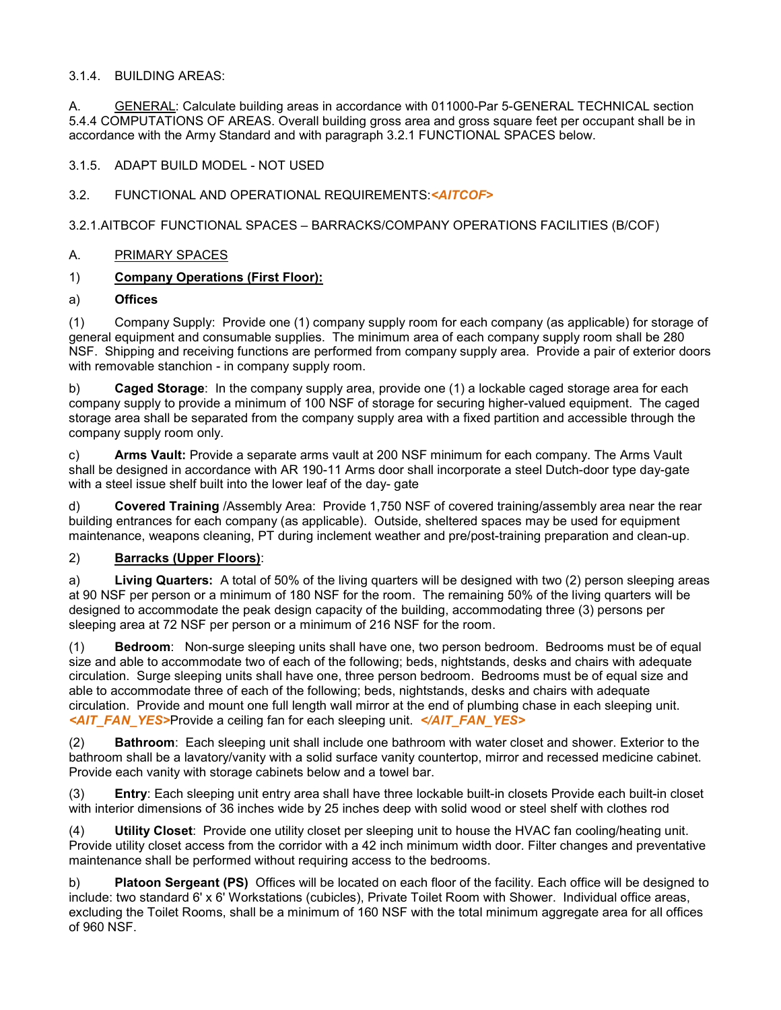#### 3.1.4. BUILDING AREAS:

A. GENERAL: Calculate building areas in accordance with 011000-Par 5-GENERAL TECHNICAL section 5.4.4 COMPUTATIONS OF AREAS. Overall building gross area and gross square feet per occupant shall be in accordance with the Army Standard and with paragraph 3.2.1 FUNCTIONAL SPACES below.

### 3.1.5. ADAPT BUILD MODEL - NOT USED

### 3.2. FUNCTIONAL AND OPERATIONAL REQUIREMENTS:*<AITCOF>*

3.2.1.AITBCOF FUNCTIONAL SPACES – BARRACKS/COMPANY OPERATIONS FACILITIES (B/COF)

### A. PRIMARY SPACES

# 1) **Company Operations (First Floor):**

#### a) **Offices**

(1) Company Supply: Provide one (1) company supply room for each company (as applicable) for storage of general equipment and consumable supplies. The minimum area of each company supply room shall be 280 NSF. Shipping and receiving functions are performed from company supply area. Provide a pair of exterior doors with removable stanchion - in company supply room.

b) **Caged Storage**: In the company supply area, provide one (1) a lockable caged storage area for each company supply to provide a minimum of 100 NSF of storage for securing higher-valued equipment. The caged storage area shall be separated from the company supply area with a fixed partition and accessible through the company supply room only.

c) **Arms Vault:** Provide a separate arms vault at 200 NSF minimum for each company. The Arms Vault shall be designed in accordance with AR 190-11 Arms door shall incorporate a steel Dutch-door type day-gate with a steel issue shelf built into the lower leaf of the day- gate

d) **Covered Training** /Assembly Area: Provide 1,750 NSF of covered training/assembly area near the rear building entrances for each company (as applicable). Outside, sheltered spaces may be used for equipment maintenance, weapons cleaning, PT during inclement weather and pre/post-training preparation and clean-up.

# 2) **Barracks (Upper Floors)**:

a) **Living Quarters:** A total of 50% of the living quarters will be designed with two (2) person sleeping areas at 90 NSF per person or a minimum of 180 NSF for the room. The remaining 50% of the living quarters will be designed to accommodate the peak design capacity of the building, accommodating three (3) persons per sleeping area at 72 NSF per person or a minimum of 216 NSF for the room.

(1) **Bedroom**: Non-surge sleeping units shall have one, two person bedroom. Bedrooms must be of equal size and able to accommodate two of each of the following; beds, nightstands, desks and chairs with adequate circulation. Surge sleeping units shall have one, three person bedroom. Bedrooms must be of equal size and able to accommodate three of each of the following; beds, nightstands, desks and chairs with adequate circulation. Provide and mount one full length wall mirror at the end of plumbing chase in each sleeping unit. *<AIT\_FAN\_YES>*Provide a ceiling fan for each sleeping unit. *</AIT\_FAN\_YES>*

(2) **Bathroom**: Each sleeping unit shall include one bathroom with water closet and shower. Exterior to the bathroom shall be a lavatory/vanity with a solid surface vanity countertop, mirror and recessed medicine cabinet. Provide each vanity with storage cabinets below and a towel bar.

(3) **Entry**: Each sleeping unit entry area shall have three lockable built-in closets Provide each built-in closet with interior dimensions of 36 inches wide by 25 inches deep with solid wood or steel shelf with clothes rod

(4) **Utility Closet**: Provide one utility closet per sleeping unit to house the HVAC fan cooling/heating unit. Provide utility closet access from the corridor with a 42 inch minimum width door. Filter changes and preventative maintenance shall be performed without requiring access to the bedrooms.

b) **Platoon Sergeant (PS)** Offices will be located on each floor of the facility. Each office will be designed to include: two standard 6' x 6' Workstations (cubicles), Private Toilet Room with Shower. Individual office areas, excluding the Toilet Rooms, shall be a minimum of 160 NSF with the total minimum aggregate area for all offices of 960 NSF.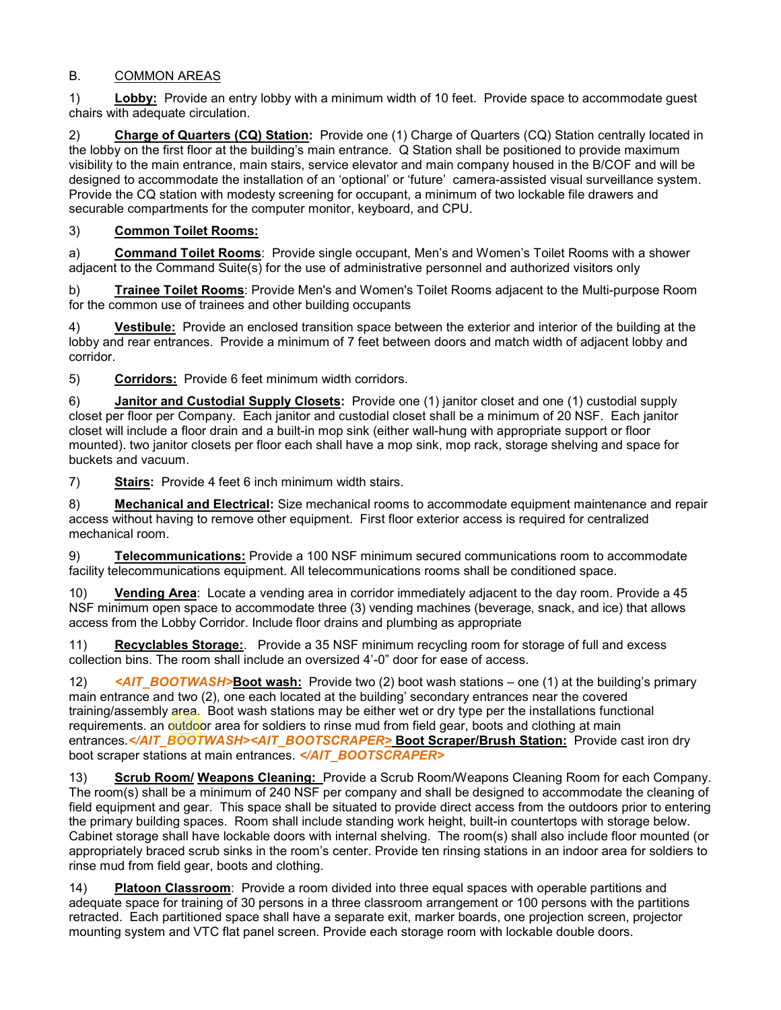# B. COMMON AREAS

1) **Lobby:** Provide an entry lobby with a minimum width of 10 feet. Provide space to accommodate guest chairs with adequate circulation.

2) **Charge of Quarters (CQ) Station:** Provide one (1) Charge of Quarters (CQ) Station centrally located in the lobby on the first floor at the building's main entrance. Q Station shall be positioned to provide maximum visibility to the main entrance, main stairs, service elevator and main company housed in the B/COF and will be designed to accommodate the installation of an 'optional' or 'future' camera-assisted visual surveillance system. Provide the CQ station with modesty screening for occupant, a minimum of two lockable file drawers and securable compartments for the computer monitor, keyboard, and CPU.

# 3) **Common Toilet Rooms:**

a) **Command Toilet Rooms**: Provide single occupant, Men's and Women's Toilet Rooms with a shower adjacent to the Command Suite(s) for the use of administrative personnel and authorized visitors only

b) **Trainee Toilet Rooms**: Provide Men's and Women's Toilet Rooms adjacent to the Multi-purpose Room for the common use of trainees and other building occupants

4) **Vestibule:** Provide an enclosed transition space between the exterior and interior of the building at the lobby and rear entrances. Provide a minimum of 7 feet between doors and match width of adjacent lobby and corridor.

5) **Corridors:** Provide 6 feet minimum width corridors.

6) **Janitor and Custodial Supply Closets:** Provide one (1) janitor closet and one (1) custodial supply closet per floor per Company. Each janitor and custodial closet shall be a minimum of 20 NSF. Each janitor closet will include a floor drain and a built-in mop sink (either wall-hung with appropriate support or floor mounted). two janitor closets per floor each shall have a mop sink, mop rack, storage shelving and space for buckets and vacuum.

7) **Stairs:** Provide 4 feet 6 inch minimum width stairs.

8) **Mechanical and Electrical:** Size mechanical rooms to accommodate equipment maintenance and repair access without having to remove other equipment. First floor exterior access is required for centralized mechanical room.

9) **Telecommunications:** Provide a 100 NSF minimum secured communications room to accommodate facility telecommunications equipment. All telecommunications rooms shall be conditioned space.

10) **Vending Area**: Locate a vending area in corridor immediately adjacent to the day room. Provide a 45 NSF minimum open space to accommodate three (3) vending machines (beverage, snack, and ice) that allows access from the Lobby Corridor. Include floor drains and plumbing as appropriate

11) **Recyclables Storage:**. Provide a 35 NSF minimum recycling room for storage of full and excess collection bins. The room shall include an oversized 4'-0" door for ease of access.

12) *<AIT\_BOOTWASH>***Boot wash:** Provide two (2) boot wash stations – one (1) at the building's primary main entrance and two (2), one each located at the building' secondary entrances near the covered training/assembly area. Boot wash stations may be either wet or dry type per the installations functional requirements. an outdoor area for soldiers to rinse mud from field gear, boots and clothing at main entrances*.</AIT\_BOOTWASH><AIT\_BOOTSCRAPER>* **Boot Scraper/Brush Station:** Provide cast iron dry boot scraper stations at main entrances. *</AIT\_BOOTSCRAPER>*

13) **Scrub Room/ Weapons Cleaning:** Provide a Scrub Room/Weapons Cleaning Room for each Company. The room(s) shall be a minimum of 240 NSF per company and shall be designed to accommodate the cleaning of field equipment and gear. This space shall be situated to provide direct access from the outdoors prior to entering the primary building spaces. Room shall include standing work height, built-in countertops with storage below. Cabinet storage shall have lockable doors with internal shelving. The room(s) shall also include floor mounted (or appropriately braced scrub sinks in the room's center. Provide ten rinsing stations in an indoor area for soldiers to rinse mud from field gear, boots and clothing.

14) **Platoon Classroom**: Provide a room divided into three equal spaces with operable partitions and adequate space for training of 30 persons in a three classroom arrangement or 100 persons with the partitions retracted. Each partitioned space shall have a separate exit, marker boards, one projection screen, projector mounting system and VTC flat panel screen. Provide each storage room with lockable double doors.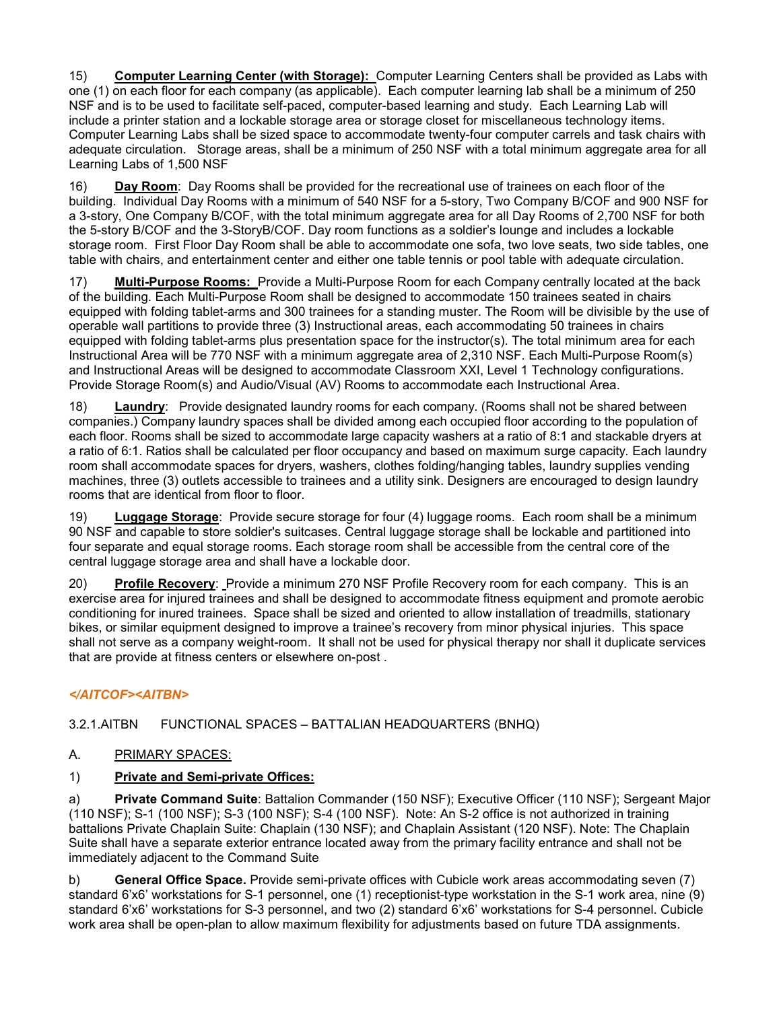15) **Computer Learning Center (with Storage):** Computer Learning Centers shall be provided as Labs with one (1) on each floor for each company (as applicable). Each computer learning lab shall be a minimum of 250 NSF and is to be used to facilitate self-paced, computer-based learning and study. Each Learning Lab will include a printer station and a lockable storage area or storage closet for miscellaneous technology items. Computer Learning Labs shall be sized space to accommodate twenty-four computer carrels and task chairs with adequate circulation. Storage areas, shall be a minimum of 250 NSF with a total minimum aggregate area for all Learning Labs of 1,500 NSF

16) **Day Room**: Day Rooms shall be provided for the recreational use of trainees on each floor of the building. Individual Day Rooms with a minimum of 540 NSF for a 5-story, Two Company B/COF and 900 NSF for a 3-story, One Company B/COF, with the total minimum aggregate area for all Day Rooms of 2,700 NSF for both the 5-story B/COF and the 3-StoryB/COF. Day room functions as a soldier's lounge and includes a lockable storage room. First Floor Day Room shall be able to accommodate one sofa, two love seats, two side tables, one table with chairs, and entertainment center and either one table tennis or pool table with adequate circulation.

17) **Multi-Purpose Rooms:** Provide a Multi-Purpose Room for each Company centrally located at the back of the building. Each Multi-Purpose Room shall be designed to accommodate 150 trainees seated in chairs equipped with folding tablet-arms and 300 trainees for a standing muster. The Room will be divisible by the use of operable wall partitions to provide three (3) Instructional areas, each accommodating 50 trainees in chairs equipped with folding tablet-arms plus presentation space for the instructor(s). The total minimum area for each Instructional Area will be 770 NSF with a minimum aggregate area of 2,310 NSF. Each Multi-Purpose Room(s) and Instructional Areas will be designed to accommodate Classroom XXI, Level 1 Technology configurations. Provide Storage Room(s) and Audio/Visual (AV) Rooms to accommodate each Instructional Area.

18) **Laundry**: Provide designated laundry rooms for each company. (Rooms shall not be shared between companies.) Company laundry spaces shall be divided among each occupied floor according to the population of each floor. Rooms shall be sized to accommodate large capacity washers at a ratio of 8:1 and stackable dryers at a ratio of 6:1. Ratios shall be calculated per floor occupancy and based on maximum surge capacity. Each laundry room shall accommodate spaces for dryers, washers, clothes folding/hanging tables, laundry supplies vending machines, three (3) outlets accessible to trainees and a utility sink. Designers are encouraged to design laundry rooms that are identical from floor to floor.

19) **Luggage Storage**: Provide secure storage for four (4) luggage rooms. Each room shall be a minimum 90 NSF and capable to store soldier's suitcases. Central luggage storage shall be lockable and partitioned into four separate and equal storage rooms. Each storage room shall be accessible from the central core of the central luggage storage area and shall have a lockable door.

20) **Profile Recovery**: Provide a minimum 270 NSF Profile Recovery room for each company. This is an exercise area for injured trainees and shall be designed to accommodate fitness equipment and promote aerobic conditioning for inured trainees. Space shall be sized and oriented to allow installation of treadmills, stationary bikes, or similar equipment designed to improve a trainee's recovery from minor physical injuries. This space shall not serve as a company weight-room. It shall not be used for physical therapy nor shall it duplicate services that are provide at fitness centers or elsewhere on-post .

# *</AITCOF><AITBN>*

3.2.1.AITBN FUNCTIONAL SPACES – BATTALIAN HEADQUARTERS (BNHQ)

#### A. PRIMARY SPACES:

#### 1) **Private and Semi-private Offices:**

a) **Private Command Suite**: Battalion Commander (150 NSF); Executive Officer (110 NSF); Sergeant Major (110 NSF); S-1 (100 NSF); S-3 (100 NSF); S-4 (100 NSF). Note: An S-2 office is not authorized in training battalions Private Chaplain Suite: Chaplain (130 NSF); and Chaplain Assistant (120 NSF). Note: The Chaplain Suite shall have a separate exterior entrance located away from the primary facility entrance and shall not be immediately adjacent to the Command Suite

b) **General Office Space.** Provide semi-private offices with Cubicle work areas accommodating seven (7) standard 6'x6' workstations for S-1 personnel, one (1) receptionist-type workstation in the S-1 work area, nine (9) standard 6'x6' workstations for S-3 personnel, and two (2) standard 6'x6' workstations for S-4 personnel. Cubicle work area shall be open-plan to allow maximum flexibility for adjustments based on future TDA assignments.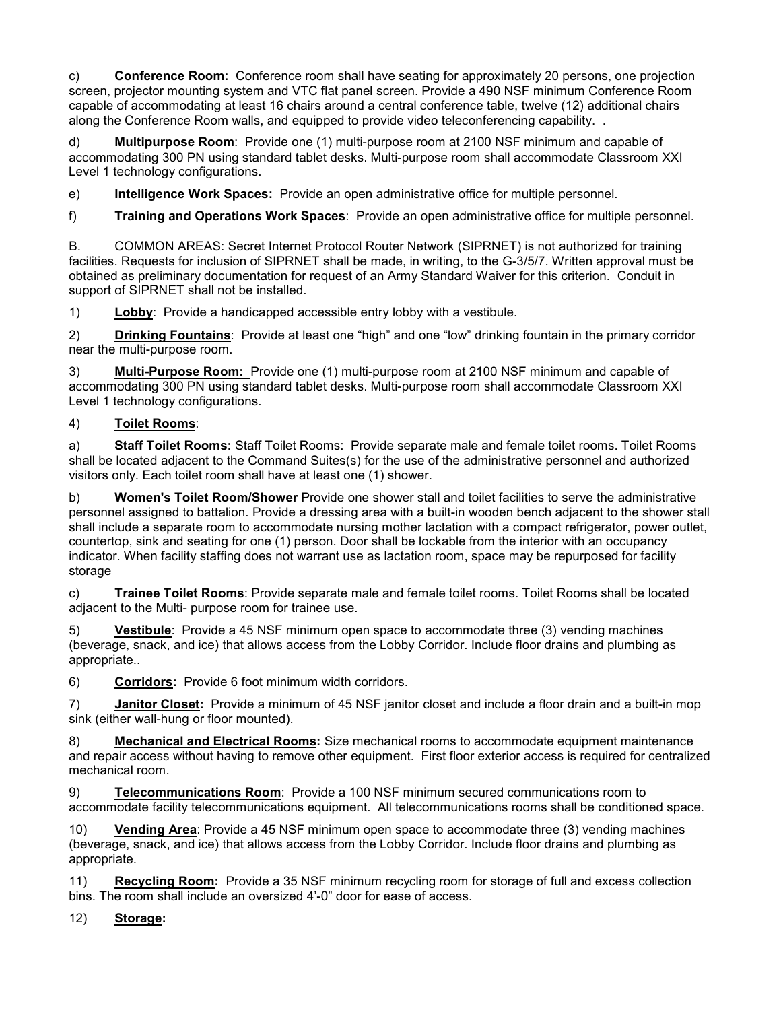c) **Conference Room:** Conference room shall have seating for approximately 20 persons, one projection screen, projector mounting system and VTC flat panel screen. Provide a 490 NSF minimum Conference Room capable of accommodating at least 16 chairs around a central conference table, twelve (12) additional chairs along the Conference Room walls, and equipped to provide video teleconferencing capability. .

d) **Multipurpose Room**: Provide one (1) multi-purpose room at 2100 NSF minimum and capable of accommodating 300 PN using standard tablet desks. Multi-purpose room shall accommodate Classroom XXI Level 1 technology configurations.

e) **Intelligence Work Spaces:** Provide an open administrative office for multiple personnel.

f) **Training and Operations Work Spaces**: Provide an open administrative office for multiple personnel.

B. COMMON AREAS: Secret Internet Protocol Router Network (SIPRNET) is not authorized for training facilities. Requests for inclusion of SIPRNET shall be made, in writing, to the G-3/5/7. Written approval must be obtained as preliminary documentation for request of an Army Standard Waiver for this criterion. Conduit in support of SIPRNET shall not be installed.

1) **Lobby**: Provide a handicapped accessible entry lobby with a vestibule.

2) **Drinking Fountains**: Provide at least one "high" and one "low" drinking fountain in the primary corridor near the multi-purpose room.

3) **Multi-Purpose Room:** Provide one (1) multi-purpose room at 2100 NSF minimum and capable of accommodating 300 PN using standard tablet desks. Multi-purpose room shall accommodate Classroom XXI Level 1 technology configurations.

# 4) **Toilet Rooms**:

a) **Staff Toilet Rooms:** Staff Toilet Rooms: Provide separate male and female toilet rooms. Toilet Rooms shall be located adjacent to the Command Suites(s) for the use of the administrative personnel and authorized visitors only. Each toilet room shall have at least one (1) shower.

b) **Women's Toilet Room/Shower** Provide one shower stall and toilet facilities to serve the administrative personnel assigned to battalion. Provide a dressing area with a built-in wooden bench adjacent to the shower stall shall include a separate room to accommodate nursing mother lactation with a compact refrigerator, power outlet, countertop, sink and seating for one (1) person. Door shall be lockable from the interior with an occupancy indicator. When facility staffing does not warrant use as lactation room, space may be repurposed for facility storage

c) **Trainee Toilet Rooms**: Provide separate male and female toilet rooms. Toilet Rooms shall be located adjacent to the Multi- purpose room for trainee use.

5) **Vestibule**: Provide a 45 NSF minimum open space to accommodate three (3) vending machines (beverage, snack, and ice) that allows access from the Lobby Corridor. Include floor drains and plumbing as appropriate..

6) **Corridors:** Provide 6 foot minimum width corridors.

7) **Janitor Closet:** Provide a minimum of 45 NSF janitor closet and include a floor drain and a built-in mop sink (either wall-hung or floor mounted).

8) **Mechanical and Electrical Rooms:** Size mechanical rooms to accommodate equipment maintenance and repair access without having to remove other equipment. First floor exterior access is required for centralized mechanical room.

9) **Telecommunications Room**: Provide a 100 NSF minimum secured communications room to accommodate facility telecommunications equipment. All telecommunications rooms shall be conditioned space.

10) **Vending Area**: Provide a 45 NSF minimum open space to accommodate three (3) vending machines (beverage, snack, and ice) that allows access from the Lobby Corridor. Include floor drains and plumbing as appropriate.

11) **Recycling Room:** Provide a 35 NSF minimum recycling room for storage of full and excess collection bins. The room shall include an oversized 4'-0" door for ease of access.

12) **Storage:**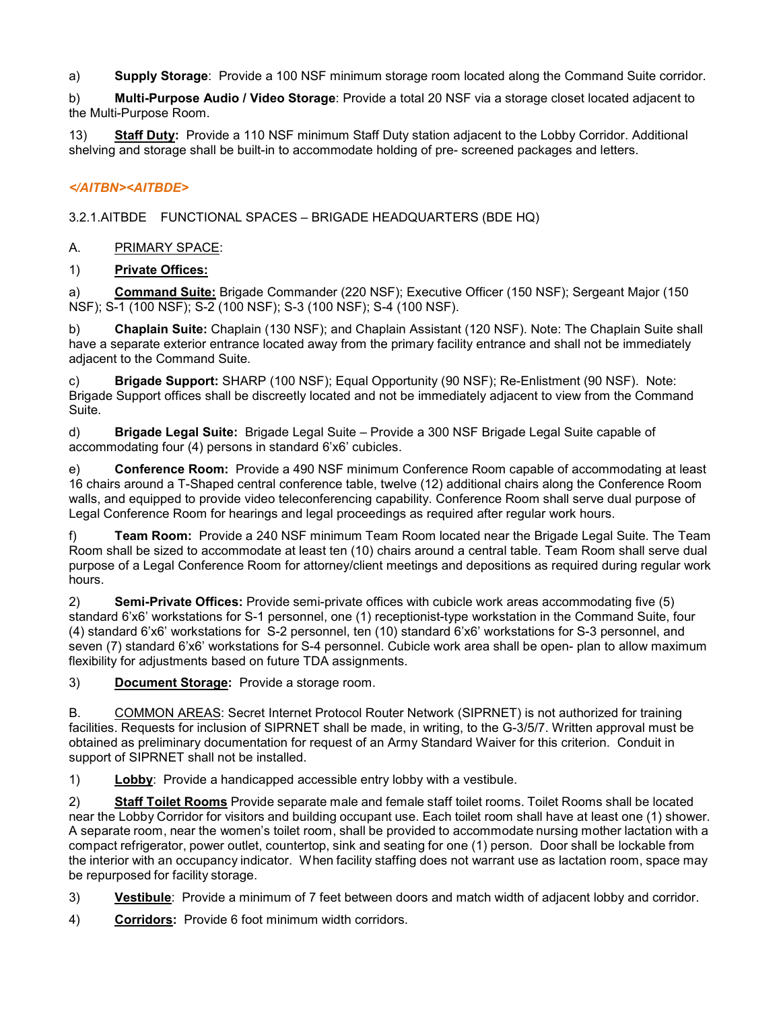a) **Supply Storage**: Provide a 100 NSF minimum storage room located along the Command Suite corridor.

b) **Multi-Purpose Audio / Video Storage**: Provide a total 20 NSF via a storage closet located adjacent to the Multi-Purpose Room.

13) **Staff Duty:** Provide a 110 NSF minimum Staff Duty station adjacent to the Lobby Corridor. Additional shelving and storage shall be built-in to accommodate holding of pre- screened packages and letters.

# *</AITBN><AITBDE>*

3.2.1.AITBDE FUNCTIONAL SPACES – BRIGADE HEADQUARTERS (BDE HQ)

# A. PRIMARY SPACE:

# 1) **Private Offices:**

a) **Command Suite:** Brigade Commander (220 NSF); Executive Officer (150 NSF); Sergeant Major (150 NSF); S-1 (100 NSF); S-2 (100 NSF); S-3 (100 NSF); S-4 (100 NSF).

b) **Chaplain Suite:** Chaplain (130 NSF); and Chaplain Assistant (120 NSF). Note: The Chaplain Suite shall have a separate exterior entrance located away from the primary facility entrance and shall not be immediately adjacent to the Command Suite.

c) **Brigade Support:** SHARP (100 NSF); Equal Opportunity (90 NSF); Re-Enlistment (90 NSF). Note: Brigade Support offices shall be discreetly located and not be immediately adjacent to view from the Command Suite.

d) **Brigade Legal Suite:** Brigade Legal Suite – Provide a 300 NSF Brigade Legal Suite capable of accommodating four (4) persons in standard 6'x6' cubicles.

e) **Conference Room:** Provide a 490 NSF minimum Conference Room capable of accommodating at least 16 chairs around a T-Shaped central conference table, twelve (12) additional chairs along the Conference Room walls, and equipped to provide video teleconferencing capability. Conference Room shall serve dual purpose of Legal Conference Room for hearings and legal proceedings as required after regular work hours.

f) **Team Room:** Provide a 240 NSF minimum Team Room located near the Brigade Legal Suite. The Team Room shall be sized to accommodate at least ten (10) chairs around a central table. Team Room shall serve dual purpose of a Legal Conference Room for attorney/client meetings and depositions as required during regular work hours.

2) **Semi-Private Offices:** Provide semi-private offices with cubicle work areas accommodating five (5) standard 6'x6' workstations for S-1 personnel, one (1) receptionist-type workstation in the Command Suite, four (4) standard 6'x6' workstations for S-2 personnel, ten (10) standard 6'x6' workstations for S-3 personnel, and seven (7) standard 6'x6' workstations for S-4 personnel. Cubicle work area shall be open- plan to allow maximum flexibility for adjustments based on future TDA assignments.

3) **Document Storage:** Provide a storage room.

B. COMMON AREAS: Secret Internet Protocol Router Network (SIPRNET) is not authorized for training facilities. Requests for inclusion of SIPRNET shall be made, in writing, to the G-3/5/7. Written approval must be obtained as preliminary documentation for request of an Army Standard Waiver for this criterion. Conduit in support of SIPRNET shall not be installed.

1) **Lobby**: Provide a handicapped accessible entry lobby with a vestibule.

2) **Staff Toilet Rooms** Provide separate male and female staff toilet rooms. Toilet Rooms shall be located near the Lobby Corridor for visitors and building occupant use. Each toilet room shall have at least one (1) shower. A separate room, near the women's toilet room, shall be provided to accommodate nursing mother lactation with a compact refrigerator, power outlet, countertop, sink and seating for one (1) person. Door shall be lockable from the interior with an occupancy indicator. When facility staffing does not warrant use as lactation room, space may be repurposed for facility storage.

3) **Vestibule**: Provide a minimum of 7 feet between doors and match width of adjacent lobby and corridor.

4) **Corridors:** Provide 6 foot minimum width corridors.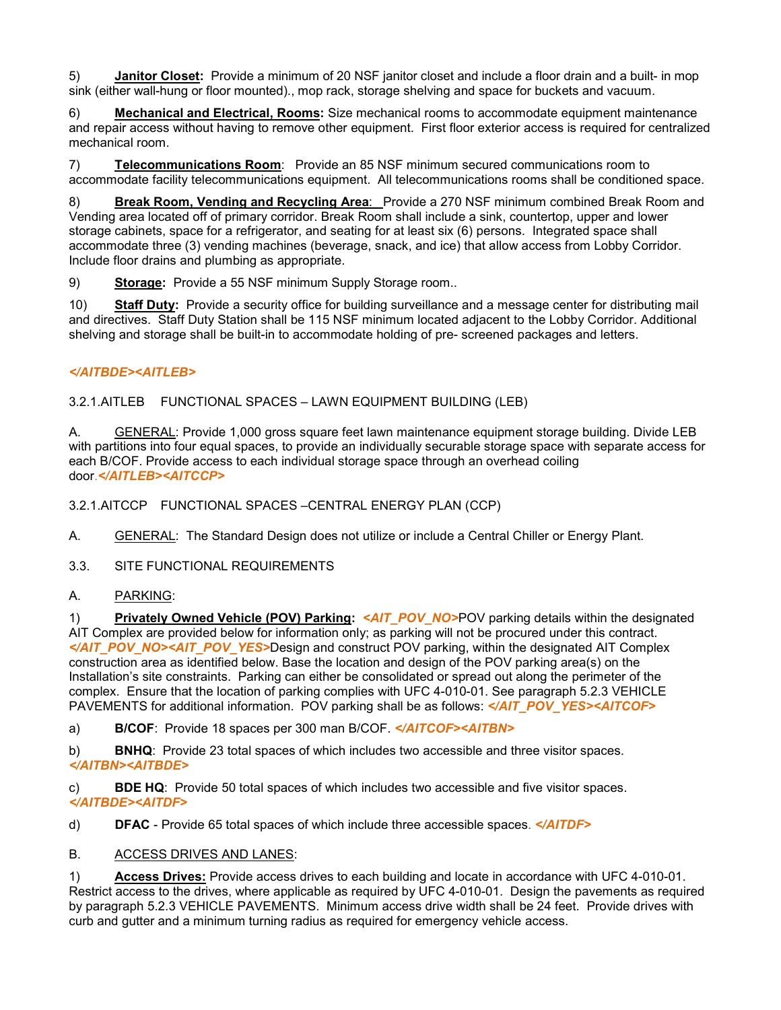5) **Janitor Closet:** Provide a minimum of 20 NSF janitor closet and include a floor drain and a built- in mop sink (either wall-hung or floor mounted)., mop rack, storage shelving and space for buckets and vacuum.

6) **Mechanical and Electrical, Rooms:** Size mechanical rooms to accommodate equipment maintenance and repair access without having to remove other equipment. First floor exterior access is required for centralized mechanical room.

7) **Telecommunications Room**: Provide an 85 NSF minimum secured communications room to accommodate facility telecommunications equipment. All telecommunications rooms shall be conditioned space.

8) **Break Room, Vending and Recycling Area**: Provide a 270 NSF minimum combined Break Room and Vending area located off of primary corridor. Break Room shall include a sink, countertop, upper and lower storage cabinets, space for a refrigerator, and seating for at least six (6) persons. Integrated space shall accommodate three (3) vending machines (beverage, snack, and ice) that allow access from Lobby Corridor. Include floor drains and plumbing as appropriate.

9) **Storage:** Provide a 55 NSF minimum Supply Storage room..

10) **Staff Duty:** Provide a security office for building surveillance and a message center for distributing mail and directives. Staff Duty Station shall be 115 NSF minimum located adjacent to the Lobby Corridor. Additional shelving and storage shall be built-in to accommodate holding of pre- screened packages and letters.

# *</AITBDE><AITLEB>*

3.2.1.AITLEB FUNCTIONAL SPACES – LAWN EQUIPMENT BUILDING (LEB)

A. GENERAL: Provide 1,000 gross square feet lawn maintenance equipment storage building. Divide LEB with partitions into four equal spaces, to provide an individually securable storage space with separate access for each B/COF. Provide access to each individual storage space through an overhead coiling door.*</AITLEB><AITCCP>*

3.2.1.AITCCP FUNCTIONAL SPACES –CENTRAL ENERGY PLAN (CCP)

A. GENERAL: The Standard Design does not utilize or include a Central Chiller or Energy Plant.

3.3. SITE FUNCTIONAL REQUIREMENTS

#### A. PARKING:

1) **Privately Owned Vehicle (POV) Parking:** *<AIT\_POV\_NO>*POV parking details within the designated AIT Complex are provided below for information only; as parking will not be procured under this contract. *</AIT\_POV\_NO><AIT\_POV\_YES>*Design and construct POV parking, within the designated AIT Complex construction area as identified below. Base the location and design of the POV parking area(s) on the Installation's site constraints. Parking can either be consolidated or spread out along the perimeter of the complex. Ensure that the location of parking complies with UFC 4-010-01. See paragraph 5.2.3 VEHICLE PAVEMENTS for additional information. POV parking shall be as follows: *</AIT\_POV\_YES><AITCOF>*

a) **B/COF**: Provide 18 spaces per 300 man B/COF. *</AITCOF><AITBN>*

b) **BNHQ**: Provide 23 total spaces of which includes two accessible and three visitor spaces. *</AITBN><AITBDE>*

c) **BDE HQ**: Provide 50 total spaces of which includes two accessible and five visitor spaces. *</AITBDE><AITDF>*

d) **DFAC** - Provide 65 total spaces of which include three accessible spaces. *</AITDF>*

#### B. ACCESS DRIVES AND LANES:

1) **Access Drives:** Provide access drives to each building and locate in accordance with UFC 4-010-01. Restrict access to the drives, where applicable as required by UFC 4-010-01. Design the pavements as required by paragraph 5.2.3 VEHICLE PAVEMENTS. Minimum access drive width shall be 24 feet. Provide drives with curb and gutter and a minimum turning radius as required for emergency vehicle access.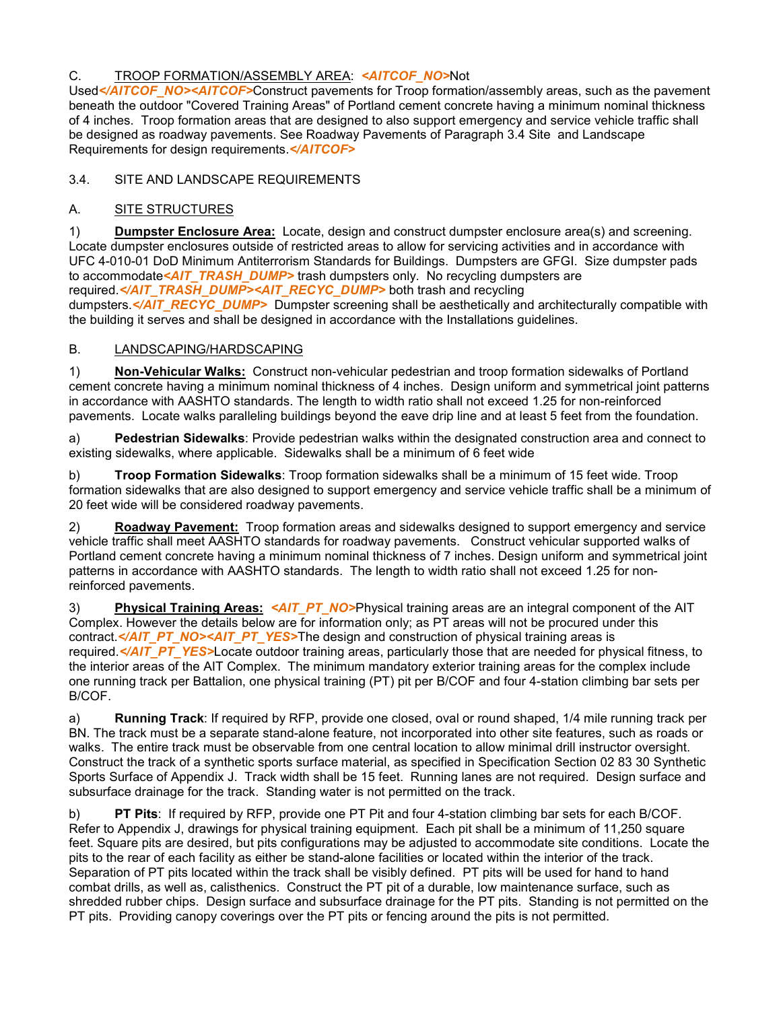# C. TROOP FORMATION/ASSEMBLY AREA: *<AITCOF\_NO>*Not

Used</**AITCOF\_NO><AITCOF>**Construct pavements for Troop formation/assembly areas, such as the pavement beneath the outdoor "Covered Training Areas" of Portland cement concrete having a minimum nominal thickness of 4 inches. Troop formation areas that are designed to also support emergency and service vehicle traffic shall be designed as roadway pavements. See Roadway Pavements of Paragraph 3.4 Site and Landscape Requirements for design requirements.*</AITCOF>*

# 3.4. SITE AND LANDSCAPE REQUIREMENTS

# A. SITE STRUCTURES

1) **Dumpster Enclosure Area:** Locate, design and construct dumpster enclosure area(s) and screening. Locate dumpster enclosures outside of restricted areas to allow for servicing activities and in accordance with UFC 4-010-01 DoD Minimum Antiterrorism Standards for Buildings. Dumpsters are GFGI. Size dumpster pads to accommodate*<AIT\_TRASH\_DUMP>* trash dumpsters only. No recycling dumpsters are required.</AIT\_TRASH\_DUMP><AIT\_RECYC\_DUMP> both trash and recycling dumpsters.<sup>«/AIT\_RECYC\_DUMP>\_Dumpster screening shall be aesthetically and architecturally compatible with</sup> the building it serves and shall be designed in accordance with the Installations guidelines.

#### B. LANDSCAPING/HARDSCAPING

1) **Non-Vehicular Walks:** Construct non-vehicular pedestrian and troop formation sidewalks of Portland cement concrete having a minimum nominal thickness of 4 inches. Design uniform and symmetrical joint patterns in accordance with AASHTO standards. The length to width ratio shall not exceed 1.25 for non-reinforced pavements.Locate walks paralleling buildings beyond the eave drip line and at least 5 feet from the foundation.

a) **Pedestrian Sidewalks**: Provide pedestrian walks within the designated construction area and connect to existing sidewalks, where applicable. Sidewalks shall be a minimum of 6 feet wide

b) **Troop Formation Sidewalks**: Troop formation sidewalks shall be a minimum of 15 feet wide. Troop formation sidewalks that are also designed to support emergency and service vehicle traffic shall be a minimum of 20 feet wide will be considered roadway pavements.

2) **Roadway Pavement:** Troop formation areas and sidewalks designed to support emergency and service vehicle traffic shall meet AASHTO standards for roadway pavements. Construct vehicular supported walks of Portland cement concrete having a minimum nominal thickness of 7 inches. Design uniform and symmetrical joint patterns in accordance with AASHTO standards. The length to width ratio shall not exceed 1.25 for nonreinforced pavements.

3) **Physical Training Areas:** *<AIT\_PT\_NO>*Physical training areas are an integral component of the AIT Complex. However the details below are for information only; as PT areas will not be procured under this contract.</*AIT\_PT\_NO><AIT\_PT\_YES>*The design and construction of physical training areas is required.*</AIT\_PT\_YES>*Locate outdoor training areas, particularly those that are needed for physical fitness, to the interior areas of the AIT Complex. The minimum mandatory exterior training areas for the complex include one running track per Battalion, one physical training (PT) pit per B/COF and four 4-station climbing bar sets per B/COF.

a) **Running Track**: If required by RFP, provide one closed, oval or round shaped, 1/4 mile running track per BN. The track must be a separate stand-alone feature, not incorporated into other site features, such as roads or walks. The entire track must be observable from one central location to allow minimal drill instructor oversight. Construct the track of a synthetic sports surface material, as specified in Specification Section 02 83 30 Synthetic Sports Surface of Appendix J. Track width shall be 15 feet. Running lanes are not required. Design surface and subsurface drainage for the track. Standing water is not permitted on the track.

b) **PT Pits**: If required by RFP, provide one PT Pit and four 4-station climbing bar sets for each B/COF. Refer to Appendix J, drawings for physical training equipment. Each pit shall be a minimum of 11,250 square feet. Square pits are desired, but pits configurations may be adjusted to accommodate site conditions. Locate the pits to the rear of each facility as either be stand-alone facilities or located within the interior of the track. Separation of PT pits located within the track shall be visibly defined. PT pits will be used for hand to hand combat drills, as well as, calisthenics. Construct the PT pit of a durable, low maintenance surface, such as shredded rubber chips. Design surface and subsurface drainage for the PT pits. Standing is not permitted on the PT pits. Providing canopy coverings over the PT pits or fencing around the pits is not permitted.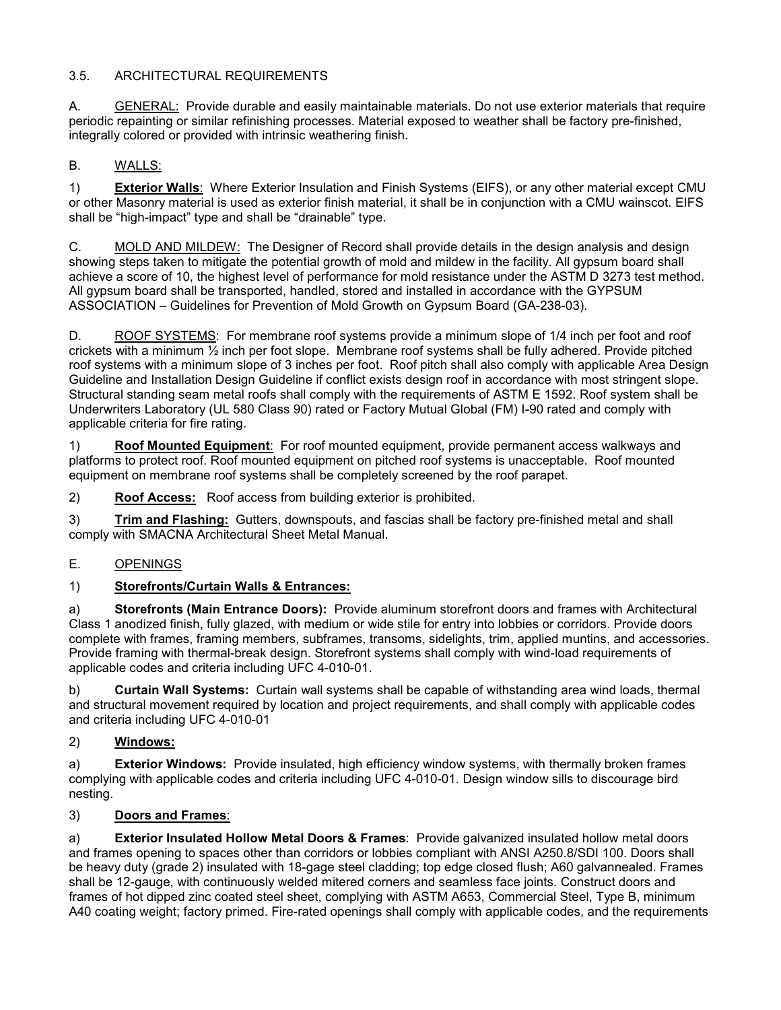# 3.5. ARCHITECTURAL REQUIREMENTS

A. GENERAL: Provide durable and easily maintainable materials. Do not use exterior materials that require periodic repainting or similar refinishing processes. Material exposed to weather shall be factory pre-finished, integrally colored or provided with intrinsic weathering finish.

# B. WALLS:

1) **Exterior Walls**: Where Exterior Insulation and Finish Systems (EIFS), or any other material except CMU or other Masonry material is used as exterior finish material, it shall be in conjunction with a CMU wainscot. EIFS shall be "high-impact" type and shall be "drainable" type.

C. MOLD AND MILDEW: The Designer of Record shall provide details in the design analysis and design showing steps taken to mitigate the potential growth of mold and mildew in the facility. All gypsum board shall achieve a score of 10, the highest level of performance for mold resistance under the ASTM D 3273 test method. All gypsum board shall be transported, handled, stored and installed in accordance with the GYPSUM ASSOCIATION – Guidelines for Prevention of Mold Growth on Gypsum Board (GA-238-03).

D. ROOF SYSTEMS: For membrane roof systems provide a minimum slope of 1/4 inch per foot and roof crickets with a minimum ½ inch per foot slope. Membrane roof systems shall be fully adhered. Provide pitched roof systems with a minimum slope of 3 inches per foot. Roof pitch shall also comply with applicable Area Design Guideline and Installation Design Guideline if conflict exists design roof in accordance with most stringent slope. Structural standing seam metal roofs shall comply with the requirements of ASTM E 1592. Roof system shall be Underwriters Laboratory (UL 580 Class 90) rated or Factory Mutual Global (FM) I-90 rated and comply with applicable criteria for fire rating.

1) **Roof Mounted Equipment**: For roof mounted equipment, provide permanent access walkways and platforms to protect roof. Roof mounted equipment on pitched roof systems is unacceptable. Roof mounted equipment on membrane roof systems shall be completely screened by the roof parapet.

2) **Roof Access:** Roof access from building exterior is prohibited.

3) **Trim and Flashing:** Gutters, downspouts, and fascias shall be factory pre-finished metal and shall comply with SMACNA Architectural Sheet Metal Manual.

# E. OPENINGS

# 1) **Storefronts/Curtain Walls & Entrances:**

a) **Storefronts (Main Entrance Doors):** Provide aluminum storefront doors and frames with Architectural Class 1 anodized finish, fully glazed, with medium or wide stile for entry into lobbies or corridors. Provide doors complete with frames, framing members, subframes, transoms, sidelights, trim, applied muntins, and accessories. Provide framing with thermal-break design. Storefront systems shall comply with wind-load requirements of applicable codes and criteria including UFC 4-010-01.

b) **Curtain Wall Systems:** Curtain wall systems shall be capable of withstanding area wind loads, thermal and structural movement required by location and project requirements, and shall comply with applicable codes and criteria including UFC 4-010-01

#### 2) **Windows:**

a) **Exterior Windows:** Provide insulated, high efficiency window systems, with thermally broken frames complying with applicable codes and criteria including UFC 4-010-01. Design window sills to discourage bird nesting.

# 3) **Doors and Frames**:

a) **Exterior Insulated Hollow Metal Doors & Frames**: Provide galvanized insulated hollow metal doors and frames opening to spaces other than corridors or lobbies compliant with ANSI A250.8/SDI 100. Doors shall be heavy duty (grade 2) insulated with 18-gage steel cladding; top edge closed flush; A60 galvannealed. Frames shall be 12-gauge, with continuously welded mitered corners and seamless face joints. Construct doors and frames of hot dipped zinc coated steel sheet, complying with ASTM A653, Commercial Steel, Type B, minimum A40 coating weight; factory primed. Fire-rated openings shall comply with applicable codes, and the requirements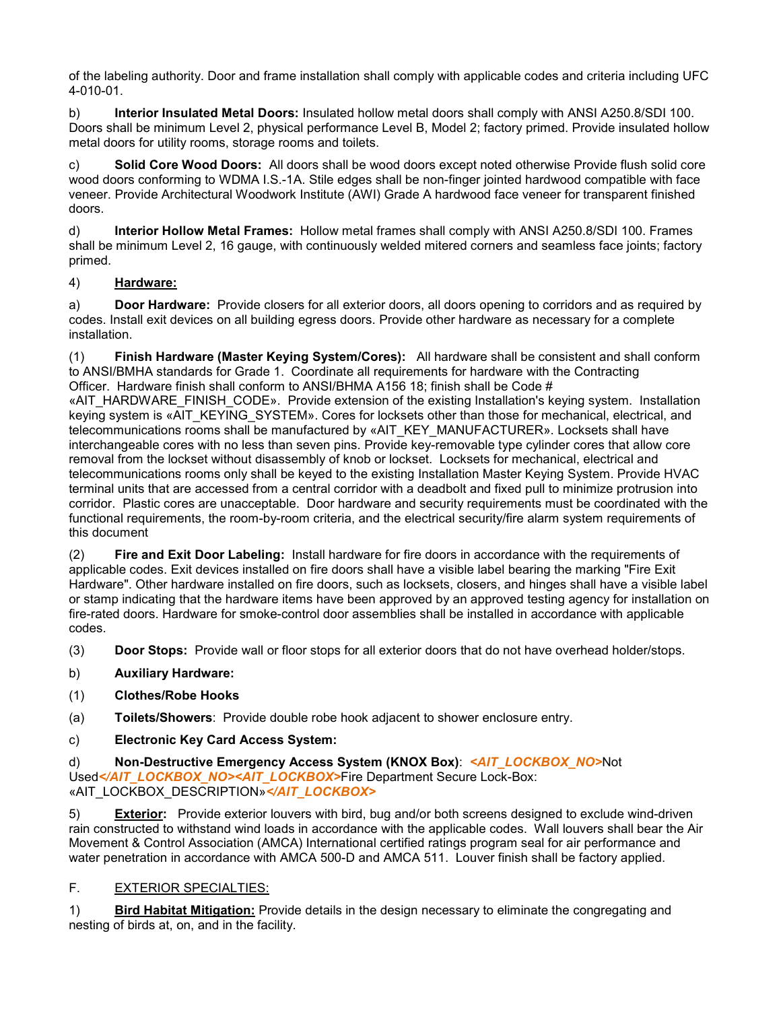of the labeling authority. Door and frame installation shall comply with applicable codes and criteria including UFC 4-010-01.

b) **Interior Insulated Metal Doors:** Insulated hollow metal doors shall comply with ANSI A250.8/SDI 100. Doors shall be minimum Level 2, physical performance Level B, Model 2; factory primed. Provide insulated hollow metal doors for utility rooms, storage rooms and toilets.

c) **Solid Core Wood Doors:** All doors shall be wood doors except noted otherwise Provide flush solid core wood doors conforming to WDMA I.S.-1A. Stile edges shall be non-finger jointed hardwood compatible with face veneer. Provide Architectural Woodwork Institute (AWI) Grade A hardwood face veneer for transparent finished doors.

d) **Interior Hollow Metal Frames:** Hollow metal frames shall comply with ANSI A250.8/SDI 100. Frames shall be minimum Level 2, 16 gauge, with continuously welded mitered corners and seamless face joints; factory primed.

# 4) **Hardware:**

a) **Door Hardware:** Provide closers for all exterior doors, all doors opening to corridors and as required by codes. Install exit devices on all building egress doors. Provide other hardware as necessary for a complete installation.

(1) **Finish Hardware (Master Keying System/Cores):** All hardware shall be consistent and shall conform to ANSI/BMHA standards for Grade 1. Coordinate all requirements for hardware with the Contracting Officer. Hardware finish shall conform to ANSI/BHMA A156 18; finish shall be Code #

«AIT\_HARDWARE\_FINISH\_CODE». Provide extension of the existing Installation's keying system. Installation keying system is «AIT\_KEYING\_SYSTEM». Cores for locksets other than those for mechanical, electrical, and telecommunications rooms shall be manufactured by «AIT\_KEY\_MANUFACTURER». Locksets shall have interchangeable cores with no less than seven pins. Provide key-removable type cylinder cores that allow core removal from the lockset without disassembly of knob or lockset. Locksets for mechanical, electrical and telecommunications rooms only shall be keyed to the existing Installation Master Keying System. Provide HVAC terminal units that are accessed from a central corridor with a deadbolt and fixed pull to minimize protrusion into corridor. Plastic cores are unacceptable. Door hardware and security requirements must be coordinated with the functional requirements, the room-by-room criteria, and the electrical security/fire alarm system requirements of this document

(2) **Fire and Exit Door Labeling:** Install hardware for fire doors in accordance with the requirements of applicable codes. Exit devices installed on fire doors shall have a visible label bearing the marking "Fire Exit Hardware". Other hardware installed on fire doors, such as locksets, closers, and hinges shall have a visible label or stamp indicating that the hardware items have been approved by an approved testing agency for installation on fire-rated doors. Hardware for smoke-control door assemblies shall be installed in accordance with applicable codes.

(3) **Door Stops:** Provide wall or floor stops for all exterior doors that do not have overhead holder/stops.

- b) **Auxiliary Hardware:**
- (1) **Clothes/Robe Hooks**
- (a) **Toilets/Showers**: Provide double robe hook adjacent to shower enclosure entry.
- c) **Electronic Key Card Access System:**

d) **Non-Destructive Emergency Access System (KNOX Box)**: *<AIT\_LOCKBOX\_NO>*Not Used</AIT\_LOCKBOX\_NO><AIT\_LOCKBOX>Fire Department Secure Lock-Box: «AIT\_LOCKBOX\_DESCRIPTION»*</AIT\_LOCKBOX>*

5) **Exterior:** Provide exterior louvers with bird, bug and/or both screens designed to exclude wind-driven rain constructed to withstand wind loads in accordance with the applicable codes. Wall louvers shall bear the Air Movement & Control Association (AMCA) International certified ratings program seal for air performance and water penetration in accordance with AMCA 500-D and AMCA 511. Louver finish shall be factory applied.

# F. **EXTERIOR SPECIALTIES:**

1) **Bird Habitat Mitigation:** Provide details in the design necessary to eliminate the congregating and nesting of birds at, on, and in the facility.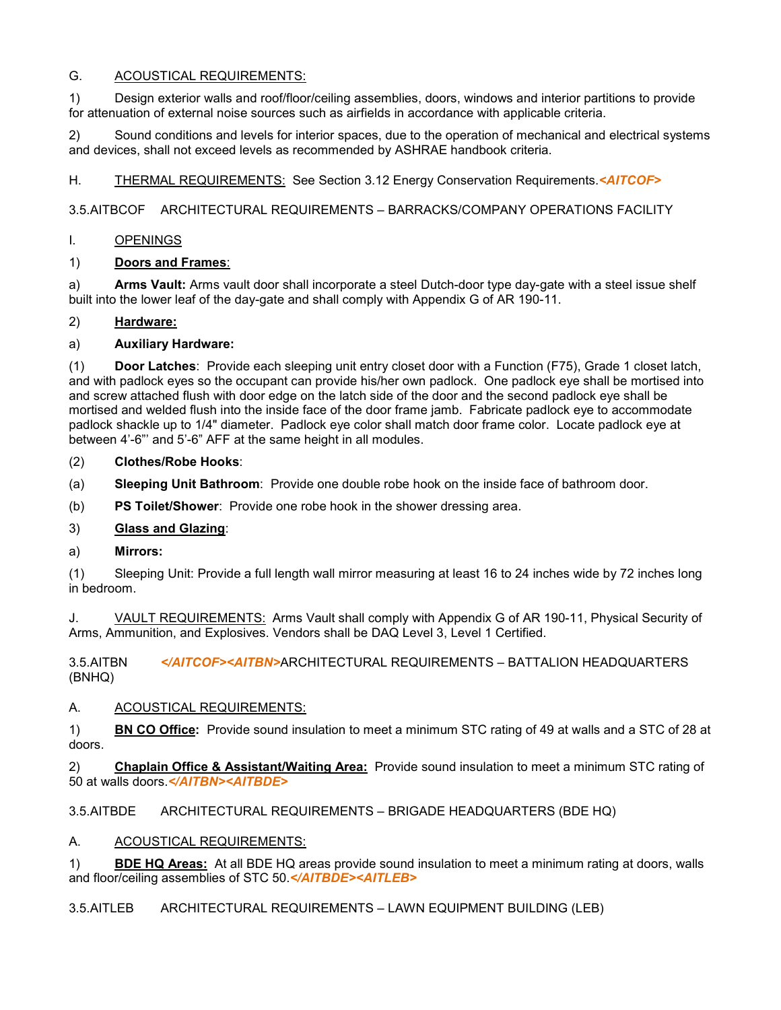# G. ACOUSTICAL REQUIREMENTS:

1) Design exterior walls and roof/floor/ceiling assemblies, doors, windows and interior partitions to provide for attenuation of external noise sources such as airfields in accordance with applicable criteria.

2) Sound conditions and levels for interior spaces, due to the operation of mechanical and electrical systems and devices, shall not exceed levels as recommended by ASHRAE handbook criteria.

H. THERMAL REQUIREMENTS: See Section 3.12 Energy Conservation Requirements.*<AITCOF>*

3.5.AITBCOF ARCHITECTURAL REQUIREMENTS – BARRACKS/COMPANY OPERATIONS FACILITY

#### I. OPENINGS

#### 1) **Doors and Frames**:

a) **Arms Vault:** Arms vault door shall incorporate a steel Dutch-door type day-gate with a steel issue shelf built into the lower leaf of the day-gate and shall comply with Appendix G of AR 190-11.

#### 2) **Hardware:**

# a) **Auxiliary Hardware:**

(1) **Door Latches**:Provide each sleeping unit entry closet door with a Function (F75), Grade 1 closet latch, and with padlock eyes so the occupant can provide his/her own padlock. One padlock eye shall be mortised into and screw attached flush with door edge on the latch side of the door and the second padlock eye shall be mortised and welded flush into the inside face of the door frame jamb. Fabricate padlock eye to accommodate padlock shackle up to 1/4" diameter. Padlock eye color shall match door frame color. Locate padlock eye at between 4'-6"' and 5'-6" AFF at the same height in all modules.

- (2) **Clothes/Robe Hooks**:
- (a) **Sleeping Unit Bathroom**: Provide one double robe hook on the inside face of bathroom door.
- (b) **PS Toilet/Shower**: Provide one robe hook in the shower dressing area.

# 3) **Glass and Glazing**:

a) **Mirrors:**

(1) Sleeping Unit: Provide a full length wall mirror measuring at least 16 to 24 inches wide by 72 inches long in bedroom.

J. VAULT REQUIREMENTS: Arms Vault shall comply with Appendix G of AR 190-11, Physical Security of Arms, Ammunition, and Explosives. Vendors shall be DAQ Level 3, Level 1 Certified.

3.5.AITBN *</AITCOF><AITBN>*ARCHITECTURAL REQUIREMENTS – BATTALION HEADQUARTERS (BNHQ)

#### A. ACOUSTICAL REQUIREMENTS:

1) **BN CO Office:** Provide sound insulation to meet a minimum STC rating of 49 at walls and a STC of 28 at doors.

2) **Chaplain Office & Assistant/Waiting Area:**Provide sound insulation to meet a minimum STC rating of 50 at walls doors.*</AITBN><AITBDE>*

3.5.AITBDE ARCHITECTURAL REQUIREMENTS – BRIGADE HEADQUARTERS (BDE HQ)

#### A. ACOUSTICAL REQUIREMENTS:

1) **BDE HQ Areas:** At all BDE HQ areas provide sound insulation to meet a minimum rating at doors, walls and floor/ceiling assemblies of STC 50.*</AITBDE><AITLEB>*

3.5.AITLEB ARCHITECTURAL REQUIREMENTS – LAWN EQUIPMENT BUILDING (LEB)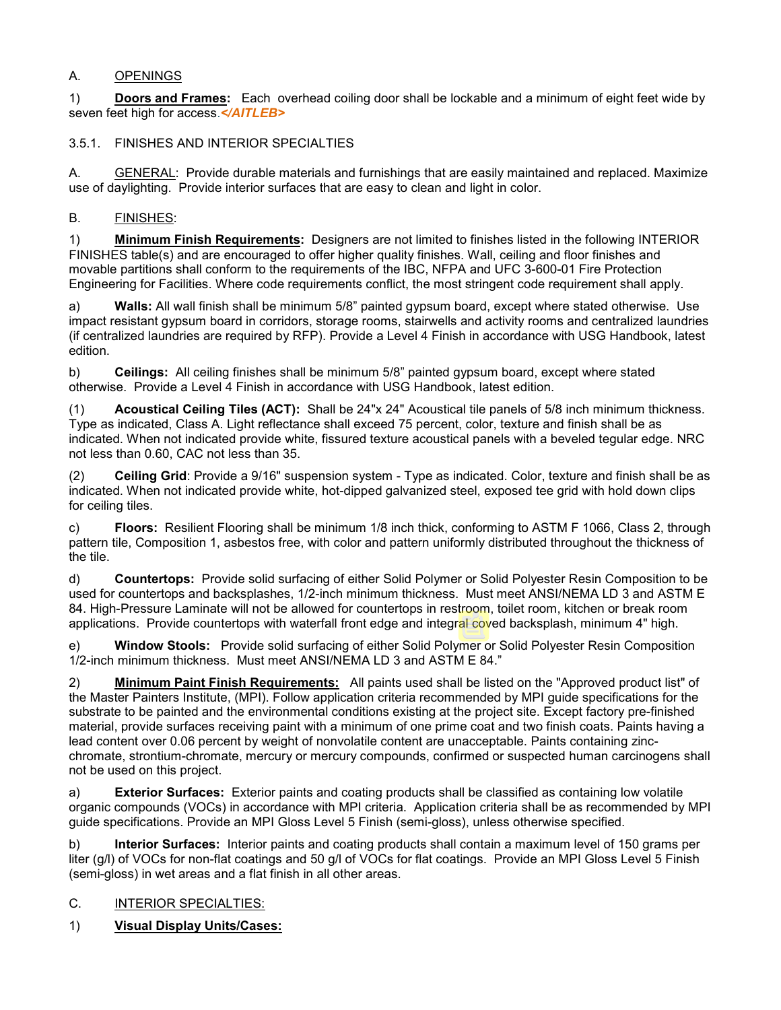# A. OPENINGS

1) **Doors and Frames:** Each overhead coiling door shall be lockable and a minimum of eight feet wide by seven feet high for access.*</AITLEB>*

# 3.5.1. FINISHES AND INTERIOR SPECIALTIES

A. GENERAL: Provide durable materials and furnishings that are easily maintained and replaced. Maximize use of daylighting. Provide interior surfaces that are easy to clean and light in color.

# B. FINISHES:

1) **Minimum Finish Requirements:** Designers are not limited to finishes listed in the following INTERIOR FINISHES table(s) and are encouraged to offer higher quality finishes. Wall, ceiling and floor finishes and movable partitions shall conform to the requirements of the IBC, NFPA and UFC 3-600-01 Fire Protection Engineering for Facilities. Where code requirements conflict, the most stringent code requirement shall apply.

a) **Walls:** All wall finish shall be minimum 5/8" painted gypsum board, except where stated otherwise. Use impact resistant gypsum board in corridors, storage rooms, stairwells and activity rooms and centralized laundries (if centralized laundries are required by RFP). Provide a Level 4 Finish in accordance with USG Handbook, latest edition.

b) **Ceilings:** All ceiling finishes shall be minimum 5/8" painted gypsum board, except where stated otherwise. Provide a Level 4 Finish in accordance with USG Handbook, latest edition.

(1) **Acoustical Ceiling Tiles (ACT):** Shall be 24"x 24" Acoustical tile panels of 5/8 inch minimum thickness. Type as indicated, Class A. Light reflectance shall exceed 75 percent, color, texture and finish shall be as indicated. When not indicated provide white, fissured texture acoustical panels with a beveled tegular edge. NRC not less than 0.60, CAC not less than 35.

(2) **Ceiling Grid**: Provide a 9/16" suspension system - Type as indicated. Color, texture and finish shall be as indicated. When not indicated provide white, hot-dipped galvanized steel, exposed tee grid with hold down clips for ceiling tiles.

c) **Floors:** Resilient Flooring shall be minimum 1/8 inch thick, conforming to ASTM F 1066, Class 2, through pattern tile, Composition 1, asbestos free, with color and pattern uniformly distributed throughout the thickness of the tile.

d) **Countertops:** Provide solid surfacing of either Solid Polymer or Solid Polyester Resin Composition to be used for countertops and backsplashes, 1/2-inch minimum thickness. Must meet ANSI/NEMA LD 3 and ASTM E 84. High-Pressure Laminate will not be allowed for countertops in restroom, toilet room, kitchen or break room applications. Provide countertops with waterfall front edge and integral coved backsplash, minimum 4" high.

e) **Window Stools:** Provide solid surfacing of either Solid Polymer or Solid Polyester Resin Composition 1/2-inch minimum thickness. Must meet ANSI/NEMA LD 3 and ASTM E 84."

2) **Minimum Paint Finish Requirements:** All paints used shall be listed on the "Approved product list" of the Master Painters Institute, (MPI). Follow application criteria recommended by MPI guide specifications for the substrate to be painted and the environmental conditions existing at the project site. Except factory pre-finished material, provide surfaces receiving paint with a minimum of one prime coat and two finish coats. Paints having a lead content over 0.06 percent by weight of nonvolatile content are unacceptable. Paints containing zincchromate, strontium-chromate, mercury or mercury compounds, confirmed or suspected human carcinogens shall not be used on this project.

a) **Exterior Surfaces:** Exterior paints and coating products shall be classified as containing low volatile organic compounds (VOCs) in accordance with MPI criteria. Application criteria shall be as recommended by MPI guide specifications. Provide an MPI Gloss Level 5 Finish (semi-gloss), unless otherwise specified.

b) **Interior Surfaces:** Interior paints and coating products shall contain a maximum level of 150 grams per liter (g/l) of VOCs for non-flat coatings and 50 g/l of VOCs for flat coatings. Provide an MPI Gloss Level 5 Finish (semi-gloss) in wet areas and a flat finish in all other areas.

#### C. INTERIOR SPECIALTIES:

1) **Visual Display Units/Cases:**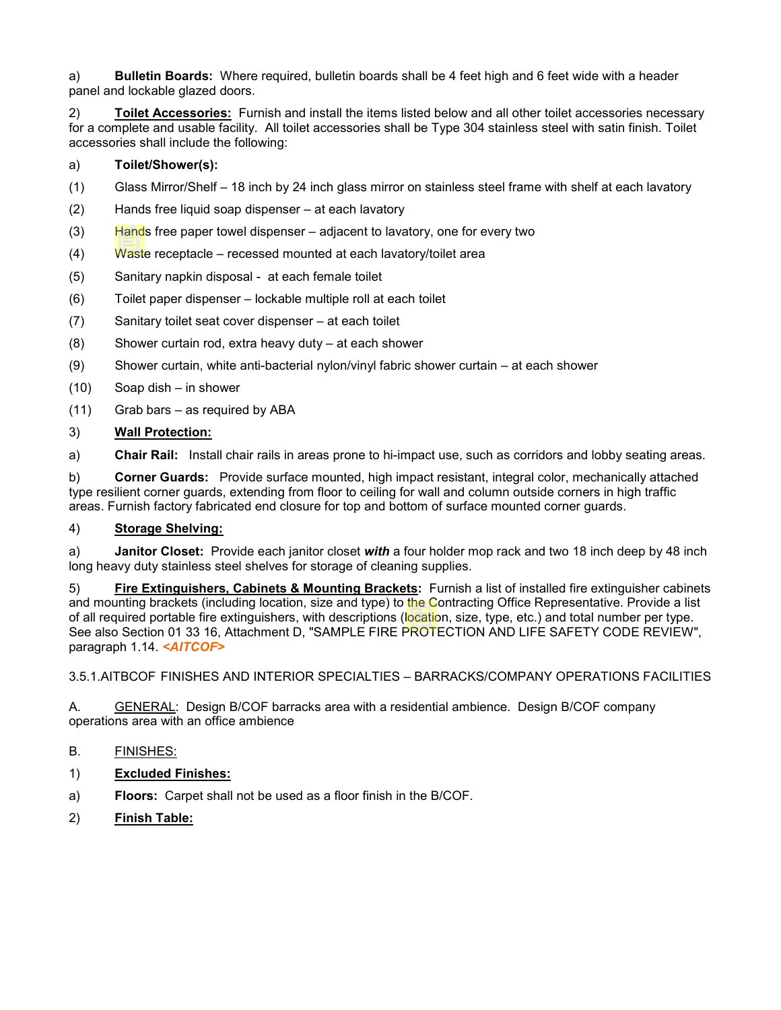a) **Bulletin Boards:** Where required, bulletin boards shall be 4 feet high and 6 feet wide with a header panel and lockable glazed doors.

2) **Toilet Accessories:** Furnish and install the items listed below and all other toilet accessories necessary for a complete and usable facility. All toilet accessories shall be Type 304 stainless steel with satin finish. Toilet accessories shall include the following:

### a) **Toilet/Shower(s):**

- (1) Glass Mirror/Shelf 18 inch by 24 inch glass mirror on stainless steel frame with shelf at each lavatory
- (2) Hands free liquid soap dispenser at each lavatory
- (3) Hands free paper towel dispenser adjacent to lavatory, one for every two
- (4) Waste receptacle recessed mounted at each lavatory/toilet area
- (5) Sanitary napkin disposal at each female toilet
- (6) Toilet paper dispenser lockable multiple roll at each toilet
- (7) Sanitary toilet seat cover dispenser at each toilet
- (8) Shower curtain rod, extra heavy duty at each shower
- (9) Shower curtain, white anti-bacterial nylon/vinyl fabric shower curtain at each shower
- (10) Soap dish in shower
- (11) Grab bars as required by ABA

#### 3) **Wall Protection:**

a) **Chair Rail:** Install chair rails in areas prone to hi-impact use, such as corridors and lobby seating areas.

b) **Corner Guards:** Provide surface mounted, high impact resistant, integral color, mechanically attached type resilient corner guards, extending from floor to ceiling for wall and column outside corners in high traffic areas. Furnish factory fabricated end closure for top and bottom of surface mounted corner guards.

#### 4) **Storage Shelving:**

a) **Janitor Closet:** Provide each janitor closet *with* a four holder mop rack and two 18 inch deep by 48 inch long heavy duty stainless steel shelves for storage of cleaning supplies.

5) **Fire Extinguishers, Cabinets & Mounting Brackets:** Furnish a list of installed fire extinguisher cabinets and mounting brackets (including location, size and type) to the Contracting Office Representative. Provide a list of all required portable fire extinguishers, with descriptions (location, size, type, etc.) and total number per type. See also Section 01 33 16, Attachment D, "SAMPLE FIRE PROTECTION AND LIFE SAFETY CODE REVIEW", paragraph 1.14. *<AITCOF>*

3.5.1.AITBCOF FINISHES AND INTERIOR SPECIALTIES – BARRACKS/COMPANY OPERATIONS FACILITIES

A. GENERAL: Design B/COF barracks area with a residential ambience. Design B/COF company operations area with an office ambience

# B. FINISHES:

- 1) **Excluded Finishes:**
- a) **Floors:** Carpet shall not be used as a floor finish in the B/COF.
- 2) **Finish Table:**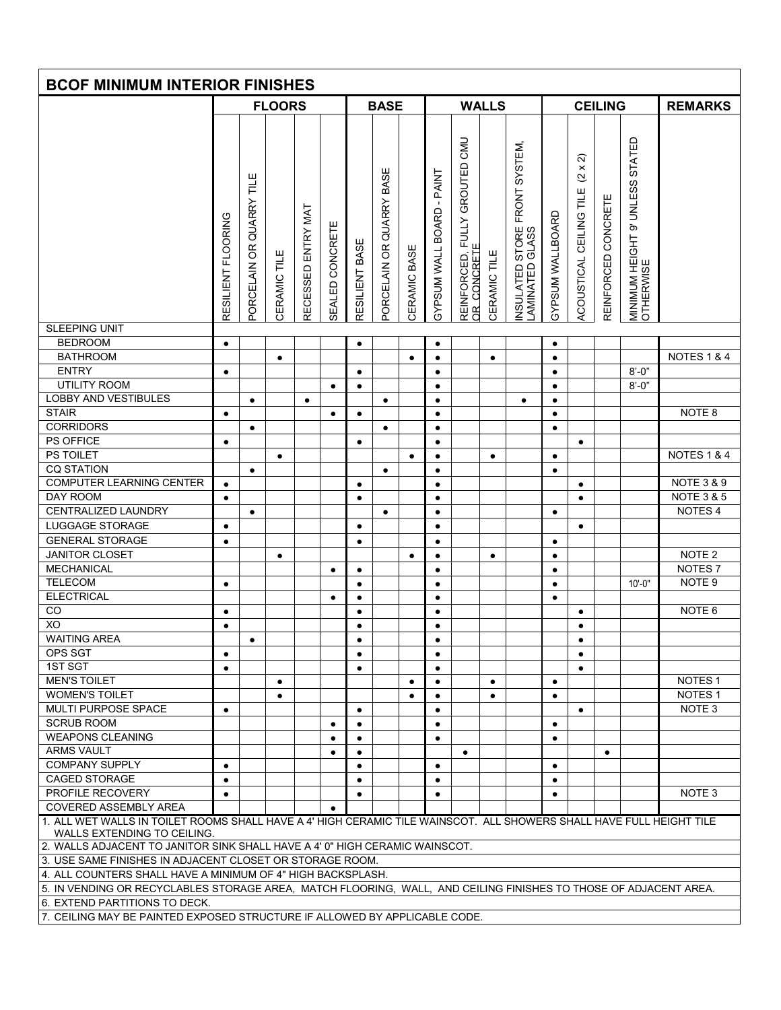| <b>BCOF MINIMUM INTERIOR FINISHES</b>                                                                                                                                                                                              |                    |                                       |               |                    |                 |                |                             |              |                                  |                                                                |              |                                                                |                        |                                                                         |                               |                                                 |                        |
|------------------------------------------------------------------------------------------------------------------------------------------------------------------------------------------------------------------------------------|--------------------|---------------------------------------|---------------|--------------------|-----------------|----------------|-----------------------------|--------------|----------------------------------|----------------------------------------------------------------|--------------|----------------------------------------------------------------|------------------------|-------------------------------------------------------------------------|-------------------------------|-------------------------------------------------|------------------------|
|                                                                                                                                                                                                                                    |                    |                                       | <b>FLOORS</b> |                    |                 |                | <b>BASE</b>                 |              |                                  |                                                                | <b>WALLS</b> |                                                                |                        |                                                                         | <b>CEILING</b>                |                                                 | <b>REMARKS</b>         |
|                                                                                                                                                                                                                                    |                    |                                       |               |                    |                 |                |                             |              |                                  |                                                                |              |                                                                |                        |                                                                         |                               |                                                 |                        |
|                                                                                                                                                                                                                                    | RESILIENT FLOORING | <b>QUARRY TILE</b><br>6R<br>PORCELAIN | CERAMIC TILE  | RECESSED ENTRY MAT | SEALED CONCRETE | RESILIENT BASE | QUARRY BASE<br>PORCELAIN OR | CERAMIC BASE | <b>GYPSUM WALL BOARD - PAINT</b> | CMU<br>GROUTED<br><b>FULLY</b><br>REINFORCED, I<br>OR_CONCRETE | CERAMIC TILE | SYSTEM,<br>FRONT<br>STORE<br>GLASS<br>INSULATED<br>LAMINATED 0 | GYPSUM WALLBOARD       | ন<br>$\times$<br>$\overline{\mathcal{C}}$<br>CEILING TILE<br>ACOUSTICAL | CONCRETE<br><b>REINFORCED</b> | STATED<br>MINIMUM HEIGHT 9' UNLESS<br>OTHERWISE |                        |
| <b>SLEEPING UNIT</b>                                                                                                                                                                                                               |                    |                                       |               |                    |                 |                |                             |              |                                  |                                                                |              |                                                                |                        |                                                                         |                               |                                                 |                        |
| <b>BEDROOM</b>                                                                                                                                                                                                                     | $\bullet$          |                                       |               |                    |                 | $\bullet$      |                             |              | $\bullet$                        |                                                                |              |                                                                | $\bullet$              |                                                                         |                               |                                                 |                        |
| <b>BATHROOM</b><br><b>ENTRY</b>                                                                                                                                                                                                    |                    |                                       | $\bullet$     |                    |                 |                |                             | ٠            | $\bullet$                        |                                                                | $\bullet$    |                                                                | $\bullet$              |                                                                         |                               |                                                 | <b>NOTES 1 &amp; 4</b> |
| <b>UTILITY ROOM</b>                                                                                                                                                                                                                | $\bullet$          |                                       |               |                    |                 | $\bullet$      |                             |              | $\bullet$                        |                                                                |              |                                                                | $\bullet$              |                                                                         |                               | $8' - 0''$<br>$8' - 0''$                        |                        |
| <b>LOBBY AND VESTIBULES</b>                                                                                                                                                                                                        |                    | $\bullet$                             |               | $\bullet$          | $\bullet$       | $\bullet$      | $\bullet$                   |              | $\bullet$<br>$\bullet$           |                                                                |              |                                                                | $\bullet$<br>$\bullet$ |                                                                         |                               |                                                 |                        |
| <b>STAIR</b>                                                                                                                                                                                                                       | $\bullet$          |                                       |               |                    | $\bullet$       | $\bullet$      |                             |              | $\bullet$                        |                                                                |              | $\bullet$                                                      | $\bullet$              |                                                                         |                               |                                                 | NOTE <sub>8</sub>      |
| <b>CORRIDORS</b>                                                                                                                                                                                                                   |                    | $\bullet$                             |               |                    |                 |                | $\bullet$                   |              | $\bullet$                        |                                                                |              |                                                                | $\bullet$              |                                                                         |                               |                                                 |                        |
| PS OFFICE                                                                                                                                                                                                                          | $\bullet$          |                                       |               |                    |                 | $\bullet$      |                             |              | $\bullet$                        |                                                                |              |                                                                |                        | $\bullet$                                                               |                               |                                                 |                        |
| PS TOILET                                                                                                                                                                                                                          |                    |                                       | $\bullet$     |                    |                 |                |                             | $\bullet$    | $\bullet$                        |                                                                | $\bullet$    |                                                                | $\bullet$              |                                                                         |                               |                                                 | <b>NOTES 1 &amp; 4</b> |
| <b>CQ STATION</b>                                                                                                                                                                                                                  |                    | $\bullet$                             |               |                    |                 |                | $\bullet$                   |              | $\bullet$                        |                                                                |              |                                                                | $\bullet$              |                                                                         |                               |                                                 |                        |
| COMPUTER LEARNING CENTER                                                                                                                                                                                                           | $\bullet$          |                                       |               |                    |                 | $\bullet$      |                             |              | $\bullet$                        |                                                                |              |                                                                |                        | $\bullet$                                                               |                               |                                                 | <b>NOTE 3 &amp; 9</b>  |
| DAY ROOM                                                                                                                                                                                                                           | $\bullet$          |                                       |               |                    |                 | $\bullet$      |                             |              | $\bullet$                        |                                                                |              |                                                                |                        | $\bullet$                                                               |                               |                                                 | <b>NOTE 3 &amp; 5</b>  |
| CENTRALIZED LAUNDRY                                                                                                                                                                                                                |                    | $\bullet$                             |               |                    |                 |                | $\bullet$                   |              | $\bullet$                        |                                                                |              |                                                                | $\bullet$              |                                                                         |                               |                                                 | NOTES <sub>4</sub>     |
| <b>LUGGAGE STORAGE</b>                                                                                                                                                                                                             | $\bullet$          |                                       |               |                    |                 | $\bullet$      |                             |              | $\bullet$                        |                                                                |              |                                                                |                        | $\bullet$                                                               |                               |                                                 |                        |
| <b>GENERAL STORAGE</b>                                                                                                                                                                                                             | $\bullet$          |                                       |               |                    |                 | $\bullet$      |                             |              | $\bullet$                        |                                                                |              |                                                                | $\bullet$              |                                                                         |                               |                                                 |                        |
| <b>JANITOR CLOSET</b>                                                                                                                                                                                                              |                    |                                       | $\bullet$     |                    |                 |                |                             | $\bullet$    | $\bullet$                        |                                                                | $\bullet$    |                                                                | $\bullet$              |                                                                         |                               |                                                 | NOTE <sub>2</sub>      |
| MECHANICAL                                                                                                                                                                                                                         |                    |                                       |               |                    | $\bullet$       | $\bullet$      |                             |              | $\bullet$                        |                                                                |              |                                                                | $\bullet$              |                                                                         |                               |                                                 | NOTES <sub>7</sub>     |
| <b>TELECOM</b>                                                                                                                                                                                                                     | $\bullet$          |                                       |               |                    |                 | $\bullet$      |                             |              | $\bullet$                        |                                                                |              |                                                                | $\bullet$              |                                                                         |                               | $10' - 0''$                                     | NOTE <sub>9</sub>      |
| <b>ELECTRICAL</b>                                                                                                                                                                                                                  |                    |                                       |               |                    | $\bullet$       | $\bullet$      |                             |              | $\bullet$                        |                                                                |              |                                                                | $\bullet$              |                                                                         |                               |                                                 |                        |
| CO                                                                                                                                                                                                                                 | $\bullet$          |                                       |               |                    |                 | $\bullet$      |                             |              | $\bullet$                        |                                                                |              |                                                                |                        | $\bullet$                                                               |                               |                                                 | NOTE <sub>6</sub>      |
| XO                                                                                                                                                                                                                                 | $\bullet$          |                                       |               |                    |                 | $\bullet$      |                             |              | $\bullet$                        |                                                                |              |                                                                |                        | ٠                                                                       |                               |                                                 |                        |
| <b>WAITING AREA</b>                                                                                                                                                                                                                |                    | $\bullet$                             |               |                    |                 | $\bullet$      |                             |              | $\bullet$                        |                                                                |              |                                                                |                        | $\bullet$                                                               |                               |                                                 |                        |
| OPS SGT                                                                                                                                                                                                                            | $\bullet$          |                                       |               |                    |                 | $\bullet$      |                             |              | $\bullet$                        |                                                                |              |                                                                |                        | $\bullet$                                                               |                               |                                                 |                        |
| 1ST SGT                                                                                                                                                                                                                            | $\bullet$          |                                       |               |                    |                 | $\bullet$      |                             |              | $\bullet$                        |                                                                |              |                                                                |                        | $\bullet$                                                               |                               |                                                 |                        |
| <b>MEN'S TOILET</b>                                                                                                                                                                                                                |                    |                                       | $\bullet$     |                    |                 |                |                             | $\bullet$    | $\bullet$                        |                                                                | $\bullet$    |                                                                | $\bullet$              |                                                                         |                               |                                                 | NOTES <sub>1</sub>     |
| <b>WOMEN'S TOILET</b>                                                                                                                                                                                                              |                    |                                       | $\bullet$     |                    |                 |                |                             | $\bullet$    | $\bullet$                        |                                                                | $\bullet$    |                                                                | $\bullet$              |                                                                         |                               |                                                 | NOTES <sub>1</sub>     |
| MULTI PURPOSE SPACE                                                                                                                                                                                                                | $\bullet$          |                                       |               |                    |                 | $\bullet$      |                             |              | $\bullet$                        |                                                                |              |                                                                |                        | $\bullet$                                                               |                               |                                                 | NOTE <sub>3</sub>      |
| <b>SCRUB ROOM</b>                                                                                                                                                                                                                  |                    |                                       |               |                    | ٠               | $\bullet$      |                             |              | $\bullet$                        |                                                                |              |                                                                | $\bullet$              |                                                                         |                               |                                                 |                        |
| <b>WEAPONS CLEANING</b>                                                                                                                                                                                                            |                    |                                       |               |                    | $\bullet$       | $\bullet$      |                             |              | $\bullet$                        |                                                                |              |                                                                | $\bullet$              |                                                                         |                               |                                                 |                        |
| <b>ARMS VAULT</b>                                                                                                                                                                                                                  |                    |                                       |               |                    | $\bullet$       | $\bullet$      |                             |              |                                  | $\bullet$                                                      |              |                                                                |                        |                                                                         | $\bullet$                     |                                                 |                        |
| <b>COMPANY SUPPLY</b>                                                                                                                                                                                                              | $\bullet$          |                                       |               |                    |                 | $\bullet$      |                             |              | $\bullet$                        |                                                                |              |                                                                | $\bullet$              |                                                                         |                               |                                                 |                        |
| <b>CAGED STORAGE</b>                                                                                                                                                                                                               | $\bullet$          |                                       |               |                    |                 | $\bullet$      |                             |              | $\bullet$                        |                                                                |              |                                                                | $\bullet$              |                                                                         |                               |                                                 |                        |
| PROFILE RECOVERY                                                                                                                                                                                                                   | $\bullet$          |                                       |               |                    |                 | $\bullet$      |                             |              | $\bullet$                        |                                                                |              |                                                                | $\bullet$              |                                                                         |                               |                                                 | NOTE <sub>3</sub>      |
| <b>COVERED ASSEMBLY AREA</b>                                                                                                                                                                                                       |                    |                                       |               |                    | $\bullet$       |                |                             |              |                                  |                                                                |              |                                                                |                        |                                                                         |                               |                                                 |                        |
| 1. ALL WET WALLS IN TOILET ROOMS SHALL HAVE A 4' HIGH CERAMIC TILE WAINSCOT. ALL SHOWERS SHALL HAVE FULL HEIGHT TILE<br>WALLS EXTENDING TO CEILING.<br>2. WALLS ADJACENT TO JANITOR SINK SHALL HAVE A 4' 0" HIGH CERAMIC WAINSCOT. |                    |                                       |               |                    |                 |                |                             |              |                                  |                                                                |              |                                                                |                        |                                                                         |                               |                                                 |                        |
| 3. USE SAME FINISHES IN ADJACENT CLOSET OR STORAGE ROOM.                                                                                                                                                                           |                    |                                       |               |                    |                 |                |                             |              |                                  |                                                                |              |                                                                |                        |                                                                         |                               |                                                 |                        |
|                                                                                                                                                                                                                                    |                    |                                       |               |                    |                 |                |                             |              |                                  |                                                                |              |                                                                |                        |                                                                         |                               |                                                 |                        |
| 4. ALL COUNTERS SHALL HAVE A MINIMUM OF 4" HIGH BACKSPLASH.<br>5. IN VENDING OR RECYCLABLES STORAGE AREA, MATCH FLOORING, WALL, AND CEILING FINISHES TO THOSE OF ADJACENT AREA.                                                    |                    |                                       |               |                    |                 |                |                             |              |                                  |                                                                |              |                                                                |                        |                                                                         |                               |                                                 |                        |
| 6. EXTEND PARTITIONS TO DECK.                                                                                                                                                                                                      |                    |                                       |               |                    |                 |                |                             |              |                                  |                                                                |              |                                                                |                        |                                                                         |                               |                                                 |                        |
|                                                                                                                                                                                                                                    |                    |                                       |               |                    |                 |                |                             |              |                                  |                                                                |              |                                                                |                        |                                                                         |                               |                                                 |                        |

7. CEILING MAY BE PAINTED EXPOSED STRUCTURE IF ALLOWED BY APPLICABLE CODE.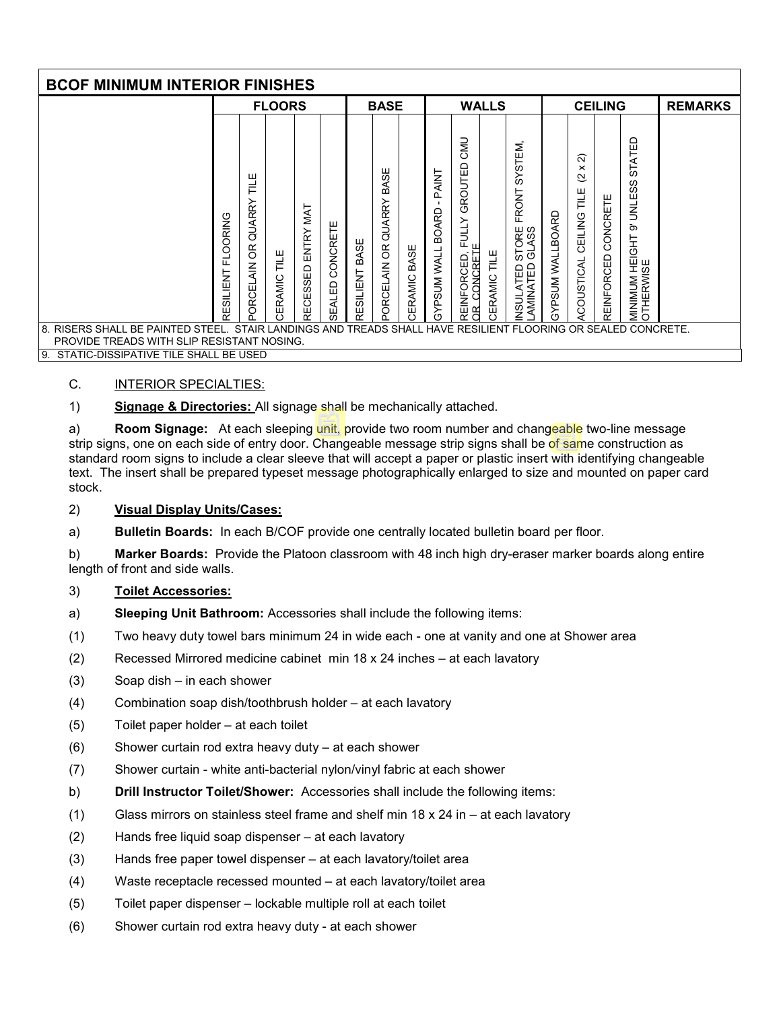| <b>BCOF MINIMUM INTERIOR FINISHES</b>                                                                                                                          |                              |                                                                        |                  |                              |                           |                   |                                                           |                |                                                 |                                                         |                     |                                                                                       |                            |                                                                                |                        |                                                                      |                |
|----------------------------------------------------------------------------------------------------------------------------------------------------------------|------------------------------|------------------------------------------------------------------------|------------------|------------------------------|---------------------------|-------------------|-----------------------------------------------------------|----------------|-------------------------------------------------|---------------------------------------------------------|---------------------|---------------------------------------------------------------------------------------|----------------------------|--------------------------------------------------------------------------------|------------------------|----------------------------------------------------------------------|----------------|
|                                                                                                                                                                |                              |                                                                        | <b>FLOORS</b>    |                              |                           |                   | <b>BASE</b>                                               |                |                                                 |                                                         | <b>WALLS</b>        |                                                                                       |                            |                                                                                | <b>CEILING</b>         |                                                                      | <b>REMARKS</b> |
| RISERS SHALL BE PAINTED STEEL. STAIR LANDINGS AND TREADS SHALL HAVE RESILIENT FLOORING OR SEALED CONCRETE.<br>8.<br>PROVIDE TREADS WITH SLIP RESISTANT NOSING. | <b>FLOORING</b><br>RESILIENT | ш<br>긑<br><b>RRY</b><br>⋜<br>ਫੋ<br>ЭŘ<br>$\frac{Z}{4}$<br><b>ORCEL</b> | 닏<br>1<br>ERAMIC | MAT<br>ENTRY<br>SSED<br>RECE | CONCRETE<br><b>SEALED</b> | BASE<br>RESILIENT | ш<br>ĀSI<br>മ്<br>QUARRY<br>OR.<br>$\frac{Z}{4}$<br>ORCEL | BASE<br>ERAMIC | PAINT<br>BOARD<br><b>WALL</b><br><b>MUSCIAS</b> | CMD<br>GROUTED<br>FULLY<br>CONCRETE<br>REINFORCED,<br>Œ | <b>CERAMIC TILE</b> | STEM,<br>≿<br><b>ERONT</b><br>ORE<br>ASS<br>ج<br>5<br>ಠ<br>SULATED<br>MINATED<br>NSUL | WALLBOARD<br><b>MUSHAS</b> | ন<br>$\times$<br>$\overline{\mathcal{C}}$<br>TILE<br>T<br>CEILING<br>COUSTICAL | CONCRETE<br>REINFORCED | STATED<br>S<br>w<br><b>UNLE</b><br>Ō,<br>MINIMUM HEIGHT<br>OTHERWISE |                |
| STATIC-DISSIPATIVE TILE SHALL BE USED<br>9.                                                                                                                    |                              |                                                                        |                  |                              |                           |                   |                                                           |                |                                                 |                                                         |                     |                                                                                       |                            |                                                                                |                        |                                                                      |                |

# C. **INTERIOR SPECIALTIES:**

1) **Signage & Directories:** All signage shall be mechanically attached.

a) **Room Signage:** At each sleeping unit, provide two room number and changeable two-line message strip signs, one on each side of entry door. Changeable message strip signs shall be of same construction as standard room signs to include a clear sleeve that will accept a paper or plastic insert with identifying changeable text. The insert shall be prepared typeset message photographically enlarged to size and mounted on paper card stock.

#### 2) **Visual Display Units/Cases:**

a) **Bulletin Boards:** In each B/COF provide one centrally located bulletin board per floor.

b) **Marker Boards:** Provide the Platoon classroom with 48 inch high dry-eraser marker boards along entire length of front and side walls.

#### 3) **Toilet Accessories:**

- a) **Sleeping Unit Bathroom:** Accessories shall include the following items:
- (1) Two heavy duty towel bars minimum 24 in wide each one at vanity and one at Shower area
- (2) Recessed Mirrored medicine cabinet min 18 x 24 inches at each lavatory
- (3) Soap dish in each shower
- (4) Combination soap dish/toothbrush holder at each lavatory
- (5) Toilet paper holder at each toilet
- (6) Shower curtain rod extra heavy duty at each shower
- (7) Shower curtain white anti-bacterial nylon/vinyl fabric at each shower
- b) **Drill Instructor Toilet/Shower:** Accessories shall include the following items:
- (1) Glass mirrors on stainless steel frame and shelf min 18 x 24 in at each lavatory
- (2) Hands free liquid soap dispenser at each lavatory
- (3) Hands free paper towel dispenser at each lavatory/toilet area
- (4) Waste receptacle recessed mounted at each lavatory/toilet area
- (5) Toilet paper dispenser lockable multiple roll at each toilet
- (6) Shower curtain rod extra heavy duty at each shower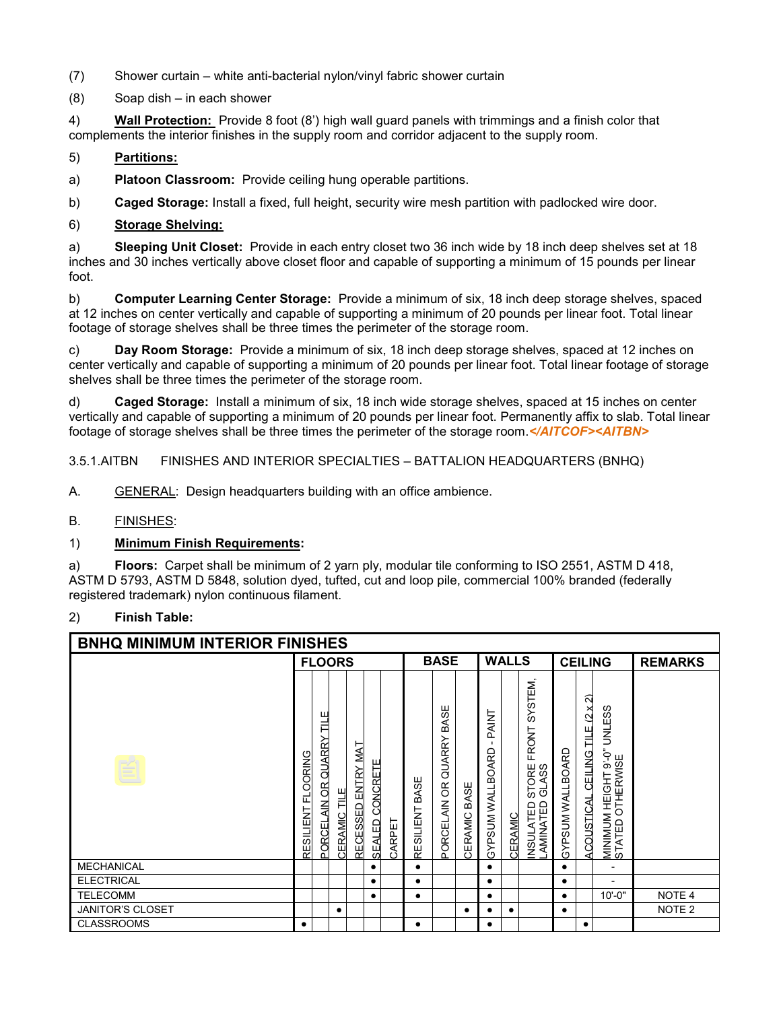- (7) Shower curtain white anti-bacterial nylon/vinyl fabric shower curtain
- (8) Soap dish in each shower

4) **Wall Protection:** Provide 8 foot (8') high wall guard panels with trimmings and a finish color that complements the interior finishes in the supply room and corridor adjacent to the supply room.

#### 5) **Partitions:**

a) **Platoon Classroom:** Provide ceiling hung operable partitions.

b) **Caged Storage:** Install a fixed, full height, security wire mesh partition with padlocked wire door.

#### 6) **Storage Shelving:**

a) **Sleeping Unit Closet:** Provide in each entry closet two 36 inch wide by 18 inch deep shelves set at 18 inches and 30 inches vertically above closet floor and capable of supporting a minimum of 15 pounds per linear foot.

b) **Computer Learning Center Storage:** Provide a minimum of six, 18 inch deep storage shelves, spaced at 12 inches on center vertically and capable of supporting a minimum of 20 pounds per linear foot. Total linear footage of storage shelves shall be three times the perimeter of the storage room.

c) **Day Room Storage:** Provide a minimum of six, 18 inch deep storage shelves, spaced at 12 inches on center vertically and capable of supporting a minimum of 20 pounds per linear foot. Total linear footage of storage shelves shall be three times the perimeter of the storage room.

d) **Caged Storage:** Install a minimum of six, 18 inch wide storage shelves, spaced at 15 inches on center vertically and capable of supporting a minimum of 20 pounds per linear foot. Permanently affix to slab. Total linear footage of storage shelves shall be three times the perimeter of the storage room.*</AITCOF><AITBN>*

3.5.1.AITBN FINISHES AND INTERIOR SPECIALTIES – BATTALION HEADQUARTERS (BNHQ)

A. GENERAL: Design headquarters building with an office ambience.

B. FINISHES:

#### 1) **Minimum Finish Requirements:**

a) **Floors:** Carpet shall be minimum of 2 yarn ply, modular tile conforming to ISO 2551, ASTM D 418, ASTM D 5793, ASTM D 5848, solution dyed, tufted, cut and loop pile, commercial 100% branded (federally registered trademark) nylon continuous filament.

#### 2) **Finish Table:**

| <b>BNHQ MINIMUM INTERIOR FINISHES</b> |                                 |                                             |                     |                    |                           |                     |                   |                                   |                 |                           |                |                                                                                             |                         |                                             |                                                                                    |                   |
|---------------------------------------|---------------------------------|---------------------------------------------|---------------------|--------------------|---------------------------|---------------------|-------------------|-----------------------------------|-----------------|---------------------------|----------------|---------------------------------------------------------------------------------------------|-------------------------|---------------------------------------------|------------------------------------------------------------------------------------|-------------------|
|                                       |                                 |                                             | <b>FLOORS</b>       |                    |                           |                     |                   | <b>BASE</b>                       |                 |                           | <b>WALLS</b>   |                                                                                             | <b>CEILING</b>          |                                             |                                                                                    | <b>REMARKS</b>    |
|                                       | <b>OORING</b><br>ᄄ<br>RESILIENT | Ш<br>≓<br><b>QUARRY</b><br>AIN OR<br>PORCEL | <u>CERAMIC TILE</u> | RECESSED ENTRY MAT | CONCRETE<br><b>SEALED</b> | ARPET<br>$\epsilon$ | BASE<br>RESILIENT | BASE<br>QUARRY<br>6R<br>PORCELAIN | BASE<br>CERAMIC | PAINT<br>GYPSUM WALLBOARD | <b>CERAMIC</b> | STEM,<br>Š,<br><b>RONT</b><br>正<br>ORE<br>ASS<br>ವ ಸ<br>NSULATED<br>AMINATED<br><b>USNI</b> | <b>GYPSUM WALLBOARD</b> | ล<br>(2 x)<br>TILE<br>CEILING<br>ACOUSTICAL | ဖ<br><b>UNLES</b><br>$-6.6$<br><b>OTHERWISE</b><br>MINIMUM HEIGHT<br>STATED OTHERW |                   |
| <b>MECHANICAL</b>                     |                                 |                                             |                     |                    | ٠                         |                     |                   |                                   |                 | ٠                         |                |                                                                                             | $\bullet$               |                                             |                                                                                    |                   |
| <b>ELECTRICAL</b>                     |                                 |                                             |                     |                    | ٠                         |                     | ٠                 |                                   |                 | ٠                         |                |                                                                                             | $\bullet$               |                                             |                                                                                    |                   |
| <b>TELECOMM</b>                       |                                 |                                             |                     |                    | $\bullet$                 |                     | $\bullet$         |                                   |                 | $\bullet$                 |                |                                                                                             | $\bullet$               |                                             | $10 - 0"$                                                                          | NOTE 4            |
| <b>JANITOR'S CLOSET</b>               |                                 |                                             | ٠                   |                    |                           |                     |                   |                                   | ٠               | ٠                         | $\bullet$      |                                                                                             | ٠                       |                                             |                                                                                    | NOTE <sub>2</sub> |
| <b>CLASSROOMS</b>                     | $\bullet$                       |                                             |                     |                    |                           |                     | ٠                 |                                   |                 | ٠                         |                |                                                                                             |                         | ٠                                           |                                                                                    |                   |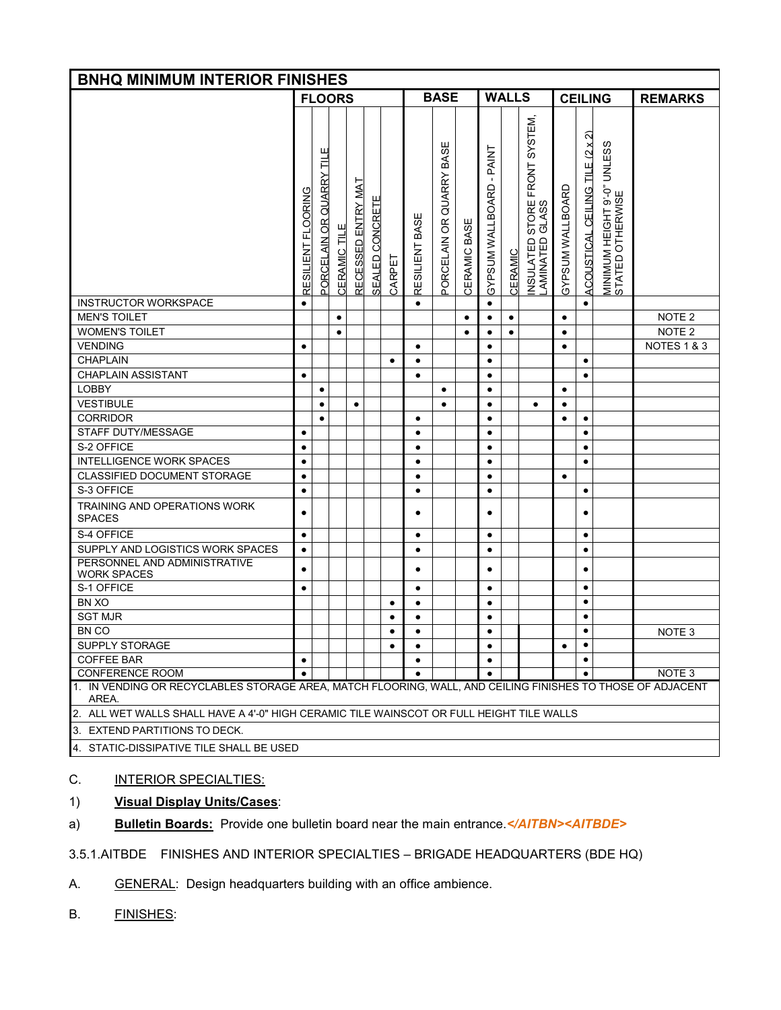| <b>BNHQ MINIMUM INTERIOR FINISHES</b>                                                                               |                    |                          |                     |                    |                 |           |                |                                |                 |                          |                |                                                                |                  |                                 |                                                 |                   |
|---------------------------------------------------------------------------------------------------------------------|--------------------|--------------------------|---------------------|--------------------|-----------------|-----------|----------------|--------------------------------|-----------------|--------------------------|----------------|----------------------------------------------------------------|------------------|---------------------------------|-------------------------------------------------|-------------------|
|                                                                                                                     |                    | <b>FLOORS</b>            |                     |                    |                 |           |                | <b>BASE</b>                    |                 |                          | <b>WALLS</b>   |                                                                |                  | <b>CEILING</b>                  |                                                 | <b>REMARKS</b>    |
|                                                                                                                     | RESILIENT FLOORING | PORCELAIN OR QUARRY TILE | <b>CERAMIC TILE</b> | RECESSED ENTRY MAT | SEALED CONCRETE | CARPET    | RESILIENT BASE | BASE<br>QUARRY<br>PORCELAIN OR | BASE<br>CERAMIC | GYPSUM WALLBOARD - PAINT | <b>CERAMIC</b> | SYSTEM,<br>FRONT<br>STORE<br>GLASS<br>INSULATED<br>LAMINATED 0 | GYPSUM WALLBOARD | ACOUSTICAL CEILING TILE (2 x 2) | MINIMUM HEIGHT 9'-0" UNLESS<br>STATED OTHERWISE |                   |
| <b>INSTRUCTOR WORKSPACE</b>                                                                                         | $\bullet$          |                          |                     |                    |                 |           | $\bullet$      |                                |                 | $\bullet$                |                |                                                                |                  | $\bullet$                       |                                                 |                   |
| <b>MEN'S TOILET</b>                                                                                                 |                    |                          | $\bullet$           |                    |                 |           |                |                                | $\bullet$       | $\bullet$                | $\bullet$      |                                                                | $\bullet$        |                                 |                                                 | NOTE <sub>2</sub> |
| <b>WOMEN'S TOILET</b>                                                                                               |                    |                          | $\bullet$           |                    |                 |           |                |                                | ٠               | ٠                        | ٠              |                                                                | $\bullet$        |                                 |                                                 | NOTE <sub>2</sub> |
| <b>VENDING</b>                                                                                                      | $\bullet$          |                          |                     |                    |                 |           | $\bullet$      |                                |                 | $\bullet$                |                |                                                                | $\bullet$        |                                 |                                                 | NOTES 1 & 3       |
| <b>CHAPLAIN</b>                                                                                                     |                    |                          |                     |                    |                 | $\bullet$ | $\bullet$      |                                |                 | $\bullet$                |                |                                                                |                  | $\bullet$                       |                                                 |                   |
| <b>CHAPLAIN ASSISTANT</b>                                                                                           | $\bullet$          |                          |                     |                    |                 |           | ٠              |                                |                 | $\bullet$                |                |                                                                |                  | $\bullet$                       |                                                 |                   |
| <b>LOBBY</b>                                                                                                        |                    | $\bullet$                |                     |                    |                 |           |                | ٠                              |                 | $\bullet$                |                |                                                                | $\bullet$        |                                 |                                                 |                   |
| <b>VESTIBULE</b>                                                                                                    |                    | $\bullet$                |                     | $\bullet$          |                 |           |                | $\bullet$                      |                 | $\bullet$                |                | $\bullet$                                                      | $\bullet$        |                                 |                                                 |                   |
| <b>CORRIDOR</b>                                                                                                     |                    | $\bullet$                |                     |                    |                 |           | $\bullet$      |                                |                 | $\bullet$                |                |                                                                | $\bullet$        | $\bullet$                       |                                                 |                   |
| STAFF DUTY/MESSAGE                                                                                                  | $\bullet$          |                          |                     |                    |                 |           | $\bullet$      |                                |                 | $\bullet$                |                |                                                                |                  | $\bullet$                       |                                                 |                   |
| S-2 OFFICE                                                                                                          | $\bullet$          |                          |                     |                    |                 |           | $\bullet$      |                                |                 | $\bullet$                |                |                                                                |                  | $\bullet$                       |                                                 |                   |
| <b>INTELLIGENCE WORK SPACES</b>                                                                                     | $\bullet$          |                          |                     |                    |                 |           | $\bullet$      |                                |                 | $\bullet$                |                |                                                                |                  | $\bullet$                       |                                                 |                   |
| CLASSIFIED DOCUMENT STORAGE                                                                                         | $\bullet$          |                          |                     |                    |                 |           | $\bullet$      |                                |                 | $\bullet$                |                |                                                                | $\bullet$        |                                 |                                                 |                   |
| S-3 OFFICE                                                                                                          | $\bullet$          |                          |                     |                    |                 |           | $\bullet$      |                                |                 | $\bullet$                |                |                                                                |                  | $\bullet$                       |                                                 |                   |
| TRAINING AND OPERATIONS WORK<br><b>SPACES</b>                                                                       | $\bullet$          |                          |                     |                    |                 |           | ٠              |                                |                 | ٠                        |                |                                                                |                  | ٠                               |                                                 |                   |
| S-4 OFFICE                                                                                                          | $\bullet$          |                          |                     |                    |                 |           | $\bullet$      |                                |                 | $\bullet$                |                |                                                                |                  | $\bullet$                       |                                                 |                   |
| SUPPLY AND LOGISTICS WORK SPACES                                                                                    | $\bullet$          |                          |                     |                    |                 |           | $\bullet$      |                                |                 | $\bullet$                |                |                                                                |                  | $\bullet$                       |                                                 |                   |
| PERSONNEL AND ADMINISTRATIVE<br><b>WORK SPACES</b>                                                                  | ٠                  |                          |                     |                    |                 |           | ٠              |                                |                 | ٠                        |                |                                                                |                  | ٠                               |                                                 |                   |
| S-1 OFFICE                                                                                                          | $\bullet$          |                          |                     |                    |                 |           | ٠              |                                |                 | ٠                        |                |                                                                |                  | $\bullet$                       |                                                 |                   |
| BN XO                                                                                                               |                    |                          |                     |                    |                 | $\bullet$ | $\bullet$      |                                |                 | $\bullet$                |                |                                                                |                  | $\bullet$                       |                                                 |                   |
| <b>SGT MJR</b>                                                                                                      |                    |                          |                     |                    |                 | $\bullet$ | $\bullet$      |                                |                 | ٠                        |                |                                                                |                  | $\bullet$                       |                                                 |                   |
| <b>BN CO</b>                                                                                                        |                    |                          |                     |                    |                 | $\bullet$ | $\bullet$      |                                |                 | $\bullet$                |                |                                                                |                  | ٠                               |                                                 | NOTE <sub>3</sub> |
| SUPPLY STORAGE<br>٠<br>٠<br>٠<br>٠                                                                                  |                    |                          |                     |                    |                 |           |                |                                |                 |                          |                |                                                                |                  |                                 |                                                 |                   |
| COFFEE BAR<br>$\bullet$<br>٠<br>٠                                                                                   |                    |                          |                     |                    |                 |           |                |                                |                 |                          |                |                                                                |                  |                                 |                                                 |                   |
| <b>CONFERENCE ROOM</b>                                                                                              | $\bullet$          |                          |                     |                    |                 |           |                |                                |                 |                          |                |                                                                |                  |                                 |                                                 | NOTE <sub>3</sub> |
| 1. IN VENDING OR RECYCLABLES STORAGE AREA, MATCH FLOORING, WALL, AND CEILING FINISHES TO THOSE OF ADJACENT<br>AREA. |                    |                          |                     |                    |                 |           |                |                                |                 |                          |                |                                                                |                  |                                 |                                                 |                   |
| 2. ALL WET WALLS SHALL HAVE A 4'-0" HIGH CERAMIC TILE WAINSCOT OR FULL HEIGHT TILE WALLS                            |                    |                          |                     |                    |                 |           |                |                                |                 |                          |                |                                                                |                  |                                 |                                                 |                   |
| 3. EXTEND PARTITIONS TO DECK.                                                                                       |                    |                          |                     |                    |                 |           |                |                                |                 |                          |                |                                                                |                  |                                 |                                                 |                   |
| 4. STATIC-DISSIPATIVE TILE SHALL BE USED                                                                            |                    |                          |                     |                    |                 |           |                |                                |                 |                          |                |                                                                |                  |                                 |                                                 |                   |

# C. **INTERIOR SPECIALTIES:**

# 1) **Visual Display Units/Cases**:

a) **Bulletin Boards:** Provide one bulletin board near the main entrance.*</AITBN><AITBDE>*

3.5.1.AITBDE FINISHES AND INTERIOR SPECIALTIES – BRIGADE HEADQUARTERS (BDE HQ)

- A. GENERAL: Design headquarters building with an office ambience.
- B. FINISHES: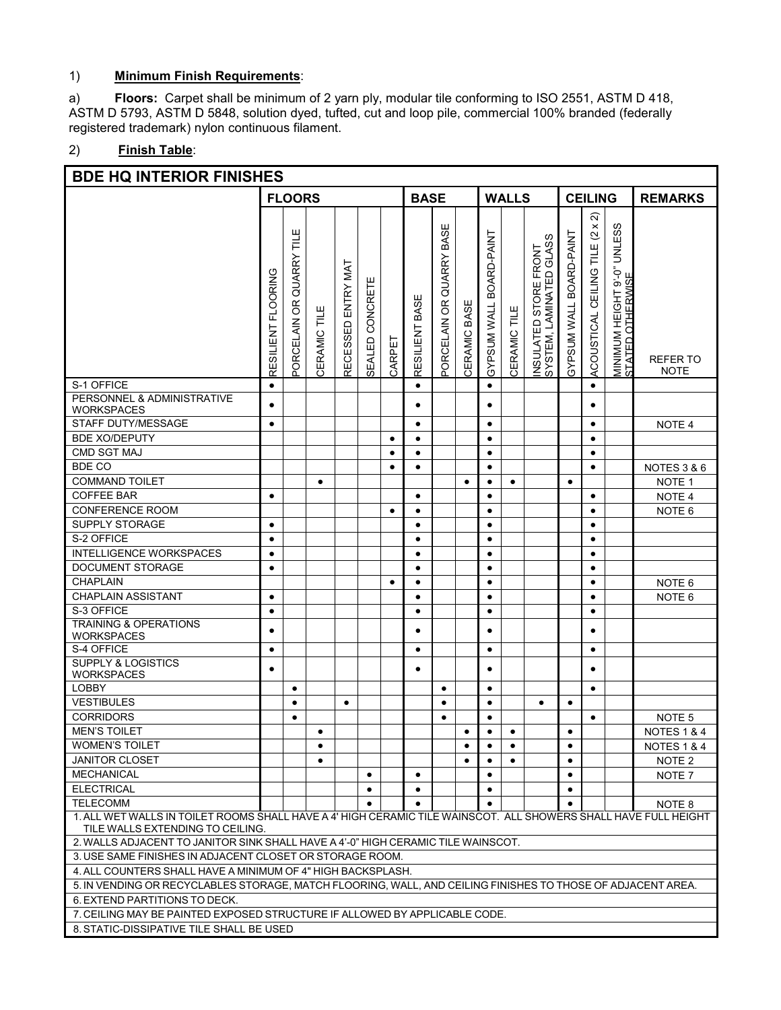# 1) **Minimum Finish Requirements**:

a) **Floors:** Carpet shall be minimum of 2 yarn ply, modular tile conforming to ISO 2551, ASTM D 418, ASTM D 5793, ASTM D 5848, solution dyed, tufted, cut and loop pile, commercial 100% branded (federally registered trademark) nylon continuous filament.

# 2) **Finish Table**:

| <b>BDE HQ INTERIOR FINISHES</b>                                                                                                                     |                                                                                                             |                             |                 |                    |                    |           |                |                               |              |                                   |              |                                                  |                         |                                                                       |                                                                  |                                |
|-----------------------------------------------------------------------------------------------------------------------------------------------------|-------------------------------------------------------------------------------------------------------------|-----------------------------|-----------------|--------------------|--------------------|-----------|----------------|-------------------------------|--------------|-----------------------------------|--------------|--------------------------------------------------|-------------------------|-----------------------------------------------------------------------|------------------------------------------------------------------|--------------------------------|
|                                                                                                                                                     |                                                                                                             | <b>FLOORS</b>               |                 |                    |                    |           | <b>BASE</b>    |                               |              |                                   | <b>WALLS</b> |                                                  |                         | <b>CEILING</b>                                                        |                                                                  | <b>REMARKS</b>                 |
|                                                                                                                                                     | <b>FLOORING</b><br>RESILIENT                                                                                | QUARRY TILE<br>PORCELAIN OR | TILE<br>CERAMIC | RECESSED ENTRY MAT | CONCRETE<br>SEALED | CARPET    | RESILIENT BASE | BASE<br>QUARRY<br>ORCELAIN OR | CERAMIC BASE | BOARD-PAINT<br><b>GYPSUM WALL</b> | CERAMIC TILE | INSULATED STORE FRONT<br>SYSTEM, LAMINATED GLASS | GYPSUM WALL BOARD-PAINT | $\widehat{\mathcal{N}}$<br>(2 x)<br>Ξ<br>CEILING<br><b>ACOUSTICAL</b> | <b>UNLESS</b><br>MINIMUM HEIGHT 9'-0"<br><u>STATED OTHERWISE</u> | <b>REFER TO</b><br><b>NOTE</b> |
| S-1 OFFICE                                                                                                                                          | $\bullet$                                                                                                   |                             |                 |                    |                    |           | $\bullet$      |                               |              | $\bullet$                         |              |                                                  |                         | $\bullet$                                                             |                                                                  |                                |
| PERSONNEL & ADMINISTRATIVE<br><b>WORKSPACES</b>                                                                                                     |                                                                                                             |                             |                 |                    |                    |           | $\bullet$      |                               |              | $\bullet$                         |              |                                                  |                         | ٠                                                                     |                                                                  |                                |
| STAFF DUTY/MESSAGE                                                                                                                                  | $\bullet$                                                                                                   |                             |                 |                    |                    |           | ٠              |                               |              | $\bullet$                         |              |                                                  |                         | $\bullet$                                                             |                                                                  | NOTE 4                         |
| <b>BDE XO/DEPUTY</b>                                                                                                                                |                                                                                                             |                             |                 |                    |                    | $\bullet$ | ٠              |                               |              | ٠                                 |              |                                                  |                         | ٠                                                                     |                                                                  |                                |
| <b>CMD SGT MAJ</b>                                                                                                                                  |                                                                                                             |                             |                 |                    |                    | $\bullet$ | $\bullet$      |                               |              | $\bullet$                         |              |                                                  |                         | $\bullet$                                                             |                                                                  |                                |
| BDE CO                                                                                                                                              |                                                                                                             |                             |                 |                    |                    | $\bullet$ | $\bullet$      |                               |              | $\bullet$                         |              |                                                  |                         | $\bullet$                                                             |                                                                  | NOTES 3 & 6                    |
| <b>COMMAND TOILET</b>                                                                                                                               |                                                                                                             |                             | $\bullet$       |                    |                    |           |                |                               | $\bullet$    | $\bullet$                         | $\bullet$    |                                                  | $\bullet$               |                                                                       |                                                                  | NOTE <sub>1</sub>              |
| <b>COFFEE BAR</b>                                                                                                                                   | $\bullet$                                                                                                   |                             |                 |                    |                    |           | $\bullet$      |                               |              | $\bullet$                         |              |                                                  |                         | $\bullet$                                                             |                                                                  | NOTE <sub>4</sub>              |
| <b>CONFERENCE ROOM</b>                                                                                                                              |                                                                                                             |                             |                 |                    |                    | $\bullet$ | $\bullet$      |                               |              | $\bullet$                         |              |                                                  |                         | $\bullet$                                                             |                                                                  | NOTE <sub>6</sub>              |
| <b>SUPPLY STORAGE</b>                                                                                                                               | $\bullet$                                                                                                   |                             |                 |                    |                    |           | $\bullet$      |                               |              | $\bullet$                         |              |                                                  |                         | $\bullet$                                                             |                                                                  |                                |
| S-2 OFFICE                                                                                                                                          | $\bullet$                                                                                                   |                             |                 |                    |                    |           | $\bullet$      |                               |              | $\bullet$                         |              |                                                  |                         | $\bullet$                                                             |                                                                  |                                |
| <b>INTELLIGENCE WORKSPACES</b>                                                                                                                      | $\bullet$                                                                                                   |                             |                 |                    |                    |           | $\bullet$      |                               |              | $\bullet$                         |              |                                                  |                         | $\bullet$                                                             |                                                                  |                                |
| DOCUMENT STORAGE                                                                                                                                    | ٠                                                                                                           |                             |                 |                    |                    |           | ٠              |                               |              | $\bullet$                         |              |                                                  |                         | $\bullet$                                                             |                                                                  |                                |
| <b>CHAPLAIN</b>                                                                                                                                     |                                                                                                             |                             |                 |                    |                    | $\bullet$ | $\bullet$      |                               |              | $\bullet$                         |              |                                                  |                         | $\bullet$                                                             |                                                                  | NOTE <sub>6</sub>              |
| <b>CHAPLAIN ASSISTANT</b>                                                                                                                           | ٠                                                                                                           |                             |                 |                    |                    |           | ٠              |                               |              | $\bullet$                         |              |                                                  |                         | $\bullet$                                                             |                                                                  | NOTE <sub>6</sub>              |
| S-3 OFFICE                                                                                                                                          | $\bullet$                                                                                                   |                             |                 |                    |                    |           | $\bullet$      |                               |              | $\bullet$                         |              |                                                  |                         | $\bullet$                                                             |                                                                  |                                |
| <b>TRAINING &amp; OPERATIONS</b><br><b>WORKSPACES</b>                                                                                               | $\bullet$                                                                                                   |                             |                 |                    |                    |           | ٠              |                               |              | $\bullet$                         |              |                                                  |                         | ٠                                                                     |                                                                  |                                |
| S-4 OFFICE                                                                                                                                          | $\bullet$                                                                                                   |                             |                 |                    |                    |           | $\bullet$      |                               |              | $\bullet$                         |              |                                                  |                         | $\bullet$                                                             |                                                                  |                                |
| <b>SUPPLY &amp; LOGISTICS</b><br>WORKSPACES                                                                                                         | $\bullet$                                                                                                   |                             |                 |                    |                    |           | $\bullet$      |                               |              | $\bullet$                         |              |                                                  |                         | $\bullet$                                                             |                                                                  |                                |
| <b>LOBBY</b>                                                                                                                                        |                                                                                                             | $\bullet$                   |                 |                    |                    |           |                | $\bullet$                     |              | $\bullet$                         |              |                                                  |                         | $\bullet$                                                             |                                                                  |                                |
| <b>VESTIBULES</b>                                                                                                                                   |                                                                                                             | $\bullet$                   |                 | $\bullet$          |                    |           |                | ٠                             |              | $\bullet$                         |              | $\bullet$                                        | $\bullet$               |                                                                       |                                                                  |                                |
| <b>CORRIDORS</b>                                                                                                                                    |                                                                                                             | ٠                           |                 |                    |                    |           |                | $\bullet$                     |              | $\bullet$                         |              |                                                  |                         | $\bullet$                                                             |                                                                  | NOTE <sub>5</sub>              |
| <b>MEN'S TOILET</b>                                                                                                                                 |                                                                                                             |                             | $\bullet$       |                    |                    |           |                |                               | $\bullet$    | $\bullet$                         | $\bullet$    |                                                  | $\bullet$               |                                                                       |                                                                  | <b>NOTES 1 &amp; 4</b>         |
| <b>WOMEN'S TOILET</b>                                                                                                                               |                                                                                                             |                             | $\bullet$       |                    |                    |           |                |                               | $\bullet$    | $\bullet$                         | $\bullet$    |                                                  | $\bullet$               |                                                                       |                                                                  | <b>NOTES 1 &amp; 4</b>         |
| <b>JANITOR CLOSET</b>                                                                                                                               |                                                                                                             |                             | $\bullet$       |                    |                    |           |                |                               | $\bullet$    | $\bullet$                         | $\bullet$    |                                                  | $\bullet$               |                                                                       |                                                                  | NOTE <sub>2</sub>              |
| <b>MECHANICAL</b>                                                                                                                                   |                                                                                                             |                             |                 |                    | ٠                  |           | ٠              |                               |              | ٠                                 |              |                                                  | ٠                       |                                                                       |                                                                  | NOTE 7                         |
| <b>ELECTRICAL</b>                                                                                                                                   |                                                                                                             |                             |                 |                    | $\bullet$          |           | $\bullet$      |                               |              | $\bullet$                         |              |                                                  | $\bullet$               |                                                                       |                                                                  |                                |
| <b>TELECOMM</b><br>NOTE <sub>8</sub><br>$\bullet$                                                                                                   |                                                                                                             |                             |                 |                    |                    |           |                |                               |              |                                   |              |                                                  |                         |                                                                       |                                                                  |                                |
| 1. ALL WET WALLS IN TOILET ROOMS SHALL HAVE A 4' HIGH CERAMIC TILE WAINSCOT. ALL SHOWERS SHALL HAVE FULL HEIGHT<br>TILE WALLS EXTENDING TO CEILING. |                                                                                                             |                             |                 |                    |                    |           |                |                               |              |                                   |              |                                                  |                         |                                                                       |                                                                  |                                |
| 2. WALLS ADJACENT TO JANITOR SINK SHALL HAVE A 4'-0" HIGH CERAMIC TILE WAINSCOT.                                                                    |                                                                                                             |                             |                 |                    |                    |           |                |                               |              |                                   |              |                                                  |                         |                                                                       |                                                                  |                                |
|                                                                                                                                                     | 3. USE SAME FINISHES IN ADJACENT CLOSET OR STORAGE ROOM.                                                    |                             |                 |                    |                    |           |                |                               |              |                                   |              |                                                  |                         |                                                                       |                                                                  |                                |
| 4. ALL COUNTERS SHALL HAVE A MINIMUM OF 4" HIGH BACKSPLASH.                                                                                         |                                                                                                             |                             |                 |                    |                    |           |                |                               |              |                                   |              |                                                  |                         |                                                                       |                                                                  |                                |
|                                                                                                                                                     |                                                                                                             |                             |                 |                    |                    |           |                |                               |              |                                   |              |                                                  |                         |                                                                       |                                                                  |                                |
| 6. EXTEND PARTITIONS TO DECK.                                                                                                                       | 5. IN VENDING OR RECYCLABLES STORAGE, MATCH FLOORING, WALL, AND CEILING FINISHES TO THOSE OF ADJACENT AREA. |                             |                 |                    |                    |           |                |                               |              |                                   |              |                                                  |                         |                                                                       |                                                                  |                                |
| 7. CEILING MAY BE PAINTED EXPOSED STRUCTURE IF ALLOWED BY APPLICABLE CODE.                                                                          |                                                                                                             |                             |                 |                    |                    |           |                |                               |              |                                   |              |                                                  |                         |                                                                       |                                                                  |                                |

8.STATIC-DISSIPATIVE TILE SHALL BE USED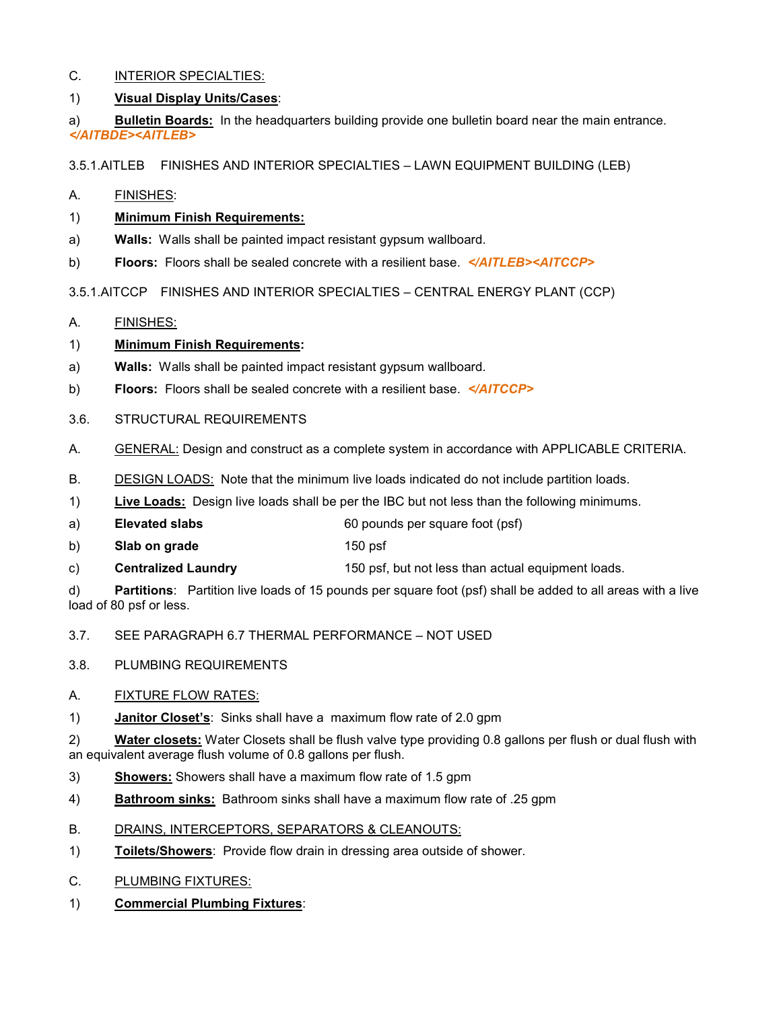### C. INTERIOR SPECIALTIES:

### 1) **Visual Display Units/Cases**:

a) **Bulletin Boards:** In the headquarters building provide one bulletin board near the main entrance. *</AITBDE><AITLEB>*

3.5.1.AITLEB FINISHES AND INTERIOR SPECIALTIES – LAWN EQUIPMENT BUILDING (LEB)

A. FINISHES:

#### 1) **Minimum Finish Requirements:**

- a) **Walls:** Walls shall be painted impact resistant gypsum wallboard.
- b) **Floors:** Floors shall be sealed concrete with a resilient base. *</AITLEB><AITCCP>*

3.5.1.AITCCP FINISHES AND INTERIOR SPECIALTIES – CENTRAL ENERGY PLANT (CCP)

A. FINISHES:

#### 1) **Minimum Finish Requirements:**

- a) **Walls:** Walls shall be painted impact resistant gypsum wallboard.
- b) **Floors:** Floors shall be sealed concrete with a resilient base. *</AITCCP>*
- 3.6. STRUCTURAL REQUIREMENTS
- A. GENERAL: Design and construct as a complete system in accordance with APPLICABLE CRITERIA.
- B. DESIGN LOADS: Note that the minimum live loads indicated do not include partition loads.
- 1) **Live Loads:** Design live loads shall be per the IBC but not less than the following minimums.
- a) **Elevated slabs** 60 pounds per square foot (psf)
- b) **Slab on grade** 150 psf
- c) **Centralized Laundry** 150 psf, but not less than actual equipment loads.

d) **Partitions**: Partition live loads of 15 pounds per square foot (psf) shall be added to all areas with a live load of 80 psf or less.

3.7. SEE PARAGRAPH 6.7 THERMAL PERFORMANCE – NOT USED

3.8. PLUMBING REQUIREMENTS

#### A. FIXTURE FLOW RATES:

1) **Janitor Closet's**: Sinks shall have a maximum flow rate of 2.0 gpm

2) **Water closets:** Water Closets shall be flush valve type providing 0.8 gallons per flush or dual flush with an equivalent average flush volume of 0.8 gallons per flush.

- 3) **Showers:** Showers shall have a maximum flow rate of 1.5 gpm
- 4) **Bathroom sinks:** Bathroom sinks shall have a maximum flow rate of .25 gpm
- B. DRAINS, INTERCEPTORS, SEPARATORS & CLEANOUTS:
- 1) **Toilets/Showers**: Provide flow drain in dressing area outside of shower.
- C. PLUMBING FIXTURES:
- 1) **Commercial Plumbing Fixtures**: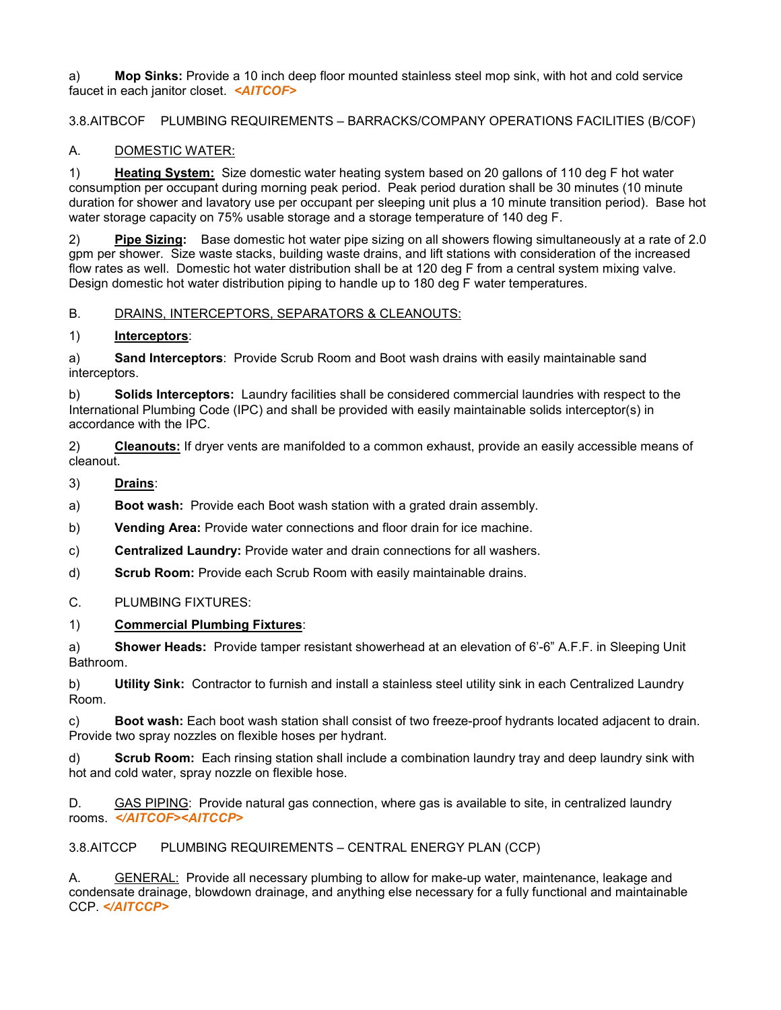a) **Mop Sinks:** Provide a 10 inch deep floor mounted stainless steel mop sink, with hot and cold service faucet in each janitor closet. *<AITCOF>*

3.8.AITBCOF PLUMBING REQUIREMENTS – BARRACKS/COMPANY OPERATIONS FACILITIES (B/COF)

# A. DOMESTIC WATER:

1) **Heating System:** Size domestic water heating system based on 20 gallons of 110 deg F hot water consumption per occupant during morning peak period. Peak period duration shall be 30 minutes (10 minute duration for shower and lavatory use per occupant per sleeping unit plus a 10 minute transition period). Base hot water storage capacity on 75% usable storage and a storage temperature of 140 deg F.

2) **Pipe Sizing:** Base domestic hot water pipe sizing on all showers flowing simultaneously at a rate of 2.0 gpm per shower. Size waste stacks, building waste drains, and lift stations with consideration of the increased flow rates as well. Domestic hot water distribution shall be at 120 deg F from a central system mixing valve. Design domestic hot water distribution piping to handle up to 180 deg F water temperatures.

# B. DRAINS, INTERCEPTORS, SEPARATORS & CLEANOUTS:

# 1) **Interceptors**:

a) **Sand Interceptors**: Provide Scrub Room and Boot wash drains with easily maintainable sand interceptors.

b) **Solids Interceptors:** Laundry facilities shall be considered commercial laundries with respect to the International Plumbing Code (IPC) and shall be provided with easily maintainable solids interceptor(s) in accordance with the IPC.

2) **Cleanouts:** If dryer vents are manifolded to a common exhaust, provide an easily accessible means of cleanout.

3) **Drains**:

a) **Boot wash:** Provide each Boot wash station with a grated drain assembly.

b) **Vending Area:** Provide water connections and floor drain for ice machine.

c) **Centralized Laundry:** Provide water and drain connections for all washers.

d) **Scrub Room:** Provide each Scrub Room with easily maintainable drains.

# C. PLUMBING FIXTURES:

#### 1) **Commercial Plumbing Fixtures**:

a) **Shower Heads:** Provide tamper resistant showerhead at an elevation of 6'-6" A.F.F. in Sleeping Unit Bathroom.

b) **Utility Sink:** Contractor to furnish and install a stainless steel utility sink in each Centralized Laundry Room.

c) **Boot wash:** Each boot wash station shall consist of two freeze-proof hydrants located adjacent to drain. Provide two spray nozzles on flexible hoses per hydrant.

d) **Scrub Room:** Each rinsing station shall include a combination laundry tray and deep laundry sink with hot and cold water, spray nozzle on flexible hose.

D. GAS PIPING: Provide natural gas connection, where gas is available to site, in centralized laundry rooms. *</AITCOF><AITCCP>*

3.8.AITCCP PLUMBING REQUIREMENTS – CENTRAL ENERGY PLAN (CCP)

A. GENERAL: Provide all necessary plumbing to allow for make-up water, maintenance, leakage and condensate drainage, blowdown drainage, and anything else necessary for a fully functional and maintainable CCP. *</AITCCP>*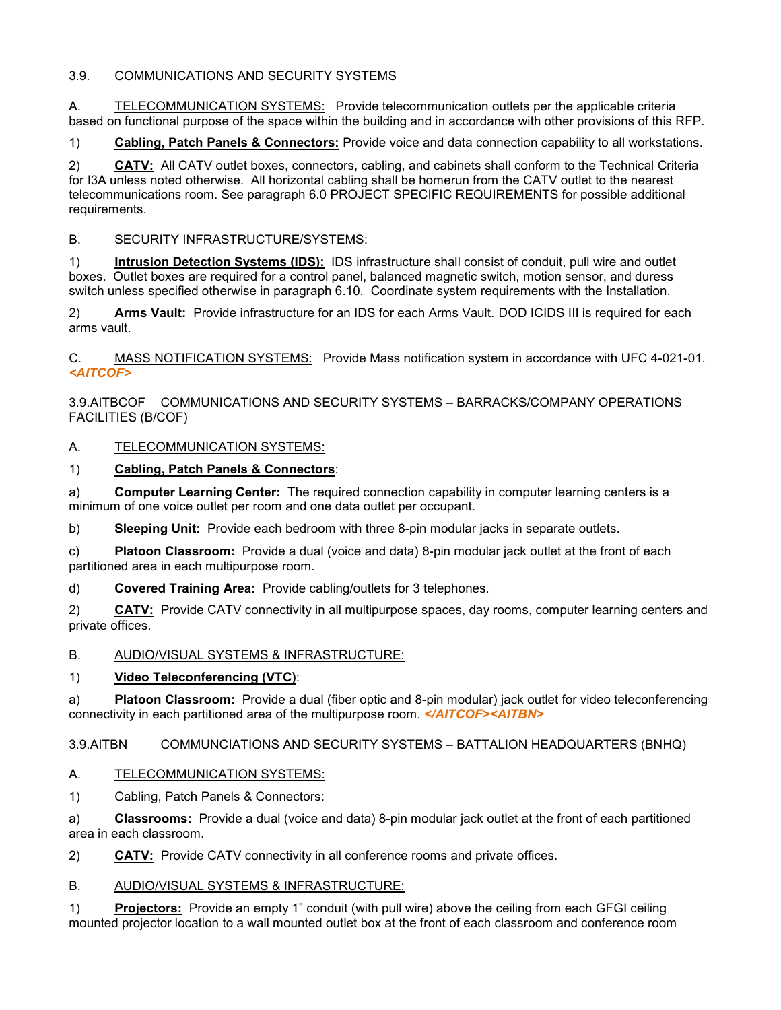### 3.9. COMMUNICATIONS AND SECURITY SYSTEMS

A. TELECOMMUNICATION SYSTEMS: Provide telecommunication outlets per the applicable criteria based on functional purpose of the space within the building and in accordance with other provisions of this RFP.

1) **Cabling, Patch Panels & Connectors:** Provide voice and data connection capability to all workstations.

2) **CATV:** All CATV outlet boxes, connectors, cabling, and cabinets shall conform to the Technical Criteria for I3A unless noted otherwise. All horizontal cabling shall be homerun from the CATV outlet to the nearest telecommunications room. See paragraph 6.0 PROJECT SPECIFIC REQUIREMENTS for possible additional requirements.

### B. SECURITY INFRASTRUCTURE/SYSTEMS:

1) **Intrusion Detection Systems (IDS):** IDS infrastructure shall consist of conduit, pull wire and outlet boxes. Outlet boxes are required for a control panel, balanced magnetic switch, motion sensor, and duress switch unless specified otherwise in paragraph 6.10. Coordinate system requirements with the Installation.

2) **Arms Vault:** Provide infrastructure for an IDS for each Arms Vault. DOD ICIDS III is required for each arms vault.

C. MASS NOTIFICATION SYSTEMS: Provide Mass notification system in accordance with UFC 4-021-01. *<AITCOF>*

3.9.AITBCOF COMMUNICATIONS AND SECURITY SYSTEMS – BARRACKS/COMPANY OPERATIONS FACILITIES (B/COF)

# A. TELECOMMUNICATION SYSTEMS:

# 1) **Cabling, Patch Panels & Connectors**:

a) **Computer Learning Center:** The required connection capability in computer learning centers is a minimum of one voice outlet per room and one data outlet per occupant.

b) **Sleeping Unit:** Provide each bedroom with three 8-pin modular jacks in separate outlets.

c) **Platoon Classroom:** Provide a dual (voice and data) 8-pin modular jack outlet at the front of each partitioned area in each multipurpose room.

d) **Covered Training Area:** Provide cabling/outlets for 3 telephones.

2) **CATV:** Provide CATV connectivity in all multipurpose spaces, day rooms, computer learning centers and private offices.

#### B. AUDIO/VISUAL SYSTEMS & INFRASTRUCTURE:

# 1) **Video Teleconferencing (VTC)**:

a) **Platoon Classroom:** Provide a dual (fiber optic and 8-pin modular) jack outlet for video teleconferencing connectivity in each partitioned area of the multipurpose room. *</AITCOF><AITBN>*

3.9.AITBN COMMUNCIATIONS AND SECURITY SYSTEMS – BATTALION HEADQUARTERS (BNHQ)

#### A. TELECOMMUNICATION SYSTEMS:

1) Cabling, Patch Panels & Connectors:

a) **Classrooms:** Provide a dual (voice and data) 8-pin modular jack outlet at the front of each partitioned area in each classroom.

2) **CATV:** Provide CATV connectivity in all conference rooms and private offices.

#### B. AUDIO/VISUAL SYSTEMS & INFRASTRUCTURE:

1) **Projectors:** Provide an empty 1" conduit (with pull wire) above the ceiling from each GFGI ceiling mounted projector location to a wall mounted outlet box at the front of each classroom and conference room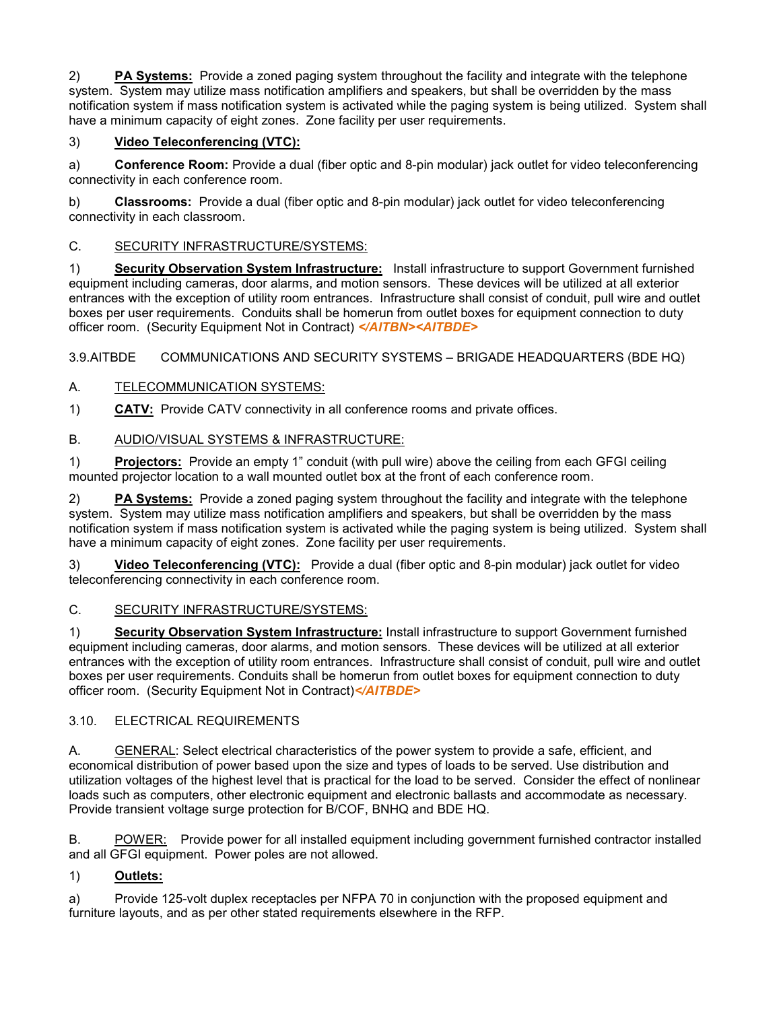2) **PA Systems:** Provide a zoned paging system throughout the facility and integrate with the telephone system. System may utilize mass notification amplifiers and speakers, but shall be overridden by the mass notification system if mass notification system is activated while the paging system is being utilized. System shall have a minimum capacity of eight zones. Zone facility per user requirements.

# 3) **Video Teleconferencing (VTC):**

a) **Conference Room:** Provide a dual (fiber optic and 8-pin modular) jack outlet for video teleconferencing connectivity in each conference room.

b) **Classrooms:** Provide a dual (fiber optic and 8-pin modular) jack outlet for video teleconferencing connectivity in each classroom.

# C. SECURITY INFRASTRUCTURE/SYSTEMS:

1) **Security Observation System Infrastructure:** Install infrastructure to support Government furnished equipment including cameras, door alarms, and motion sensors. These devices will be utilized at all exterior entrances with the exception of utility room entrances. Infrastructure shall consist of conduit, pull wire and outlet boxes per user requirements. Conduits shall be homerun from outlet boxes for equipment connection to duty officer room. (Security Equipment Not in Contract) *</AITBN><AITBDE>*

3.9.AITBDE COMMUNICATIONS AND SECURITY SYSTEMS – BRIGADE HEADQUARTERS (BDE HQ)

# A. TELECOMMUNICATION SYSTEMS:

1) **CATV:** Provide CATV connectivity in all conference rooms and private offices.

# B. AUDIO/VISUAL SYSTEMS & INFRASTRUCTURE:

1) **Projectors:** Provide an empty 1" conduit (with pull wire) above the ceiling from each GFGI ceiling mounted projector location to a wall mounted outlet box at the front of each conference room.

2) **PA Systems:** Provide a zoned paging system throughout the facility and integrate with the telephone system. System may utilize mass notification amplifiers and speakers, but shall be overridden by the mass notification system if mass notification system is activated while the paging system is being utilized. System shall have a minimum capacity of eight zones. Zone facility per user requirements.

3) **Video Teleconferencing (VTC):** Provide a dual (fiber optic and 8-pin modular) jack outlet for video teleconferencing connectivity in each conference room.

# C. SECURITY INFRASTRUCTURE/SYSTEMS:

1) **Security Observation System Infrastructure:** Install infrastructure to support Government furnished equipment including cameras, door alarms, and motion sensors. These devices will be utilized at all exterior entrances with the exception of utility room entrances. Infrastructure shall consist of conduit, pull wire and outlet boxes per user requirements. Conduits shall be homerun from outlet boxes for equipment connection to duty officer room. (Security Equipment Not in Contract)*</AITBDE>*

#### 3.10. ELECTRICAL REQUIREMENTS

A. GENERAL: Select electrical characteristics of the power system to provide a safe, efficient, and economical distribution of power based upon the size and types of loads to be served. Use distribution and utilization voltages of the highest level that is practical for the load to be served. Consider the effect of nonlinear loads such as computers, other electronic equipment and electronic ballasts and accommodate as necessary. Provide transient voltage surge protection for B/COF, BNHQ and BDE HQ.

B. POWER: Provide power for all installed equipment including government furnished contractor installed and all GFGI equipment. Power poles are not allowed.

# 1) **Outlets:**

a) Provide 125-volt duplex receptacles per NFPA 70 in conjunction with the proposed equipment and furniture layouts, and as per other stated requirements elsewhere in the RFP.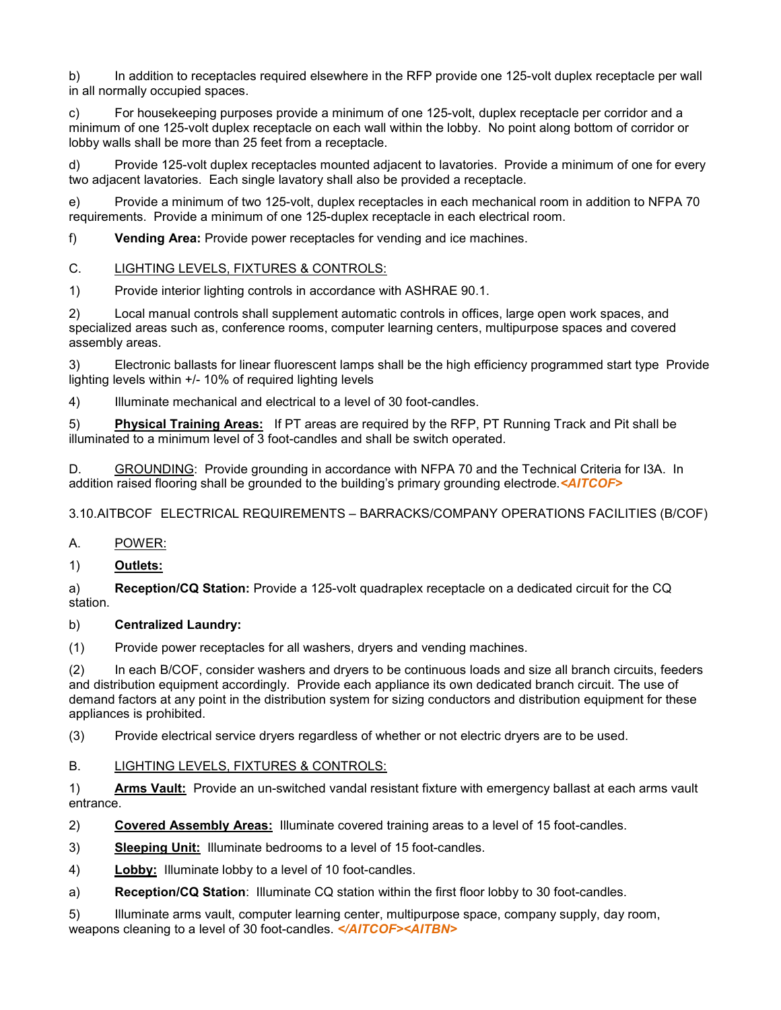b) In addition to receptacles required elsewhere in the RFP provide one 125-volt duplex receptacle per wall in all normally occupied spaces.

c) For housekeeping purposes provide a minimum of one 125-volt, duplex receptacle per corridor and a minimum of one 125-volt duplex receptacle on each wall within the lobby. No point along bottom of corridor or lobby walls shall be more than 25 feet from a receptacle.

d) Provide 125-volt duplex receptacles mounted adjacent to lavatories. Provide a minimum of one for every two adjacent lavatories. Each single lavatory shall also be provided a receptacle.

e) Provide a minimum of two 125-volt, duplex receptacles in each mechanical room in addition to NFPA 70 requirements. Provide a minimum of one 125-duplex receptacle in each electrical room.

f) **Vending Area:** Provide power receptacles for vending and ice machines.

# C. LIGHTING LEVELS, FIXTURES & CONTROLS:

1) Provide interior lighting controls in accordance with ASHRAE 90.1.

2) Local manual controls shall supplement automatic controls in offices, large open work spaces, and specialized areas such as, conference rooms, computer learning centers, multipurpose spaces and covered assembly areas.

3) Electronic ballasts for linear fluorescent lamps shall be the high efficiency programmed start type Provide lighting levels within +/- 10% of required lighting levels

4) Illuminate mechanical and electrical to a level of 30 foot-candles.

5) **Physical Training Areas:**If PT areas are required by the RFP, PT Running Track and Pit shall be illuminated to a minimum level of 3 foot-candles and shall be switch operated.

D. GROUNDING: Provide grounding in accordance with NFPA 70 and the Technical Criteria for I3A. In addition raised flooring shall be grounded to the building's primary grounding electrode.*<AITCOF>*

# 3.10.AITBCOF ELECTRICAL REQUIREMENTS – BARRACKS/COMPANY OPERATIONS FACILITIES (B/COF)

# A. POWER:

#### 1) **Outlets:**

a) **Reception/CQ Station:** Provide a 125-volt quadraplex receptacle on a dedicated circuit for the CQ station.

#### b) **Centralized Laundry:**

(1) Provide power receptacles for all washers, dryers and vending machines.

(2) In each B/COF, consider washers and dryers to be continuous loads and size all branch circuits, feeders and distribution equipment accordingly. Provide each appliance its own dedicated branch circuit. The use of demand factors at any point in the distribution system for sizing conductors and distribution equipment for these appliances is prohibited.

(3) Provide electrical service dryers regardless of whether or not electric dryers are to be used.

#### B. LIGHTING LEVELS, FIXTURES & CONTROLS:

1) **Arms Vault:** Provide an un-switched vandal resistant fixture with emergency ballast at each arms vault entrance.

2) **Covered Assembly Areas:** Illuminate covered training areas to a level of 15 foot-candles.

3) **Sleeping Unit:** Illuminate bedrooms to a level of 15 foot-candles.

4) **Lobby:** Illuminate lobby to a level of 10 foot-candles.

a) **Reception/CQ Station**: Illuminate CQ station within the first floor lobby to 30 foot-candles.

5) Illuminate arms vault, computer learning center, multipurpose space, company supply, day room, weapons cleaning to a level of 30 foot-candles. *</AITCOF><AITBN>*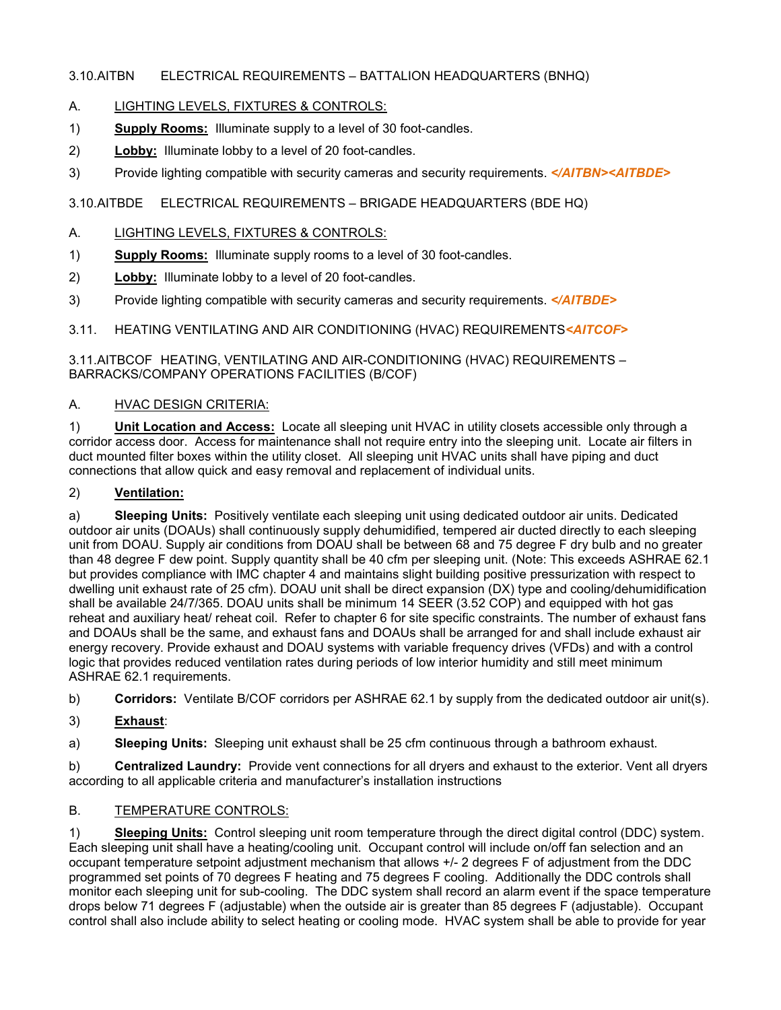# 3.10.AITBN ELECTRICAL REQUIREMENTS – BATTALION HEADQUARTERS (BNHQ)

### A. LIGHTING LEVELS, FIXTURES & CONTROLS:

- 1) **Supply Rooms:** Illuminate supply to a level of 30 foot-candles.
- 2) **Lobby:** Illuminate lobby to a level of 20 foot-candles.
- 3) Provide lighting compatible with security cameras and security requirements. *</AITBN><AITBDE>*

# 3.10.AITBDE ELECTRICAL REQUIREMENTS – BRIGADE HEADQUARTERS (BDE HQ)

#### A. LIGHTING LEVELS, FIXTURES & CONTROLS:

- 1) **Supply Rooms:** Illuminate supply rooms to a level of 30 foot-candles.
- 2) **Lobby:** Illuminate lobby to a level of 20 foot-candles.
- 3) Provide lighting compatible with security cameras and security requirements. *</AITBDE>*

3.11. HEATING VENTILATING AND AIR CONDITIONING (HVAC) REQUIREMENTS*<AITCOF>*

#### 3.11.AITBCOF HEATING, VENTILATING AND AIR-CONDITIONING (HVAC) REQUIREMENTS – BARRACKS/COMPANY OPERATIONS FACILITIES (B/COF)

#### A. HVAC DESIGN CRITERIA:

1) **Unit Location and Access:** Locate all sleeping unit HVAC in utility closets accessible only through a corridor access door. Access for maintenance shall not require entry into the sleeping unit. Locate air filters in duct mounted filter boxes within the utility closet. All sleeping unit HVAC units shall have piping and duct connections that allow quick and easy removal and replacement of individual units.

#### 2) **Ventilation:**

a) **Sleeping Units:** Positively ventilate each sleeping unit using dedicated outdoor air units. Dedicated outdoor air units (DOAUs) shall continuously supply dehumidified, tempered air ducted directly to each sleeping unit from DOAU. Supply air conditions from DOAU shall be between 68 and 75 degree F dry bulb and no greater than 48 degree F dew point. Supply quantity shall be 40 cfm per sleeping unit. (Note: This exceeds ASHRAE 62.1 but provides compliance with IMC chapter 4 and maintains slight building positive pressurization with respect to dwelling unit exhaust rate of 25 cfm). DOAU unit shall be direct expansion (DX) type and cooling/dehumidification shall be available 24/7/365. DOAU units shall be minimum 14 SEER (3.52 COP) and equipped with hot gas reheat and auxiliary heat/ reheat coil. Refer to chapter 6 for site specific constraints. The number of exhaust fans and DOAUs shall be the same, and exhaust fans and DOAUs shall be arranged for and shall include exhaust air energy recovery. Provide exhaust and DOAU systems with variable frequency drives (VFDs) and with a control logic that provides reduced ventilation rates during periods of low interior humidity and still meet minimum ASHRAE 62.1 requirements.

b) **Corridors:** Ventilate B/COF corridors per ASHRAE 62.1 by supply from the dedicated outdoor air unit(s).

3) **Exhaust**:

a) **Sleeping Units:** Sleeping unit exhaust shall be 25 cfm continuous through a bathroom exhaust.

b) **Centralized Laundry:** Provide vent connections for all dryers and exhaust to the exterior. Vent all dryers according to all applicable criteria and manufacturer's installation instructions

# B. TEMPERATURE CONTROLS:

1) **Sleeping Units:** Control sleeping unit room temperature through the direct digital control (DDC) system. Each sleeping unit shall have a heating/cooling unit. Occupant control will include on/off fan selection and an occupant temperature setpoint adjustment mechanism that allows +/- 2 degrees F of adjustment from the DDC programmed set points of 70 degrees F heating and 75 degrees F cooling. Additionally the DDC controls shall monitor each sleeping unit for sub-cooling. The DDC system shall record an alarm event if the space temperature drops below 71 degrees F (adjustable) when the outside air is greater than 85 degrees F (adjustable). Occupant control shall also include ability to select heating or cooling mode. HVAC system shall be able to provide for year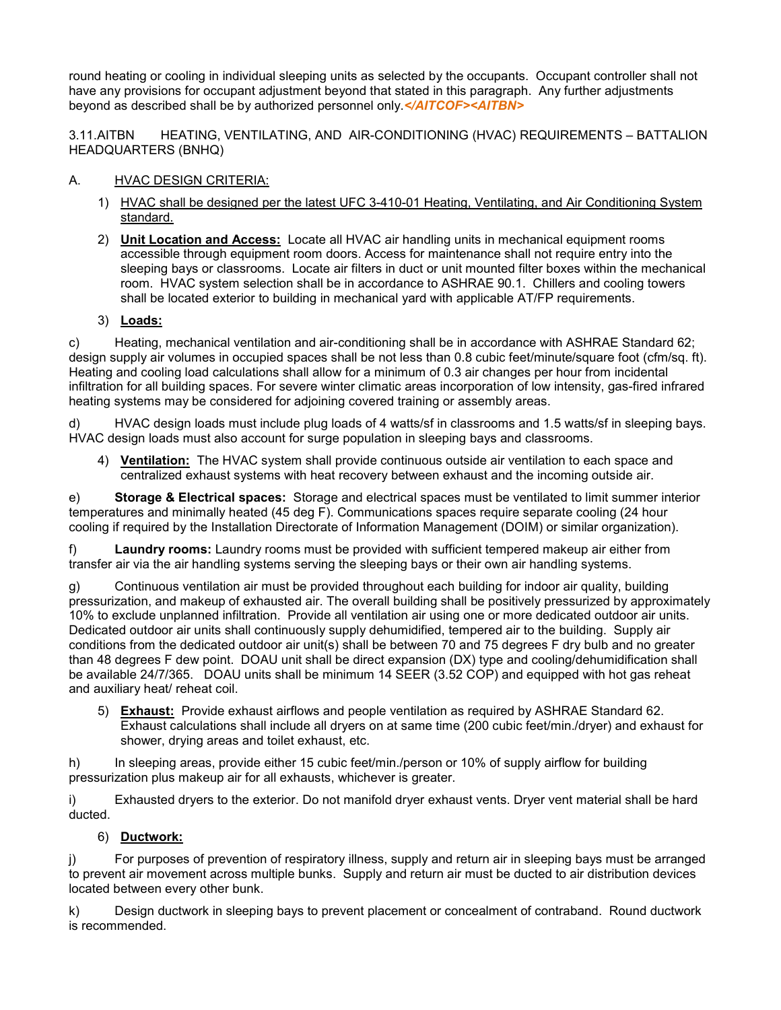round heating or cooling in individual sleeping units as selected by the occupants. Occupant controller shall not have any provisions for occupant adjustment beyond that stated in this paragraph. Any further adjustments beyond as described shall be by authorized personnel only.*</AITCOF><AITBN>*

3.11.AITBN HEATING, VENTILATING, AND AIR-CONDITIONING (HVAC) REQUIREMENTS – BATTALION HEADQUARTERS (BNHQ)

# A. HVAC DESIGN CRITERIA:

- 1) HVAC shall be designed per the latest UFC 3-410-01 Heating, Ventilating, and Air Conditioning System standard.
- 2) **Unit Location and Access:** Locate all HVAC air handling units in mechanical equipment rooms accessible through equipment room doors. Access for maintenance shall not require entry into the sleeping bays or classrooms. Locate air filters in duct or unit mounted filter boxes within the mechanical room. HVAC system selection shall be in accordance to ASHRAE 90.1. Chillers and cooling towers shall be located exterior to building in mechanical yard with applicable AT/FP requirements.

# 3) **Loads:**

c) Heating, mechanical ventilation and air-conditioning shall be in accordance with ASHRAE Standard 62; design supply air volumes in occupied spaces shall be not less than 0.8 cubic feet/minute/square foot (cfm/sq. ft). Heating and cooling load calculations shall allow for a minimum of 0.3 air changes per hour from incidental infiltration for all building spaces. For severe winter climatic areas incorporation of low intensity, gas-fired infrared heating systems may be considered for adjoining covered training or assembly areas.

d) HVAC design loads must include plug loads of 4 watts/sf in classrooms and 1.5 watts/sf in sleeping bays. HVAC design loads must also account for surge population in sleeping bays and classrooms.

4) **Ventilation:** The HVAC system shall provide continuous outside air ventilation to each space and centralized exhaust systems with heat recovery between exhaust and the incoming outside air.

e) **Storage & Electrical spaces:** Storage and electrical spaces must be ventilated to limit summer interior temperatures and minimally heated (45 deg F). Communications spaces require separate cooling (24 hour cooling if required by the Installation Directorate of Information Management (DOIM) or similar organization).

f) **Laundry rooms:** Laundry rooms must be provided with sufficient tempered makeup air either from transfer air via the air handling systems serving the sleeping bays or their own air handling systems.

g) Continuous ventilation air must be provided throughout each building for indoor air quality, building pressurization, and makeup of exhausted air. The overall building shall be positively pressurized by approximately 10% to exclude unplanned infiltration. Provide all ventilation air using one or more dedicated outdoor air units. Dedicated outdoor air units shall continuously supply dehumidified, tempered air to the building. Supply air conditions from the dedicated outdoor air unit(s) shall be between 70 and 75 degrees F dry bulb and no greater than 48 degrees F dew point. DOAU unit shall be direct expansion (DX) type and cooling/dehumidification shall be available 24/7/365. DOAU units shall be minimum 14 SEER (3.52 COP) and equipped with hot gas reheat and auxiliary heat/ reheat coil.

5) **Exhaust:** Provide exhaust airflows and people ventilation as required by ASHRAE Standard 62. Exhaust calculations shall include all dryers on at same time (200 cubic feet/min./dryer) and exhaust for shower, drying areas and toilet exhaust, etc.

h) In sleeping areas, provide either 15 cubic feet/min./person or 10% of supply airflow for building pressurization plus makeup air for all exhausts, whichever is greater.

i) Exhausted dryers to the exterior. Do not manifold dryer exhaust vents. Dryer vent material shall be hard ducted.

# 6) **Ductwork:**

For purposes of prevention of respiratory illness, supply and return air in sleeping bays must be arranged to prevent air movement across multiple bunks. Supply and return air must be ducted to air distribution devices located between every other bunk.

k) Design ductwork in sleeping bays to prevent placement or concealment of contraband. Round ductwork is recommended.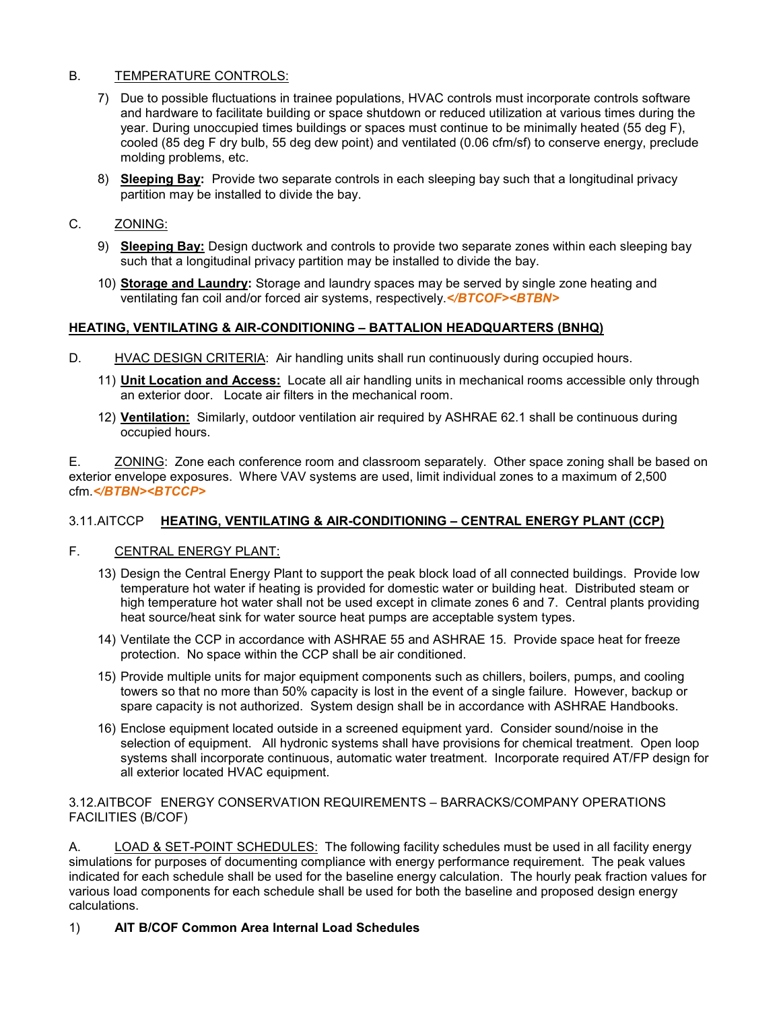#### B. TEMPERATURE CONTROLS:

- 7) Due to possible fluctuations in trainee populations, HVAC controls must incorporate controls software and hardware to facilitate building or space shutdown or reduced utilization at various times during the year. During unoccupied times buildings or spaces must continue to be minimally heated (55 deg F), cooled (85 deg F dry bulb, 55 deg dew point) and ventilated (0.06 cfm/sf) to conserve energy, preclude molding problems, etc.
- 8) **Sleeping Bay:** Provide two separate controls in each sleeping bay such that a longitudinal privacy partition may be installed to divide the bay.
- C. ZONING:
	- 9) **Sleeping Bay:** Design ductwork and controls to provide two separate zones within each sleeping bay such that a longitudinal privacy partition may be installed to divide the bay.
	- 10) **Storage and Laundry:** Storage and laundry spaces may be served by single zone heating and ventilating fan coil and/or forced air systems, respectively.*</BTCOF><BTBN>*

#### **HEATING, VENTILATING & AIR-CONDITIONING – BATTALION HEADQUARTERS (BNHQ)**

- D. HVAC DESIGN CRITERIA: Air handling units shall run continuously during occupied hours.
	- 11) **Unit Location and Access:** Locate all air handling units in mechanical rooms accessible only through an exterior door. Locate air filters in the mechanical room.
	- 12) **Ventilation:** Similarly, outdoor ventilation air required by ASHRAE 62.1 shall be continuous during occupied hours.

E. ZONING: Zone each conference room and classroom separately. Other space zoning shall be based on exterior envelope exposures. Where VAV systems are used, limit individual zones to a maximum of 2,500 cfm.*</BTBN><BTCCP>*

#### 3.11.AITCCP **HEATING, VENTILATING & AIR-CONDITIONING – CENTRAL ENERGY PLANT (CCP)**

#### F. CENTRAL ENERGY PLANT:

- 13) Design the Central Energy Plant to support the peak block load of all connected buildings. Provide low temperature hot water if heating is provided for domestic water or building heat. Distributed steam or high temperature hot water shall not be used except in climate zones 6 and 7. Central plants providing heat source/heat sink for water source heat pumps are acceptable system types.
- 14) Ventilate the CCP in accordance with ASHRAE 55 and ASHRAE 15. Provide space heat for freeze protection. No space within the CCP shall be air conditioned.
- 15) Provide multiple units for major equipment components such as chillers, boilers, pumps, and cooling towers so that no more than 50% capacity is lost in the event of a single failure. However, backup or spare capacity is not authorized. System design shall be in accordance with ASHRAE Handbooks.
- 16) Enclose equipment located outside in a screened equipment yard. Consider sound/noise in the selection of equipment. All hydronic systems shall have provisions for chemical treatment. Open loop systems shall incorporate continuous, automatic water treatment. Incorporate required AT/FP design for all exterior located HVAC equipment.

#### 3.12.AITBCOF ENERGY CONSERVATION REQUIREMENTS – BARRACKS/COMPANY OPERATIONS FACILITIES (B/COF)

A. LOAD & SET-POINT SCHEDULES: The following facility schedules must be used in all facility energy simulations for purposes of documenting compliance with energy performance requirement. The peak values indicated for each schedule shall be used for the baseline energy calculation. The hourly peak fraction values for various load components for each schedule shall be used for both the baseline and proposed design energy calculations.

#### 1) **AIT B/COF Common Area Internal Load Schedules**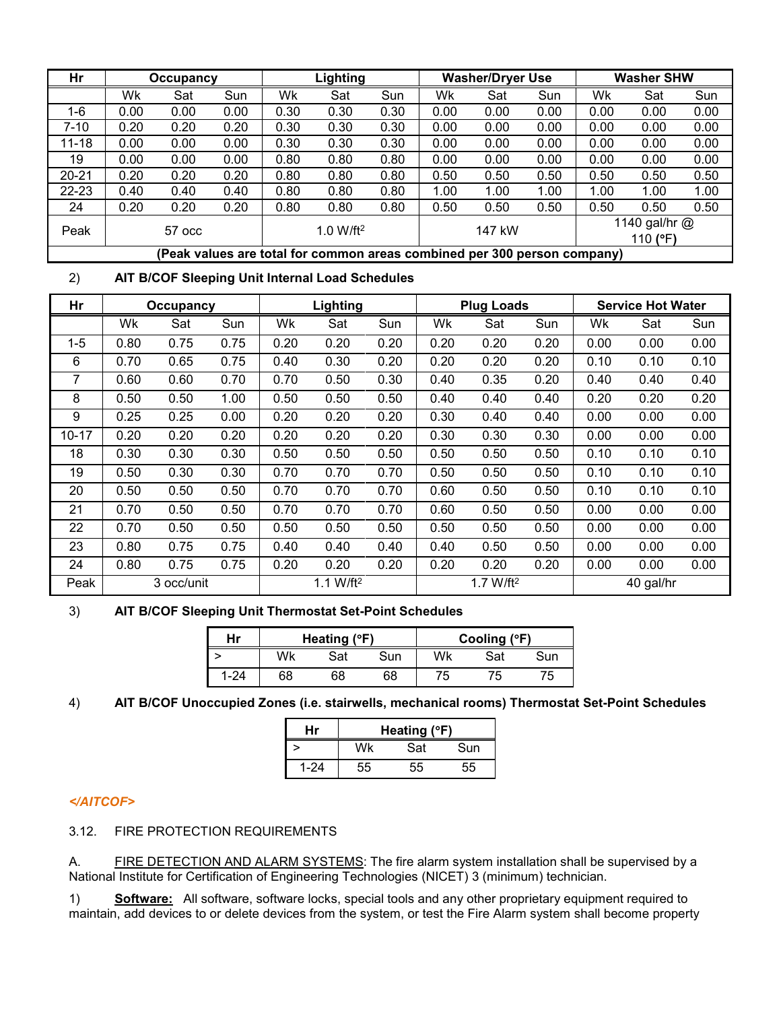| Hr                                      |                                                                          | Occupancy |      |      | Lighting |      |      | <b>Washer/Dryer Use</b> |      | <b>Washer SHW</b> |                             |      |  |  |
|-----------------------------------------|--------------------------------------------------------------------------|-----------|------|------|----------|------|------|-------------------------|------|-------------------|-----------------------------|------|--|--|
|                                         | Wk                                                                       | Sat       | Sun  | Wk   | Sat      | Sun  | Wk   | Sat                     | Sun  | Wk                | Sat                         | Sun  |  |  |
| $1-6$                                   | 0.00                                                                     | 0.00      | 0.00 | 0.30 | 0.30     | 0.30 | 0.00 | 0.00                    | 0.00 | 0.00              | 0.00                        | 0.00 |  |  |
| $7 - 10$                                | 0.20                                                                     | 0.20      | 0.20 | 0.30 | 0.30     | 0.30 | 0.00 | 0.00                    | 0.00 | 0.00              | 0.00                        | 0.00 |  |  |
| $11 - 18$                               | 0.00                                                                     | 0.00      | 0.00 | 0.30 | 0.30     | 0.30 | 0.00 | 0.00                    | 0.00 | 0.00              | 0.00                        | 0.00 |  |  |
| 19                                      | 0.00                                                                     | 0.00      | 0.00 | 0.80 | 0.80     | 0.80 | 0.00 | 0.00                    | 0.00 | 0.00              | 0.00                        | 0.00 |  |  |
| $20 - 21$                               | 0.20                                                                     | 0.20      | 0.20 | 0.80 | 0.80     | 0.80 | 0.50 | 0.50                    | 0.50 | 0.50              | 0.50                        | 0.50 |  |  |
| 22-23                                   | 0.40                                                                     | 0.40      | 0.40 | 0.80 | 0.80     | 0.80 | 1.00 | 1.00                    | 1.00 | 1.00              | 1.00                        | 1.00 |  |  |
| 24                                      | 0.20                                                                     | 0.20      | 0.20 | 0.80 | 0.80     | 0.80 | 0.50 | 0.50                    | 0.50 | 0.50              | 0.50                        | 0.50 |  |  |
| Peak<br>1.0 W/ft <sup>2</sup><br>57 occ |                                                                          |           |      |      |          |      |      | 147 kW                  |      |                   | 1140 gal/hr $@$<br>110 (°F) |      |  |  |
|                                         | (Peak values are total for common areas combined per 300 person company) |           |      |      |          |      |      |                         |      |                   |                             |      |  |  |

# 2) **AIT B/COF Sleeping Unit Internal Load Schedules**

| Hr        |      | Occupancy  |      | Lighting |              |      |      | <b>Plug Loads</b>     |      | <b>Service Hot Water</b> |           |      |  |  |
|-----------|------|------------|------|----------|--------------|------|------|-----------------------|------|--------------------------|-----------|------|--|--|
|           | Wk   | Sat        | Sun  | Wk       | Sat          | Sun  | Wk   | Sat                   | Sun  | Wk                       | Sat       | Sun  |  |  |
| $1 - 5$   | 0.80 | 0.75       | 0.75 | 0.20     | 0.20         | 0.20 | 0.20 | 0.20                  | 0.20 | 0.00                     | 0.00      | 0.00 |  |  |
| 6         | 0.70 | 0.65       | 0.75 | 0.40     | 0.30         | 0.20 | 0.20 | 0.20                  | 0.20 | 0.10                     | 0.10      | 0.10 |  |  |
| 7         | 0.60 | 0.60       | 0.70 | 0.70     | 0.50         | 0.30 | 0.40 | 0.35                  | 0.20 | 0.40                     | 0.40      | 0.40 |  |  |
| 8         | 0.50 | 0.50       | 1.00 | 0.50     | 0.50         | 0.50 | 0.40 | 0.40                  | 0.40 | 0.20                     | 0.20      | 0.20 |  |  |
| 9         | 0.25 | 0.25       | 0.00 | 0.20     | 0.20         | 0.20 | 0.30 | 0.40                  | 0.40 | 0.00                     | 0.00      | 0.00 |  |  |
| $10 - 17$ | 0.20 | 0.20       | 0.20 | 0.20     | 0.20         | 0.20 | 0.30 | 0.30                  | 0.30 | 0.00                     | 0.00      | 0.00 |  |  |
| 18        | 0.30 | 0.30       | 0.30 | 0.50     | 0.50         | 0.50 | 0.50 | 0.50                  | 0.50 | 0.10                     | 0.10      | 0.10 |  |  |
| 19        | 0.50 | 0.30       | 0.30 | 0.70     | 0.70         | 0.70 | 0.50 | 0.50                  | 0.50 | 0.10                     | 0.10      | 0.10 |  |  |
| 20        | 0.50 | 0.50       | 0.50 | 0.70     | 0.70         | 0.70 | 0.60 | 0.50                  | 0.50 | 0.10                     | 0.10      | 0.10 |  |  |
| 21        | 0.70 | 0.50       | 0.50 | 0.70     | 0.70         | 0.70 | 0.60 | 0.50                  | 0.50 | 0.00                     | 0.00      | 0.00 |  |  |
| 22        | 0.70 | 0.50       | 0.50 | 0.50     | 0.50         | 0.50 | 0.50 | 0.50                  | 0.50 | 0.00                     | 0.00      | 0.00 |  |  |
| 23        | 0.80 | 0.75       | 0.75 | 0.40     | 0.40         | 0.40 | 0.40 | 0.50                  | 0.50 | 0.00                     | 0.00      | 0.00 |  |  |
| 24        | 0.80 | 0.75       | 0.75 | 0.20     | 0.20         | 0.20 | 0.20 | 0.20                  | 0.20 | 0.00                     | 0.00      | 0.00 |  |  |
| Peak      |      | 3 occ/unit |      |          | 1.1 W/ft $2$ |      |      | 1.7 W/ft <sup>2</sup> |      |                          | 40 gal/hr |      |  |  |

# 3) **AIT B/COF Sleeping Unit Thermostat Set-Point Schedules**

| Hr       |    | Heating $(°F)$ |     |    | Cooling (°F) |     |
|----------|----|----------------|-----|----|--------------|-----|
|          | Wk | Sat            | Sun | Wk | Sat          | Sun |
| $1 - 24$ | 68 | 68             | 68  | 75 | b            | '5  |

# 4) **AIT B/COF Unoccupied Zones (i.e. stairwells, mechanical rooms) Thermostat Set-Point Schedules**

| Hr       |    | Heating $(°F)$ |     |
|----------|----|----------------|-----|
|          | Mk | Sat            | Sun |
| $1 - 24$ | 55 | 55             | 55  |

#### *</AITCOF>*

3.12. FIRE PROTECTION REQUIREMENTS

A. FIRE DETECTION AND ALARM SYSTEMS: The fire alarm system installation shall be supervised by a National Institute for Certification of Engineering Technologies (NICET) 3 (minimum) technician.

1) **Software:** All software, software locks, special tools and any other proprietary equipment required to maintain, add devices to or delete devices from the system, or test the Fire Alarm system shall become property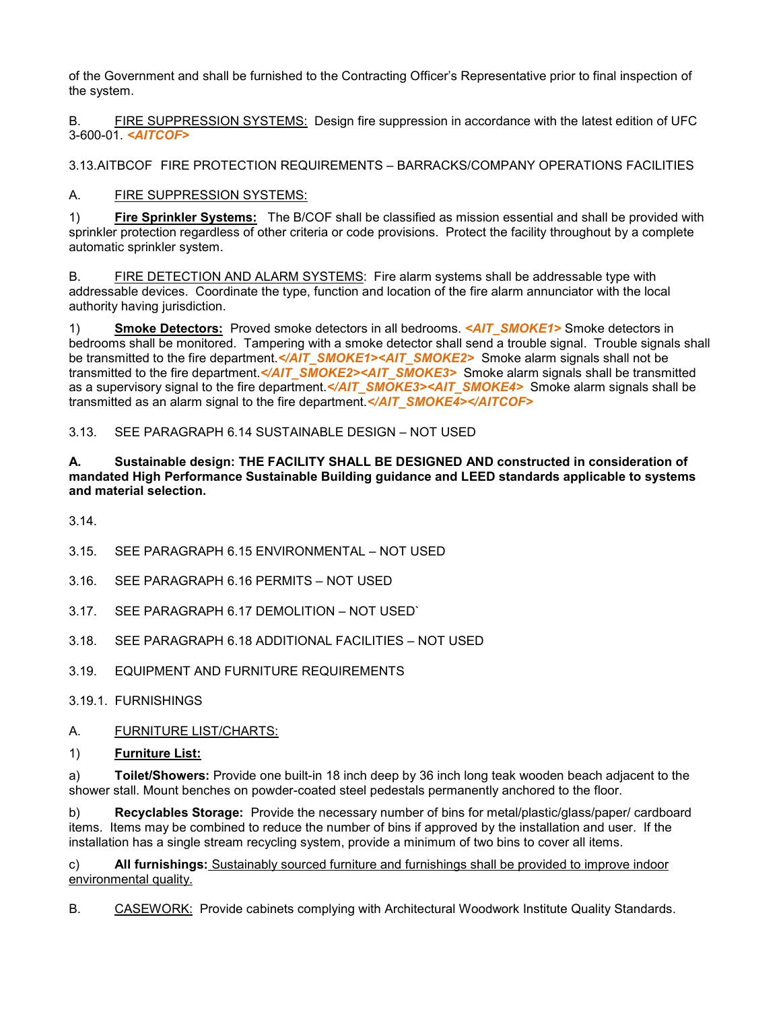of the Government and shall be furnished to the Contracting Officer's Representative prior to final inspection of the system.

B. FIRE SUPPRESSION SYSTEMS: Design fire suppression in accordance with the latest edition of UFC 3-600-01. *<AITCOF>*

3.13.AITBCOF FIRE PROTECTION REQUIREMENTS – BARRACKS/COMPANY OPERATIONS FACILITIES

A. FIRE SUPPRESSION SYSTEMS:

1) **Fire Sprinkler Systems:** The B/COF shall be classified as mission essential and shall be provided with sprinkler protection regardless of other criteria or code provisions. Protect the facility throughout by a complete automatic sprinkler system.

B. FIRE DETECTION AND ALARM SYSTEMS: Fire alarm systems shall be addressable type with addressable devices. Coordinate the type, function and location of the fire alarm annunciator with the local authority having jurisdiction.

1) **Smoke Detectors:** Proved smoke detectors in all bedrooms. *<AIT\_SMOKE1>* Smoke detectors in bedrooms shall be monitored. Tampering with a smoke detector shall send a trouble signal. Trouble signals shall be transmitted to the fire department.*</AIT\_SMOKE1><AIT\_SMOKE2>* Smoke alarm signals shall not be transmitted to the fire department.</AIT\_SMOKE2><AIT\_SMOKE3> Smoke alarm signals shall be transmitted as a supervisory signal to the fire department. </AIT\_SMOKE3><AIT\_SMOKE4> Smoke alarm signals shall be transmitted as an alarm signal to the fire department. </AIT\_SMOKE4></AITCOF>

3.13. SEE PARAGRAPH 6.14 SUSTAINABLE DESIGN – NOT USED

#### **A. Sustainable design: THE FACILITY SHALL BE DESIGNED AND constructed in consideration of mandated High Performance Sustainable Building guidance and LEED standards applicable to systems and material selection.**

3.14.

- 3.15. SEE PARAGRAPH 6.15 ENVIRONMENTAL NOT USED
- 3.16. SEE PARAGRAPH 6.16 PERMITS NOT USED
- 3.17. SEE PARAGRAPH 6.17 DEMOLITION NOT USED`
- 3.18. SEE PARAGRAPH 6.18 ADDITIONAL FACILITIES NOT USED
- 3.19. EQUIPMENT AND FURNITURE REQUIREMENTS
- 3.19.1. FURNISHINGS
- A. FURNITURE LIST/CHARTS:
- 1) **Furniture List:**

a) **Toilet/Showers:** Provide one built-in 18 inch deep by 36 inch long teak wooden beach adjacent to the shower stall. Mount benches on powder-coated steel pedestals permanently anchored to the floor.

b) **Recyclables Storage:** Provide the necessary number of bins for metal/plastic/glass/paper/ cardboard items. Items may be combined to reduce the number of bins if approved by the installation and user. If the installation has a single stream recycling system, provide a minimum of two bins to cover all items.

c) **All furnishings:** Sustainably sourced furniture and furnishings shall be provided to improve indoor environmental quality.

B. CASEWORK: Provide cabinets complying with Architectural Woodwork Institute Quality Standards.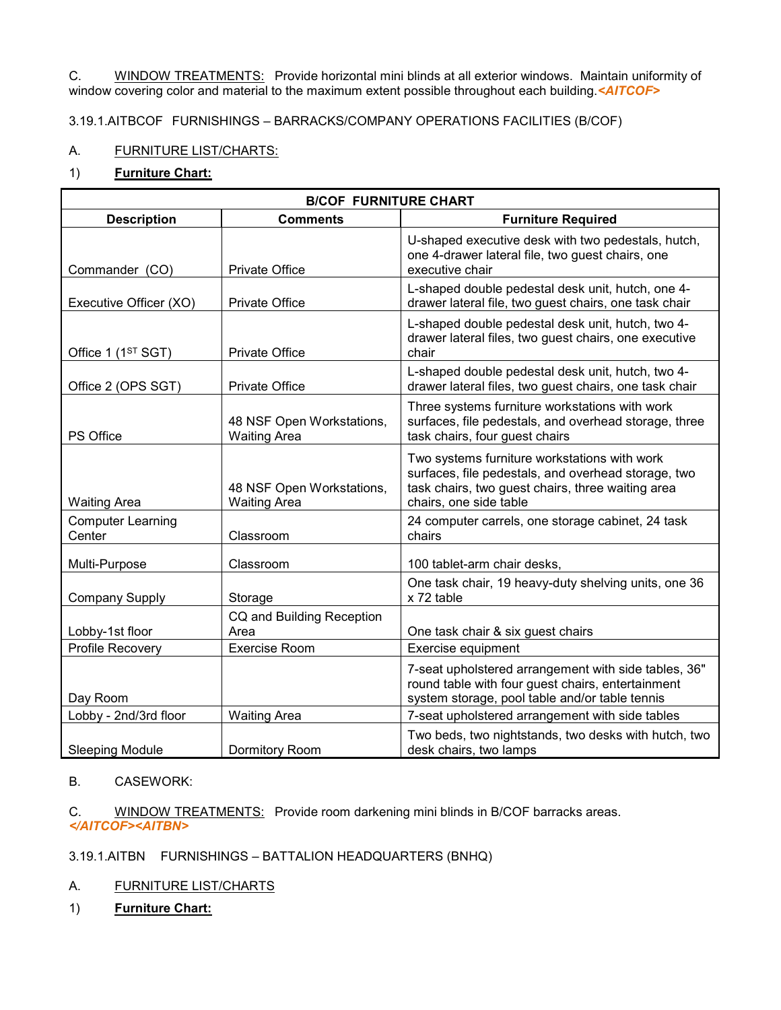C. WINDOW TREATMENTS: Provide horizontal mini blinds at all exterior windows. Maintain uniformity of window covering color and material to the maximum extent possible throughout each building.*<AITCOF>*

# 3.19.1.AITBCOF FURNISHINGS – BARRACKS/COMPANY OPERATIONS FACILITIES (B/COF)

# A. FURNITURE LIST/CHARTS:

# 1) **Furniture Chart:**

|                                    | <b>B/COF FURNITURE CHART</b>                     |                                                                                                                                                                                    |
|------------------------------------|--------------------------------------------------|------------------------------------------------------------------------------------------------------------------------------------------------------------------------------------|
| <b>Description</b>                 | <b>Comments</b>                                  | <b>Furniture Required</b>                                                                                                                                                          |
| Commander (CO)                     | Private Office                                   | U-shaped executive desk with two pedestals, hutch,<br>one 4-drawer lateral file, two quest chairs, one<br>executive chair                                                          |
| Executive Officer (XO)             | <b>Private Office</b>                            | L-shaped double pedestal desk unit, hutch, one 4-<br>drawer lateral file, two guest chairs, one task chair                                                                         |
| Office 1 (1 <sup>ST</sup> SGT)     | Private Office                                   | L-shaped double pedestal desk unit, hutch, two 4-<br>drawer lateral files, two guest chairs, one executive<br>chair                                                                |
| Office 2 (OPS SGT)                 | Private Office                                   | L-shaped double pedestal desk unit, hutch, two 4-<br>drawer lateral files, two guest chairs, one task chair                                                                        |
| PS Office                          | 48 NSF Open Workstations,<br><b>Waiting Area</b> | Three systems furniture workstations with work<br>surfaces, file pedestals, and overhead storage, three<br>task chairs, four guest chairs                                          |
| <b>Waiting Area</b>                | 48 NSF Open Workstations,<br><b>Waiting Area</b> | Two systems furniture workstations with work<br>surfaces, file pedestals, and overhead storage, two<br>task chairs, two guest chairs, three waiting area<br>chairs, one side table |
| <b>Computer Learning</b><br>Center | Classroom                                        | 24 computer carrels, one storage cabinet, 24 task<br>chairs                                                                                                                        |
| Multi-Purpose                      | Classroom                                        | 100 tablet-arm chair desks,                                                                                                                                                        |
| <b>Company Supply</b>              | Storage                                          | One task chair, 19 heavy-duty shelving units, one 36<br>x 72 table                                                                                                                 |
| Lobby-1st floor                    | CQ and Building Reception<br>Area                | One task chair & six guest chairs                                                                                                                                                  |
| Profile Recovery                   | <b>Exercise Room</b>                             | Exercise equipment                                                                                                                                                                 |
| Day Room                           |                                                  | 7-seat upholstered arrangement with side tables, 36"<br>round table with four guest chairs, entertainment<br>system storage, pool table and/or table tennis                        |
| Lobby - 2nd/3rd floor              | <b>Waiting Area</b>                              | 7-seat upholstered arrangement with side tables                                                                                                                                    |
| <b>Sleeping Module</b>             | Dormitory Room                                   | Two beds, two nightstands, two desks with hutch, two<br>desk chairs, two lamps                                                                                                     |

#### B. CASEWORK:

C. WINDOW TREATMENTS: Provide room darkening mini blinds in B/COF barracks areas. *</AITCOF><AITBN>*

3.19.1.AITBN FURNISHINGS – BATTALION HEADQUARTERS (BNHQ)

- A. FURNITURE LIST/CHARTS
- 1) **Furniture Chart:**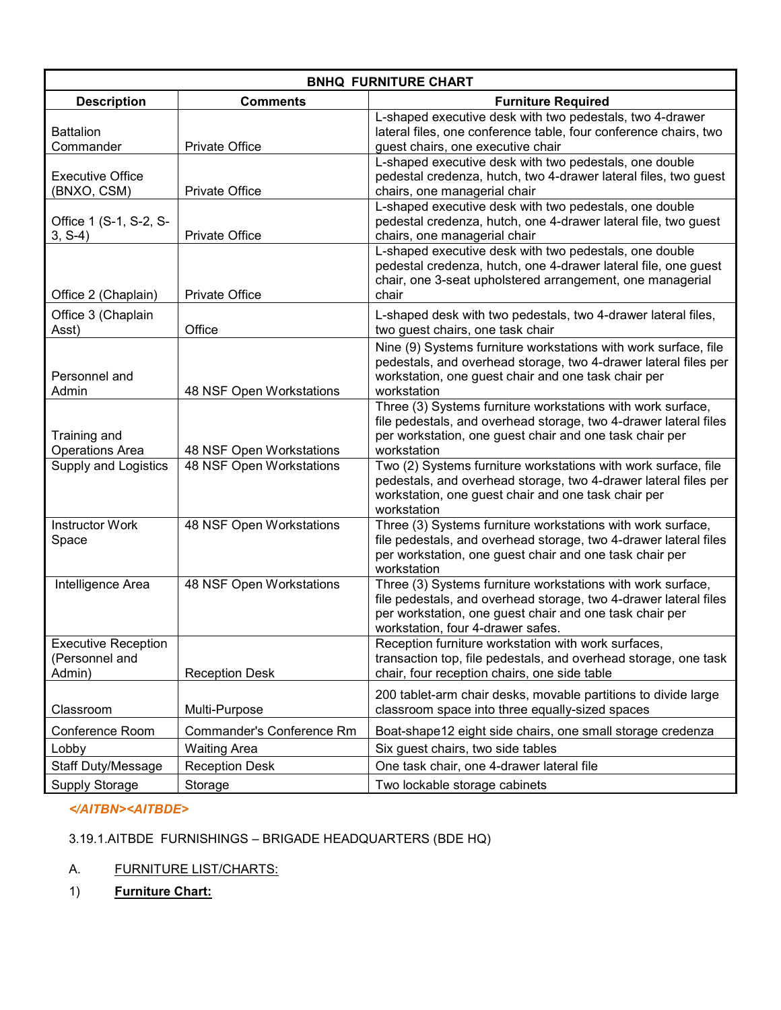|                                                        |                                  | <b>BNHQ FURNITURE CHART</b>                                                                                                                                                                                                     |
|--------------------------------------------------------|----------------------------------|---------------------------------------------------------------------------------------------------------------------------------------------------------------------------------------------------------------------------------|
| <b>Description</b>                                     | <b>Comments</b>                  | <b>Furniture Required</b>                                                                                                                                                                                                       |
| <b>Battalion</b><br>Commander                          | <b>Private Office</b>            | L-shaped executive desk with two pedestals, two 4-drawer<br>lateral files, one conference table, four conference chairs, two<br>guest chairs, one executive chair                                                               |
| <b>Executive Office</b><br>(BNXO, CSM)                 | Private Office                   | L-shaped executive desk with two pedestals, one double<br>pedestal credenza, hutch, two 4-drawer lateral files, two guest<br>chairs, one managerial chair                                                                       |
| Office 1 (S-1, S-2, S-<br>$3, S-4)$                    | <b>Private Office</b>            | L-shaped executive desk with two pedestals, one double<br>pedestal credenza, hutch, one 4-drawer lateral file, two guest<br>chairs, one managerial chair                                                                        |
| Office 2 (Chaplain)                                    | <b>Private Office</b>            | L-shaped executive desk with two pedestals, one double<br>pedestal credenza, hutch, one 4-drawer lateral file, one guest<br>chair, one 3-seat upholstered arrangement, one managerial<br>chair                                  |
| Office 3 (Chaplain<br>Asst)                            | Office                           | L-shaped desk with two pedestals, two 4-drawer lateral files,<br>two guest chairs, one task chair                                                                                                                               |
| Personnel and<br>Admin                                 | 48 NSF Open Workstations         | Nine (9) Systems furniture workstations with work surface, file<br>pedestals, and overhead storage, two 4-drawer lateral files per<br>workstation, one guest chair and one task chair per<br>workstation                        |
| Training and<br><b>Operations Area</b>                 | 48 NSF Open Workstations         | Three (3) Systems furniture workstations with work surface,<br>file pedestals, and overhead storage, two 4-drawer lateral files<br>per workstation, one guest chair and one task chair per<br>workstation                       |
| <b>Supply and Logistics</b>                            | 48 NSF Open Workstations         | Two (2) Systems furniture workstations with work surface, file<br>pedestals, and overhead storage, two 4-drawer lateral files per<br>workstation, one guest chair and one task chair per<br>workstation                         |
| <b>Instructor Work</b><br>Space                        | 48 NSF Open Workstations         | Three (3) Systems furniture workstations with work surface,<br>file pedestals, and overhead storage, two 4-drawer lateral files<br>per workstation, one guest chair and one task chair per<br>workstation                       |
| Intelligence Area                                      | 48 NSF Open Workstations         | Three (3) Systems furniture workstations with work surface,<br>file pedestals, and overhead storage, two 4-drawer lateral files<br>per workstation, one guest chair and one task chair per<br>workstation, four 4-drawer safes. |
| <b>Executive Reception</b><br>(Personnel and<br>Admin) | <b>Reception Desk</b>            | Reception furniture workstation with work surfaces,<br>transaction top, file pedestals, and overhead storage, one task<br>chair, four reception chairs, one side table                                                          |
| Classroom                                              | Multi-Purpose                    | 200 tablet-arm chair desks, movable partitions to divide large<br>classroom space into three equally-sized spaces                                                                                                               |
| Conference Room                                        | <b>Commander's Conference Rm</b> | Boat-shape12 eight side chairs, one small storage credenza                                                                                                                                                                      |
| Lobby                                                  | <b>Waiting Area</b>              | Six guest chairs, two side tables                                                                                                                                                                                               |
| <b>Staff Duty/Message</b>                              | <b>Reception Desk</b>            | One task chair, one 4-drawer lateral file                                                                                                                                                                                       |
| <b>Supply Storage</b>                                  | Storage                          | Two lockable storage cabinets                                                                                                                                                                                                   |

# *</AITBN><AITBDE>*

# 3.19.1.AITBDE FURNISHINGS – BRIGADE HEADQUARTERS (BDE HQ)

# A. FURNITURE LIST/CHARTS:

1) **Furniture Chart:**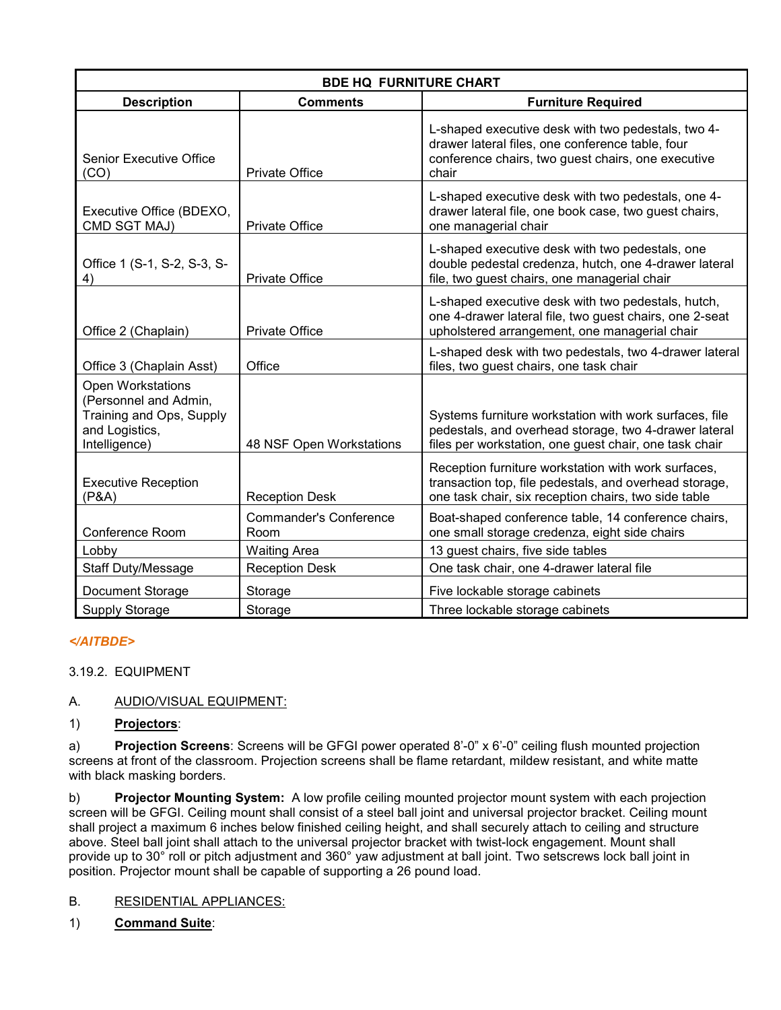|                                                                                                                  | <b>BDE HQ FURNITURE CHART</b>         |                                                                                                                                                                           |
|------------------------------------------------------------------------------------------------------------------|---------------------------------------|---------------------------------------------------------------------------------------------------------------------------------------------------------------------------|
| <b>Description</b>                                                                                               | <b>Comments</b>                       | <b>Furniture Required</b>                                                                                                                                                 |
| <b>Senior Executive Office</b><br>(CO)                                                                           | <b>Private Office</b>                 | L-shaped executive desk with two pedestals, two 4-<br>drawer lateral files, one conference table, four<br>conference chairs, two guest chairs, one executive<br>chair     |
| Executive Office (BDEXO,<br>CMD SGT MAJ)                                                                         | <b>Private Office</b>                 | L-shaped executive desk with two pedestals, one 4-<br>drawer lateral file, one book case, two guest chairs,<br>one managerial chair                                       |
| Office 1 (S-1, S-2, S-3, S-<br>4)                                                                                | <b>Private Office</b>                 | L-shaped executive desk with two pedestals, one<br>double pedestal credenza, hutch, one 4-drawer lateral<br>file, two guest chairs, one managerial chair                  |
| Office 2 (Chaplain)                                                                                              | Private Office                        | L-shaped executive desk with two pedestals, hutch,<br>one 4-drawer lateral file, two guest chairs, one 2-seat<br>upholstered arrangement, one managerial chair            |
| Office 3 (Chaplain Asst)                                                                                         | Office                                | L-shaped desk with two pedestals, two 4-drawer lateral<br>files, two guest chairs, one task chair                                                                         |
| <b>Open Workstations</b><br>(Personnel and Admin,<br>Training and Ops, Supply<br>and Logistics,<br>Intelligence) | 48 NSF Open Workstations              | Systems furniture workstation with work surfaces, file<br>pedestals, and overhead storage, two 4-drawer lateral<br>files per workstation, one guest chair, one task chair |
| <b>Executive Reception</b><br>(P&A)                                                                              | <b>Reception Desk</b>                 | Reception furniture workstation with work surfaces,<br>transaction top, file pedestals, and overhead storage,<br>one task chair, six reception chairs, two side table     |
| Conference Room                                                                                                  | <b>Commander's Conference</b><br>Room | Boat-shaped conference table, 14 conference chairs,<br>one small storage credenza, eight side chairs                                                                      |
| Lobby                                                                                                            | <b>Waiting Area</b>                   | 13 guest chairs, five side tables                                                                                                                                         |
| <b>Staff Duty/Message</b>                                                                                        | <b>Reception Desk</b>                 | One task chair, one 4-drawer lateral file                                                                                                                                 |
| Document Storage                                                                                                 | Storage                               | Five lockable storage cabinets                                                                                                                                            |
| <b>Supply Storage</b>                                                                                            | Storage                               | Three lockable storage cabinets                                                                                                                                           |

# *</AITBDE>*

3.19.2. EQUIPMENT

# A. AUDIO/VISUAL EQUIPMENT:

1) **Projectors**:

a) **Projection Screens**: Screens will be GFGI power operated 8'-0" x 6'-0" ceiling flush mounted projection screens at front of the classroom. Projection screens shall be flame retardant, mildew resistant, and white matte with black masking borders.

b) **Projector Mounting System:** A low profile ceiling mounted projector mount system with each projection screen will be GFGI. Ceiling mount shall consist of a steel ball joint and universal projector bracket. Ceiling mount shall project a maximum 6 inches below finished ceiling height, and shall securely attach to ceiling and structure above. Steel ball joint shall attach to the universal projector bracket with twist-lock engagement. Mount shall provide up to 30° roll or pitch adjustment and 360° yaw adjustment at ball joint. Two setscrews lock ball joint in position. Projector mount shall be capable of supporting a 26 pound load.

#### B. RESIDENTIAL APPLIANCES:

#### 1) **Command Suite**: